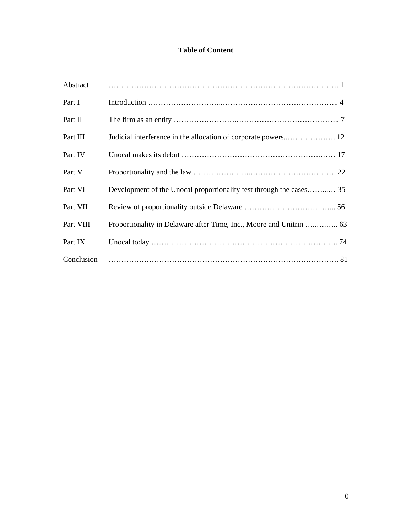# **Table of Content**

| Abstract   |                                                                     |
|------------|---------------------------------------------------------------------|
| Part I     |                                                                     |
| Part II    |                                                                     |
| Part III   |                                                                     |
| Part IV    |                                                                     |
| Part V     |                                                                     |
| Part VI    | Development of the Unocal proportionality test through the cases 35 |
| Part VII   |                                                                     |
| Part VIII  |                                                                     |
| Part IX    |                                                                     |
| Conclusion |                                                                     |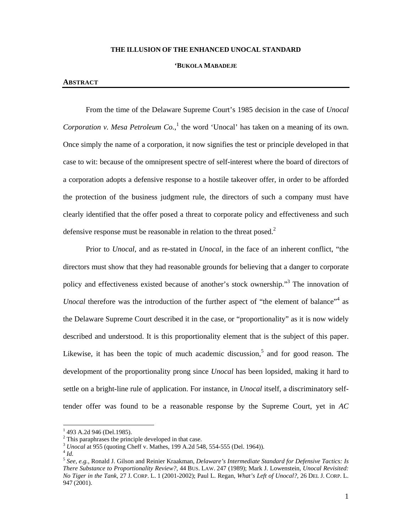#### **THE ILLUSION OF THE ENHANCED UNOCAL STANDARD**

#### **'BUKOLA MABADEJE**

#### **ABSTRACT**

From the time of the Delaware Supreme Court's 1985 decision in the case of *Unocal Corporation v. Mesa Petroleum Co.*,<sup>1</sup> the word 'Unocal' has taken on a meaning of its own. Once simply the name of a corporation, it now signifies the test or principle developed in that case to wit: because of the omnipresent spectre of self-interest where the board of directors of a corporation adopts a defensive response to a hostile takeover offer, in order to be afforded the protection of the business judgment rule, the directors of such a company must have clearly identified that the offer posed a threat to corporate policy and effectiveness and such defensive response must be reasonable in relation to the threat posed. $2$ 

Prior to *Unocal*, and as re-stated in *Unocal*, in the face of an inherent conflict, "the directors must show that they had reasonable grounds for believing that a danger to corporate policy and effectiveness existed because of another's stock ownership."<sup>3</sup> The innovation of Unocal therefore was the introduction of the further aspect of "the element of balance"<sup>4</sup> as the Delaware Supreme Court described it in the case, or "proportionality" as it is now widely described and understood. It is this proportionality element that is the subject of this paper. Likewise, it has been the topic of much academic discussion,<sup>5</sup> and for good reason. The development of the proportionality prong since *Unocal* has been lopsided, making it hard to settle on a bright-line rule of application. For instance, in *Unocal* itself, a discriminatory selftender offer was found to be a reasonable response by the Supreme Court, yet in *AC* 

 $1$  493 A.2d 946 (Del.1985).

 $2$  This paraphrases the principle developed in that case.

<sup>3</sup> *Unocal* at 955 (quoting Cheff v. Mathes, 199 A.2d 548, 554-555 (Del. 1964)). 4 *Id.*

<sup>5</sup> *See*, *e.g.*, Ronald J. Gilson and Reinier Kraakman, *Delaware's Intermediate Standard for Defensive Tactics: Is There Substance to Proportionality Review?*, 44 BUS. LAW. 247 (1989); Mark J. Lowenstein, *Unocal Revisited: No Tiger in the Tank*, 27 J. CORP. L. 1 (2001-2002); Paul L. Regan, *What's Left of Unocal?*, 26 DEL J. CORP. L. 947 (2001).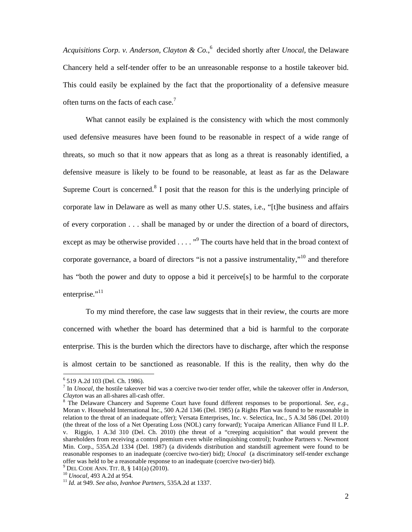*Acquisitions Corp. v. Anderson, Clayton & Co.*, 6 decided shortly after *Unocal*, the Delaware Chancery held a self-tender offer to be an unreasonable response to a hostile takeover bid. This could easily be explained by the fact that the proportionality of a defensive measure often turns on the facts of each case.<sup>7</sup>

What cannot easily be explained is the consistency with which the most commonly used defensive measures have been found to be reasonable in respect of a wide range of threats, so much so that it now appears that as long as a threat is reasonably identified, a defensive measure is likely to be found to be reasonable, at least as far as the Delaware Supreme Court is concerned. $8$  I posit that the reason for this is the underlying principle of corporate law in Delaware as well as many other U.S. states, i.e., "[t]he business and affairs of every corporation . . . shall be managed by or under the direction of a board of directors, except as may be otherwise provided  $\ldots$  "<sup>9</sup> The courts have held that in the broad context of corporate governance, a board of directors "is not a passive instrumentality,"<sup>10</sup> and therefore has "both the power and duty to oppose a bid it perceive[s] to be harmful to the corporate enterprise."<sup>11</sup>

To my mind therefore, the case law suggests that in their review, the courts are more concerned with whether the board has determined that a bid is harmful to the corporate enterprise. This is the burden which the directors have to discharge, after which the response is almost certain to be sanctioned as reasonable. If this is the reality, then why do the

<sup>6</sup> 519 A.2d 103 (Del. Ch. 1986).

<sup>7</sup> In *Unocal*, the hostile takeover bid was a coercive two-tier tender offer, while the takeover offer in *Anderson, Clayton* was an all-shares all-cash offer.

The Delaware Chancery and Supreme Court have found different responses to be proportional. *See, e.g.*, Moran v. Household International Inc., 500 A.2d 1346 (Del. 1985) (a Rights Plan was found to be reasonable in relation to the threat of an inadequate offer); Versata Enterprises, Inc. v. Selectica, Inc., 5 A.3d 586 (Del. 2010) (the threat of the loss of a Net Operating Loss (NOL) carry forward); Yucaipa American Alliance Fund II L.P. v. Riggio, 1 A.3d 310 (Del. Ch. 2010) (the threat of a "creeping acquisition" that would prevent the shareholders from receiving a control premium even while relinquishing control); Ivanhoe Partners v. Newmont Min. Corp., 535A.2d 1334 (Del. 1987) (a dividends distribution and standstill agreement were found to be reasonable responses to an inadequate (coercive two-tier) bid); *Unocal* (a discriminatory self-tender exchange offer was held to be a reasonable response to an inadequate (coercive two-tier) bid).<br><sup>9</sup> DEL CODE ANN. TIT. 8, § 141(a) (2010).

<sup>9</sup>

<sup>&</sup>lt;sup>10</sup> *Unocal*, 493 A.2d at 954.<br><sup>11</sup> *Id.* at 949. *See also, Ivanhoe Partners*, 535A.2d at 1337.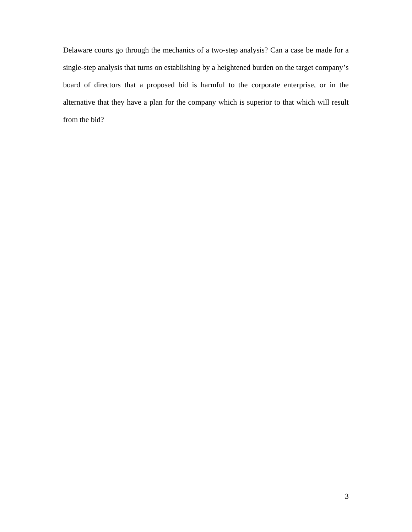Delaware courts go through the mechanics of a two-step analysis? Can a case be made for a single-step analysis that turns on establishing by a heightened burden on the target company's board of directors that a proposed bid is harmful to the corporate enterprise, or in the alternative that they have a plan for the company which is superior to that which will result from the bid?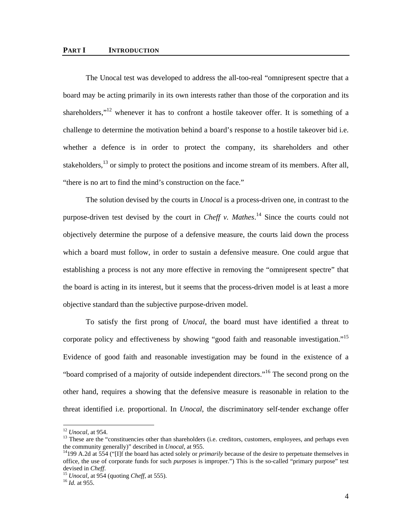#### **PART I INTRODUCTION**

The Unocal test was developed to address the all-too-real "omnipresent spectre that a board may be acting primarily in its own interests rather than those of the corporation and its shareholders,"<sup>12</sup> whenever it has to confront a hostile takeover offer. It is something of a challenge to determine the motivation behind a board's response to a hostile takeover bid i.e. whether a defence is in order to protect the company, its shareholders and other stakeholders,  $^{13}$  or simply to protect the positions and income stream of its members. After all, "there is no art to find the mind's construction on the face."

The solution devised by the courts in *Unocal* is a process-driven one, in contrast to the purpose-driven test devised by the court in *Cheff v. Mathes*. 14 Since the courts could not objectively determine the purpose of a defensive measure, the courts laid down the process which a board must follow, in order to sustain a defensive measure. One could argue that establishing a process is not any more effective in removing the "omnipresent spectre" that the board is acting in its interest, but it seems that the process-driven model is at least a more objective standard than the subjective purpose-driven model.

To satisfy the first prong of *Unocal*, the board must have identified a threat to corporate policy and effectiveness by showing "good faith and reasonable investigation."<sup>15</sup> Evidence of good faith and reasonable investigation may be found in the existence of a "board comprised of a majority of outside independent directors."16 The second prong on the other hand, requires a showing that the defensive measure is reasonable in relation to the threat identified i.e. proportional. In *Unocal*, the discriminatory self-tender exchange offer

 $12$  Unocal, at 954.

<sup>&</sup>lt;sup>13</sup> These are the "constituencies other than shareholders (i.e. creditors, customers, employees, and perhaps even the community generally)" described in *Unocal*, at 955.<br><sup>14</sup>199 A.2d at 554 ("[I]f the board has acted solely or *primarily* because of the desire to perpetuate themselves in

office, the use of corporate funds for such *purposes* is improper.") This is the so-called "primary purpose" test devised in *Cheff*. 15 *Unocal*, at 954 (quoting *Cheff*, at 555). 16 *Id.* at 955.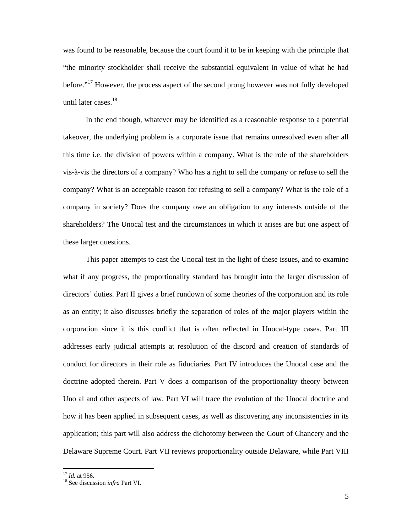was found to be reasonable, because the court found it to be in keeping with the principle that "the minority stockholder shall receive the substantial equivalent in value of what he had before."<sup>17</sup> However, the process aspect of the second prong however was not fully developed until later cases.<sup>18</sup>

In the end though, whatever may be identified as a reasonable response to a potential takeover, the underlying problem is a corporate issue that remains unresolved even after all this time i.e. the division of powers within a company. What is the role of the shareholders vis-à-vis the directors of a company? Who has a right to sell the company or refuse to sell the company? What is an acceptable reason for refusing to sell a company? What is the role of a company in society? Does the company owe an obligation to any interests outside of the shareholders? The Unocal test and the circumstances in which it arises are but one aspect of these larger questions.

This paper attempts to cast the Unocal test in the light of these issues, and to examine what if any progress, the proportionality standard has brought into the larger discussion of directors' duties. Part II gives a brief rundown of some theories of the corporation and its role as an entity; it also discusses briefly the separation of roles of the major players within the corporation since it is this conflict that is often reflected in Unocal-type cases. Part III addresses early judicial attempts at resolution of the discord and creation of standards of conduct for directors in their role as fiduciaries. Part IV introduces the Unocal case and the doctrine adopted therein. Part V does a comparison of the proportionality theory between Uno al and other aspects of law. Part VI will trace the evolution of the Unocal doctrine and how it has been applied in subsequent cases, as well as discovering any inconsistencies in its application; this part will also address the dichotomy between the Court of Chancery and the Delaware Supreme Court. Part VII reviews proportionality outside Delaware, while Part VIII

<sup>&</sup>lt;sup>17</sup> *Id.* at 956.<br><sup>18</sup> See discussion *infra* Part VI.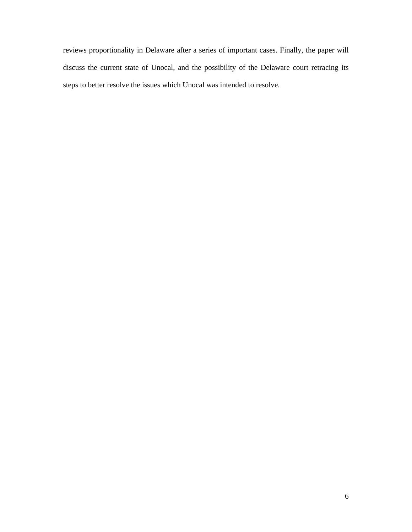reviews proportionality in Delaware after a series of important cases. Finally, the paper will discuss the current state of Unocal, and the possibility of the Delaware court retracing its steps to better resolve the issues which Unocal was intended to resolve.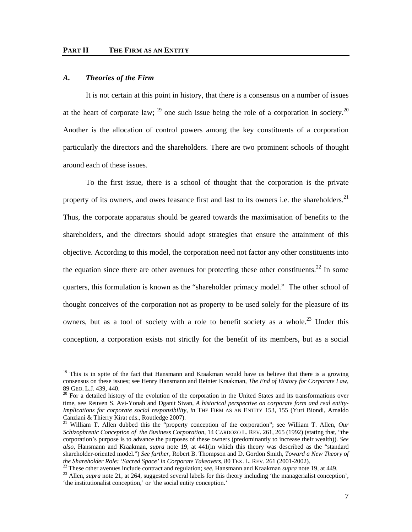# *A. Theories of the Firm*

-

It is not certain at this point in history, that there is a consensus on a number of issues at the heart of corporate law;  $^{19}$  one such issue being the role of a corporation in society.<sup>20</sup> Another is the allocation of control powers among the key constituents of a corporation particularly the directors and the shareholders. There are two prominent schools of thought around each of these issues.

To the first issue, there is a school of thought that the corporation is the private property of its owners, and owes feasance first and last to its owners i.e. the shareholders. $21$ Thus, the corporate apparatus should be geared towards the maximisation of benefits to the shareholders, and the directors should adopt strategies that ensure the attainment of this objective. According to this model, the corporation need not factor any other constituents into the equation since there are other avenues for protecting these other constituents.<sup>22</sup> In some quarters, this formulation is known as the "shareholder primacy model." The other school of thought conceives of the corporation not as property to be used solely for the pleasure of its owners, but as a tool of society with a role to benefit society as a whole.<sup>23</sup> Under this conception, a corporation exists not strictly for the benefit of its members, but as a social

<sup>&</sup>lt;sup>19</sup> This is in spite of the fact that Hansmann and Kraakman would have us believe that there is a growing consensus on these issues; see Henry Hansmann and Reinier Kraakman, *The End of History for Corporate Law*, 89 GEO. L.J. 439, 440.<br><sup>20</sup> For a detailed history of the evolution of the corporation in the United States and its transformations over

time, see Reuven S. Avi-Yonah and Dganit Sivan, *A historical perspective on corporate form and real entity-Implications for corporate social responsibility*, *in* THE FIRM AS AN ENTITY 153, 155 (Yuri Biondi, Arnaldo Canziani & Thierry Kirat eds., Routledge 2007).

<sup>&</sup>lt;sup>21</sup> William T. Allen dubbed this the "property conception of the corporation"; see William T. Allen, *Our Schizophrenic Conception of the Business Corporation*, 14 CARDOZO L. REV. 261, 265 (1992) (stating that, "the corporation's purpose is to advance the purposes of these owners (predominantly to increase their wealth)). *See also*, Hansmann and Kraakman, *supra* note 19, at 441(in which this theory was described as the "standard shareholder-oriented model.") *See further*, Robert B. Thompson and D. Gordon Smith, *Toward a New Theory of*  the Shareholder Role: 'Sacred Space' in Corporate Takeovers, 80 TEX. L. REV. 261 (2001-2002).<br><sup>22</sup> These other avenues include contract and regulation; *see*, Hansmann and Kraakman *supra* note 19, at 449.<br><sup>23</sup> Allen, *sup* 

<sup>&#</sup>x27;the institutionalist conception,' or 'the social entity conception.'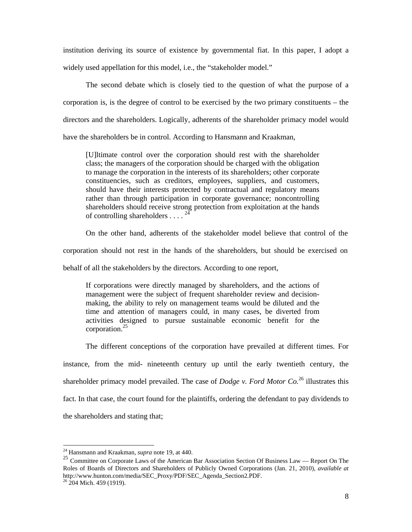institution deriving its source of existence by governmental fiat. In this paper, I adopt a widely used appellation for this model, i.e., the "stakeholder model."

The second debate which is closely tied to the question of what the purpose of a corporation is, is the degree of control to be exercised by the two primary constituents – the directors and the shareholders. Logically, adherents of the shareholder primacy model would have the shareholders be in control. According to Hansmann and Kraakman,

[U]ltimate control over the corporation should rest with the shareholder class; the managers of the corporation should be charged with the obligation to manage the corporation in the interests of its shareholders; other corporate constituencies, such as creditors, employees, suppliers, and customers, should have their interests protected by contractual and regulatory means rather than through participation in corporate governance; noncontrolling shareholders should receive strong protection from exploitation at the hands of controlling shareholders  $\dots$ <sup>24</sup>

On the other hand, adherents of the stakeholder model believe that control of the

corporation should not rest in the hands of the shareholders, but should be exercised on

behalf of all the stakeholders by the directors. According to one report,

If corporations were directly managed by shareholders, and the actions of management were the subject of frequent shareholder review and decisionmaking, the ability to rely on management teams would be diluted and the time and attention of managers could, in many cases, be diverted from activities designed to pursue sustainable economic benefit for the corporation.<sup>25</sup>

The different conceptions of the corporation have prevailed at different times. For instance, from the mid- nineteenth century up until the early twentieth century, the shareholder primacy model prevailed. The case of *Dodge v. Ford Motor Co.*26 illustrates this fact. In that case, the court found for the plaintiffs, ordering the defendant to pay dividends to the shareholders and stating that;

<sup>24</sup> Hansmann and Kraakman, *supra* note 19, at 440.

<sup>&</sup>lt;sup>25</sup> Committee on Corporate Laws of the American Bar Association Section Of Business Law — Report On The Roles of Boards of Directors and Shareholders of Publicly Owned Corporations (Jan. 21, 2010), *available at* http://www.hunton.com/media/SEC\_Proxy/PDF/SEC\_Agenda\_Section2.PDF. 26 204 Mich. 459 (1919).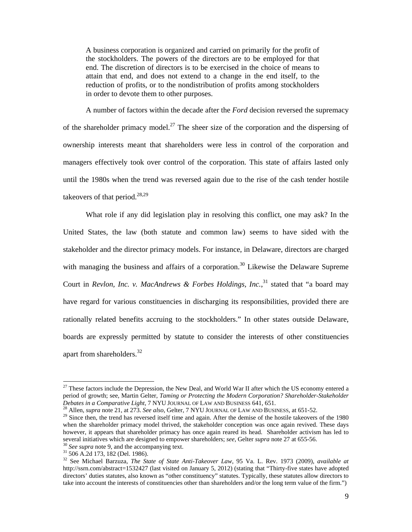A business corporation is organized and carried on primarily for the profit of the stockholders. The powers of the directors are to be employed for that end. The discretion of directors is to be exercised in the choice of means to attain that end, and does not extend to a change in the end itself, to the reduction of profits, or to the nondistribution of profits among stockholders in order to devote them to other purposes.

A number of factors within the decade after the *Ford* decision reversed the supremacy of the shareholder primacy model.<sup>27</sup> The sheer size of the corporation and the dispersing of ownership interests meant that shareholders were less in control of the corporation and managers effectively took over control of the corporation. This state of affairs lasted only until the 1980s when the trend was reversed again due to the rise of the cash tender hostile takeovers of that period. $28,29$ 

What role if any did legislation play in resolving this conflict, one may ask? In the United States, the law (both statute and common law) seems to have sided with the stakeholder and the director primacy models. For instance, in Delaware, directors are charged with managing the business and affairs of a corporation.<sup>30</sup> Likewise the Delaware Supreme Court in *Revlon, Inc. v. MacAndrews & Forbes Holdings, Inc.*<sup>31</sup> stated that "a board may have regard for various constituencies in discharging its responsibilities, provided there are rationally related benefits accruing to the stockholders." In other states outside Delaware, boards are expressly permitted by statute to consider the interests of other constituencies apart from shareholders.<sup>32</sup>

<sup>&</sup>lt;sup>27</sup> These factors include the Depression, the New Deal, and World War II after which the US economy entered a period of growth; see, Martin Gelter, *Taming or Protecting the Modern Corporation? Shareholder-Stakeholder Debates in a Comparative Light*, 7 NYU JOURNAL OF LAW AND BUSINESS 641, 651.

<sup>&</sup>lt;sup>28</sup> Allen, *supra* note 21, at 273. *See also*, Gelter, 7 NYU JOURNAL OF LAW AND BUSINESS, at 651-52.<br><sup>29</sup> Since then, the trend has reversed itself time and again. After the demise of the hostile takeovers of the 1980 when the shareholder primacy model thrived, the stakeholder conception was once again revived. These days however, it appears that shareholder primacy has once again reared its head. Shareholder activism has led to several initiatives which are designed to empower shareholders; *see*, Gelter *supra* note 27 at 655-56. <sup>30</sup> *See supra* note 9, and the accompanying text. <sup>31</sup> 506 A.2d 173, 182 (Del. 1986).

<sup>32</sup> See Michael Barzuza, *The State of State Anti-Takeover Law*, 95 Va. L. Rev. 1973 (2009), *available at*  http://ssrn.com/abstract=1532427 (last visited on January 5, 2012) (stating that "Thirty-five states have adopted directors' duties statutes, also known as "other constituency" statutes. Typically, these statutes allow directors to take into account the interests of constituencies other than shareholders and/or the long term value of the firm.")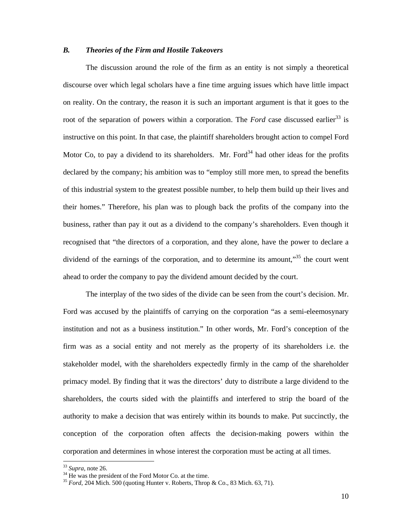#### *B. Theories of the Firm and Hostile Takeovers*

The discussion around the role of the firm as an entity is not simply a theoretical discourse over which legal scholars have a fine time arguing issues which have little impact on reality. On the contrary, the reason it is such an important argument is that it goes to the root of the separation of powers within a corporation. The *Ford* case discussed earlier<sup>33</sup> is instructive on this point. In that case, the plaintiff shareholders brought action to compel Ford Motor Co, to pay a dividend to its shareholders. Mr. Ford<sup>34</sup> had other ideas for the profits declared by the company; his ambition was to "employ still more men, to spread the benefits of this industrial system to the greatest possible number, to help them build up their lives and their homes." Therefore, his plan was to plough back the profits of the company into the business, rather than pay it out as a dividend to the company's shareholders. Even though it recognised that "the directors of a corporation, and they alone, have the power to declare a dividend of the earnings of the corporation, and to determine its amount,"<sup>35</sup> the court went ahead to order the company to pay the dividend amount decided by the court.

The interplay of the two sides of the divide can be seen from the court's decision. Mr. Ford was accused by the plaintiffs of carrying on the corporation "as a semi-eleemosynary institution and not as a business institution." In other words, Mr. Ford's conception of the firm was as a social entity and not merely as the property of its shareholders i.e. the stakeholder model, with the shareholders expectedly firmly in the camp of the shareholder primacy model. By finding that it was the directors' duty to distribute a large dividend to the shareholders, the courts sided with the plaintiffs and interfered to strip the board of the authority to make a decision that was entirely within its bounds to make. Put succinctly, the conception of the corporation often affects the decision-making powers within the corporation and determines in whose interest the corporation must be acting at all times.

 $33$  *Supra*, note 26.<br> $34$  He was the president of the Ford Motor Co. at the time.

<sup>35</sup> *Ford*, 204 Mich. 500 (quoting Hunter v. Roberts, Throp & Co., 83 Mich. 63, 71).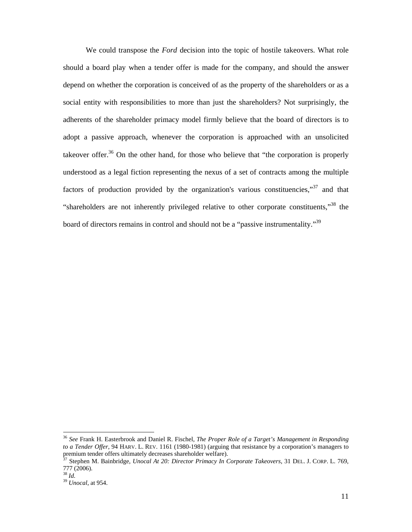We could transpose the *Ford* decision into the topic of hostile takeovers. What role should a board play when a tender offer is made for the company, and should the answer depend on whether the corporation is conceived of as the property of the shareholders or as a social entity with responsibilities to more than just the shareholders? Not surprisingly, the adherents of the shareholder primacy model firmly believe that the board of directors is to adopt a passive approach, whenever the corporation is approached with an unsolicited takeover offer.<sup>36</sup> On the other hand, for those who believe that "the corporation is properly understood as a legal fiction representing the nexus of a set of contracts among the multiple factors of production provided by the organization's various constituencies,"<sup>37</sup> and that "shareholders are not inherently privileged relative to other corporate constituents,"<sup>38</sup> the board of directors remains in control and should not be a "passive instrumentality."<sup>39</sup>

<sup>36</sup> *See* Frank H. Easterbrook and Daniel R. Fischel, *The Proper Role of a Target's Management in Responding to a Tender Offer*, 94 HARV. L. REV. 1161 (1980-1981) (arguing that resistance by a corporation's managers to premium tender offers ultimately decreases shareholder welfare).<br> $37$  Stephen M. Bright in the state of the state of the state of the state of the state of the state of the state of the state of the state of the state of

<sup>37</sup> Stephen M. Bainbridge, *Unocal At 20: Director Primacy In Corporate Takeovers*, 31 DEL. J. CORP. L. 769, 777 (2006).<br> $^{38}$  *Id.* 

<sup>38</sup> *Id.* <sup>39</sup> *Unocal*, at 954.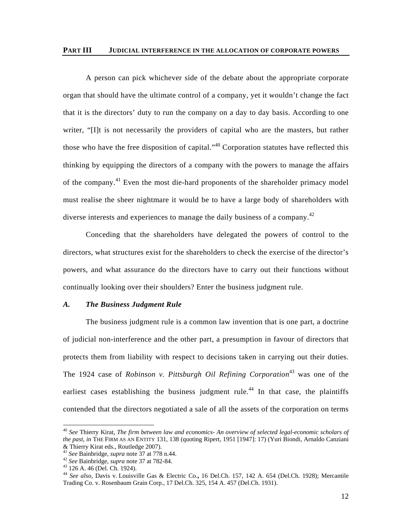#### **PART III JUDICIAL INTERFERENCE IN THE ALLOCATION OF CORPORATE POWERS**

A person can pick whichever side of the debate about the appropriate corporate organ that should have the ultimate control of a company, yet it wouldn't change the fact that it is the directors' duty to run the company on a day to day basis. According to one writer, "[I]t is not necessarily the providers of capital who are the masters, but rather those who have the free disposition of capital."<sup>40</sup> Corporation statutes have reflected this thinking by equipping the directors of a company with the powers to manage the affairs of the company.41 Even the most die-hard proponents of the shareholder primacy model must realise the sheer nightmare it would be to have a large body of shareholders with diverse interests and experiences to manage the daily business of a company.<sup>42</sup>

Conceding that the shareholders have delegated the powers of control to the directors, what structures exist for the shareholders to check the exercise of the director's powers, and what assurance do the directors have to carry out their functions without continually looking over their shoulders? Enter the business judgment rule.

### *A. The Business Judgment Rule*

The business judgment rule is a common law invention that is one part, a doctrine of judicial non-interference and the other part, a presumption in favour of directors that protects them from liability with respect to decisions taken in carrying out their duties. The 1924 case of *Robinson v. Pittsburgh Oil Refining Corporation*43 was one of the earliest cases establishing the business judgment rule.<sup>44</sup> In that case, the plaintiffs contended that the directors negotiated a sale of all the assets of the corporation on terms

<sup>40</sup> *See* Thierry Kirat, *The firm between law and economics- An overview of selected legal-economic scholars of the past*, *in* THE FIRM AS AN ENTITY 131, 138 (quoting Ripert, 1951 [1947]: 17) (Yuri Biondi, Arnaldo Canziani

<sup>&</sup>amp; Thierry Kirat eds., Routledge 2007).<br><sup>41</sup> See Bainbridge, *supra* note 37 at 778 n.44.

<sup>&</sup>lt;sup>42</sup> *See* Bainbridge, *supra* note 37 at 782-84.<br><sup>43</sup> 126 A. 46 (Del. Ch. 1924).

<sup>44</sup> *See also*, Davis v. Louisville Gas & Electric Co.**,** 16 Del.Ch. 157, 142 A. 654 (Del.Ch. 1928); Mercantile Trading Co. v. Rosenbaum Grain Corp., 17 Del.Ch. 325, 154 A. 457 (Del.Ch. 1931).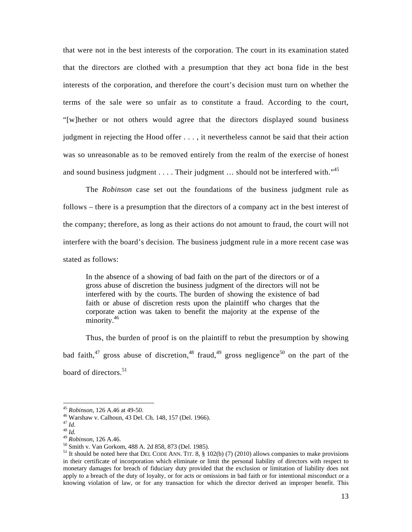that were not in the best interests of the corporation. The court in its examination stated that the directors are clothed with a presumption that they act bona fide in the best interests of the corporation, and therefore the court's decision must turn on whether the terms of the sale were so unfair as to constitute a fraud. According to the court, "[w]hether or not others would agree that the directors displayed sound business judgment in rejecting the Hood offer . . . , it nevertheless cannot be said that their action was so unreasonable as to be removed entirely from the realm of the exercise of honest and sound business judgment  $\dots$ . Their judgment  $\dots$  should not be interfered with.<sup>45</sup>

The *Robinson* case set out the foundations of the business judgment rule as follows – there is a presumption that the directors of a company act in the best interest of the company; therefore, as long as their actions do not amount to fraud, the court will not interfere with the board's decision. The business judgment rule in a more recent case was stated as follows:

In the absence of a showing of bad faith on the part of the directors or of a gross abuse of discretion the business judgment of the directors will not be interfered with by the courts. The burden of showing the existence of bad faith or abuse of discretion rests upon the plaintiff who charges that the corporate action was taken to benefit the majority at the expense of the minority.<sup>46</sup>

Thus, the burden of proof is on the plaintiff to rebut the presumption by showing bad faith,<sup>47</sup> gross abuse of discretion,<sup>48</sup> fraud,<sup>49</sup> gross negligence<sup>50</sup> on the part of the board of directors.<sup>51</sup>

<sup>&</sup>lt;sup>45</sup> Robinson, 126 A.46 at 49-50.

<sup>&</sup>lt;sup>46</sup> Warshaw v. Calhoun, 43 Del. Ch. 148, 157 (Del. 1966).<br><sup>47</sup> Id.

<sup>47</sup> *Id*. 48 *Id.* <sup>49</sup> *Robinson*, 126 A.46. 50 Smith v. Van Gorkom, 488 A. 2d 858, 873 (Del. 1985).

<sup>&</sup>lt;sup>51</sup> It should be noted here that DEL CODE ANN. TIT. 8,  $\S$  102(b) (7) (2010) allows companies to make provisions in their certificate of incorporation which eliminate or limit the personal liability of directors with respect to monetary damages for breach of fiduciary duty provided that the exclusion or limitation of liability does not apply to a breach of the duty of loyalty, or for acts or omissions in bad faith or for intentional misconduct or a knowing violation of law, or for any transaction for which the director derived an improper benefit. This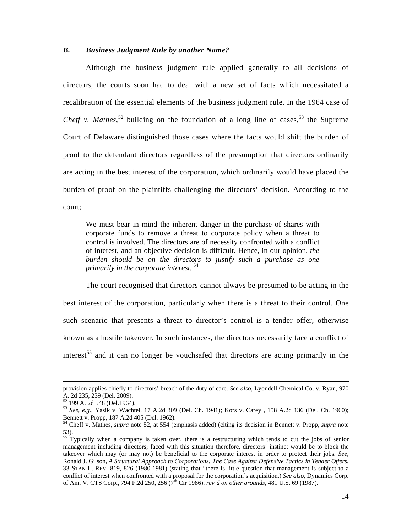#### *B. Business Judgment Rule by another Name?*

Although the business judgment rule applied generally to all decisions of directors, the courts soon had to deal with a new set of facts which necessitated a recalibration of the essential elements of the business judgment rule. In the 1964 case of *Cheff v. Mathes*,<sup>52</sup> building on the foundation of a long line of cases,<sup>53</sup> the Supreme Court of Delaware distinguished those cases where the facts would shift the burden of proof to the defendant directors regardless of the presumption that directors ordinarily are acting in the best interest of the corporation, which ordinarily would have placed the burden of proof on the plaintiffs challenging the directors' decision. According to the court;

We must bear in mind the inherent danger in the purchase of shares with corporate funds to remove a threat to corporate policy when a threat to control is involved. The directors are of necessity confronted with a conflict of interest, and an objective decision is difficult. Hence, in our opinion, *the burden should be on the directors to justify such a purchase as one primarily in the corporate interest.*<sup>54</sup>

The court recognised that directors cannot always be presumed to be acting in the best interest of the corporation, particularly when there is a threat to their control. One such scenario that presents a threat to director's control is a tender offer, otherwise known as a hostile takeover. In such instances, the directors necessarily face a conflict of interest<sup>55</sup> and it can no longer be vouchsafed that directors are acting primarily in the

provision applies chiefly to directors' breach of the duty of care. *See also*, Lyondell Chemical Co. v. Ryan, 970 A. 2d 235, 239 (Del. 2009).

<sup>52 199</sup> A. 2d 548 (Del.1964).

<sup>53</sup> *See, e.g.*, Yasik v. Wachtel, 17 A.2d 309 (Del. Ch. 1941); Kors v. Carey , 158 A.2d 136 (Del. Ch. 1960); Bennett v. Propp, 187 A.2d 405 (Del. 1962).

<sup>54</sup> Cheff v. Mathes, *supra* note 52, at 554 (emphasis added) (citing its decision in Bennett v. Propp, *supra* note 53).

<sup>&</sup>lt;sup>55</sup> Typically when a company is taken over, there is a restructuring which tends to cut the jobs of senior management including directors; faced with this situation therefore, directors' instinct would be to block the takeover which may (or may not) be beneficial to the corporate interest in order to protect their jobs. *See*, Ronald J. Gilson, *A Structural Approach to Corporations: The Case Against Defensive Tactics in Tender Offers*, 33 STAN L. REV. 819, 826 (1980-1981) (stating that "there is little question that management is subject to a conflict of interest when confronted with a proposal for the corporation's acquisition.) *See also*, Dynamics Corp. of Am. V. CTS Corp., 794 F.2d 250, 256 (7th Cir 1986), *rev'd on other grounds*, 481 U.S. 69 (1987).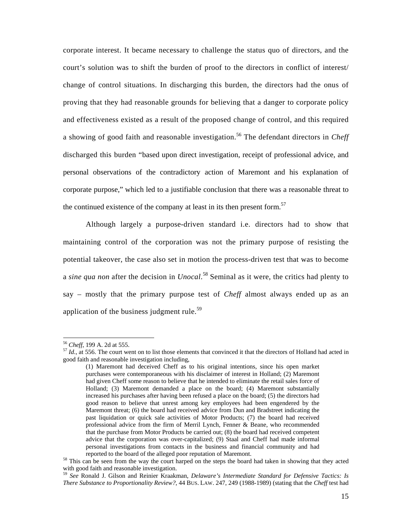corporate interest. It became necessary to challenge the status quo of directors, and the court's solution was to shift the burden of proof to the directors in conflict of interest/ change of control situations. In discharging this burden, the directors had the onus of proving that they had reasonable grounds for believing that a danger to corporate policy and effectiveness existed as a result of the proposed change of control, and this required a showing of good faith and reasonable investigation.<sup>56</sup> The defendant directors in *Cheff* discharged this burden "based upon direct investigation, receipt of professional advice, and personal observations of the contradictory action of Maremont and his explanation of corporate purpose," which led to a justifiable conclusion that there was a reasonable threat to the continued existence of the company at least in its then present form.<sup>57</sup>

Although largely a purpose-driven standard i.e. directors had to show that maintaining control of the corporation was not the primary purpose of resisting the potential takeover, the case also set in motion the process-driven test that was to become a *sine qua non* after the decision in *Unocal*. 58 Seminal as it were, the critics had plenty to say – mostly that the primary purpose test of *Cheff* almost always ended up as an application of the business judgment rule. $59$ 

<sup>&</sup>lt;sup>56</sup> Cheff, 199 A. 2d at 555.

 $^{57}$  *Id.*, at 556. The court went on to list those elements that convinced it that the directors of Holland had acted in good faith and reasonable investigation including,

<sup>(1)</sup> Maremont had deceived Cheff as to his original intentions, since his open market purchases were contemporaneous with his disclaimer of interest in Holland; (2) Maremont had given Cheff some reason to believe that he intended to eliminate the retail sales force of Holland; (3) Maremont demanded a place on the board; (4) Maremont substantially increased his purchases after having been refused a place on the board; (5) the directors had good reason to believe that unrest among key employees had been engendered by the Maremont threat; (6) the board had received advice from Dun and Bradstreet indicating the past liquidation or quick sale activities of Motor Products; (7) the board had received professional advice from the firm of Merril Lynch, Fenner & Beane, who recommended that the purchase from Motor Products be carried out; (8) the board had received competent advice that the corporation was over-capitalized; (9) Staal and Cheff had made informal personal investigations from contacts in the business and financial community and had

reported to the board of the alleged poor reputation of Maremont. 58 This can be seen from the way the court harped on the steps the board had taken in showing that they acted with good faith and reasonable investigation.

<sup>59</sup> *See* Ronald J. Gilson and Reinier Kraakman, *Delaware's Intermediate Standard for Defensive Tactics: Is There Substance to Proportionality Review?*, 44 BUS. LAW. 247, 249 (1988-1989) (stating that the *Cheff* test had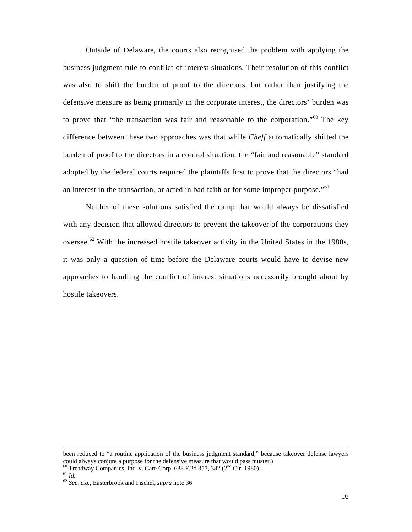Outside of Delaware, the courts also recognised the problem with applying the business judgment rule to conflict of interest situations. Their resolution of this conflict was also to shift the burden of proof to the directors, but rather than justifying the defensive measure as being primarily in the corporate interest, the directors' burden was to prove that "the transaction was fair and reasonable to the corporation." $60$  The key difference between these two approaches was that while *Cheff* automatically shifted the burden of proof to the directors in a control situation, the "fair and reasonable" standard adopted by the federal courts required the plaintiffs first to prove that the directors "had an interest in the transaction, or acted in bad faith or for some improper purpose."<sup>61</sup>

Neither of these solutions satisfied the camp that would always be dissatisfied with any decision that allowed directors to prevent the takeover of the corporations they oversee.<sup>62</sup> With the increased hostile takeover activity in the United States in the 1980s, it was only a question of time before the Delaware courts would have to devise new approaches to handling the conflict of interest situations necessarily brought about by hostile takeovers.

been reduced to "a routine application of the business judgment standard," because takeover defense lawyers could always conjure a purpose for the defensive measure that would pass muster.)

<sup>60</sup> Treadway Companies, Inc. v. Care Corp. 638 F.2d 357, 382 (2nd Cir. 1980). 61 *Id.* <sup>62</sup> *See, e.g.*, Easterbrook and Fischel, *supra* note 36.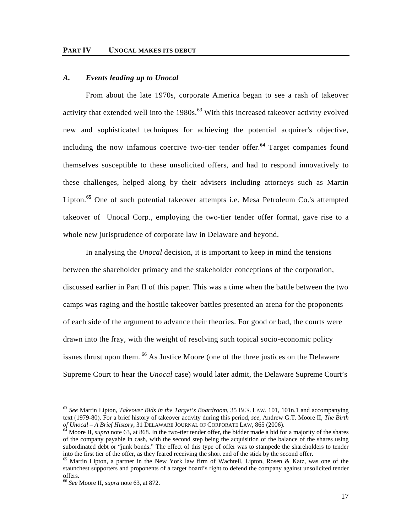#### *A. Events leading up to Unocal*

From about the late 1970s, corporate America began to see a rash of takeover activity that extended well into the  $1980s$ .<sup>63</sup> With this increased takeover activity evolved new and sophisticated techniques for achieving the potential acquirer's objective, including the now infamous coercive two-tier tender offer.**<sup>64</sup>** Target companies found themselves susceptible to these unsolicited offers, and had to respond innovatively to these challenges, helped along by their advisers including attorneys such as Martin Lipton.**<sup>65</sup>** One of such potential takeover attempts i.e. Mesa Petroleum Co.'s attempted takeover of Unocal Corp., employing the two-tier tender offer format, gave rise to a whole new jurisprudence of corporate law in Delaware and beyond.

In analysing the *Unocal* decision, it is important to keep in mind the tensions between the shareholder primacy and the stakeholder conceptions of the corporation, discussed earlier in Part II of this paper. This was a time when the battle between the two camps was raging and the hostile takeover battles presented an arena for the proponents of each side of the argument to advance their theories. For good or bad, the courts were drawn into the fray, with the weight of resolving such topical socio-economic policy issues thrust upon them. <sup>66</sup> As Justice Moore (one of the three justices on the Delaware Supreme Court to hear the *Unocal* case) would later admit, the Delaware Supreme Court's

<sup>63</sup> *See* Martin Lipton, *Takeover Bids in the Target's Boardroom*, 35 BUS. LAW. 101, 101n.1 and accompanying text (1979-80). For a brief history of takeover activity during this period, *see*, Andrew G.T. Moore II, *The Birth of Unocal – A Brief History*, 31 DELAWARE JOURNAL OF CORPORATE LAW, 865 (2006).<br><sup>64</sup> Moore II, *supra* note 63, at 868. In the two-tier tender offer, the bidder made a bid for a majority of the shares

of the company payable in cash, with the second step being the acquisition of the balance of the shares using subordinated debt or "junk bonds." The effect of this type of offer was to stampede the shareholders to tender into the first tier of the offer, as they feared receiving the short end of the stick by the second offer.

<sup>&</sup>lt;sup>65</sup> Martin Lipton, a partner in the New York law firm of Wachtell, Lipton, Rosen & Katz, was one of the staunchest supporters and proponents of a target board's right to defend the company against unsolicited tender offers.

<sup>66</sup> *See* Moore II, *supra* note 63, at 872.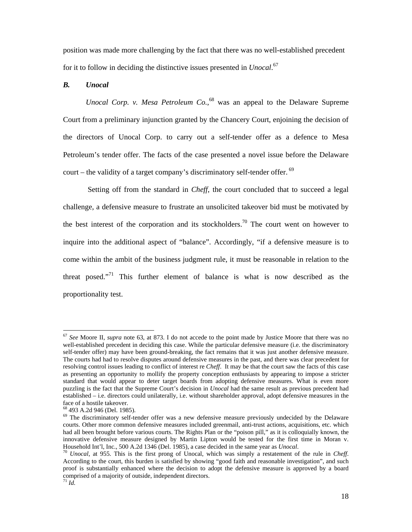position was made more challenging by the fact that there was no well-established precedent for it to follow in deciding the distinctive issues presented in *Unocal*. 67

# *B. Unocal*

*Unocal Corp. v. Mesa Petroleum Co.*, 68 was an appeal to the Delaware Supreme Court from a preliminary injunction granted by the Chancery Court, enjoining the decision of the directors of Unocal Corp. to carry out a self-tender offer as a defence to Mesa Petroleum's tender offer. The facts of the case presented a novel issue before the Delaware court – the validity of a target company's discriminatory self-tender offer.  $69$ 

 Setting off from the standard in *Cheff*, the court concluded that to succeed a legal challenge, a defensive measure to frustrate an unsolicited takeover bid must be motivated by the best interest of the corporation and its stockholders.<sup>70</sup> The court went on however to inquire into the additional aspect of "balance". Accordingly, "if a defensive measure is to come within the ambit of the business judgment rule, it must be reasonable in relation to the threat posed. $171$  This further element of balance is what is now described as the proportionality test.

<sup>67</sup> *See* Moore II, *supra* note 63, at 873. I do not accede to the point made by Justice Moore that there was no well-established precedent in deciding this case. While the particular defensive measure (i.e. the discriminatory self-tender offer) may have been ground-breaking, the fact remains that it was just another defensive measure. The courts had had to resolve disputes around defensive measures in the past, and there was clear precedent for resolving control issues leading to conflict of interest re *Cheff*. It may be that the court saw the facts of this case as presenting an opportunity to mollify the property conception enthusiasts by appearing to impose a stricter standard that would appear to deter target boards from adopting defensive measures. What is even more puzzling is the fact that the Supreme Court's decision in *Unocal* had the same result as previous precedent had established – i.e. directors could unilaterally, i.e. without shareholder approval, adopt defensive measures in the face of a hostile takeover.

<sup>68 493</sup> A.2d 946 (Del. 1985).

 $69$  The discriminatory self-tender offer was a new defensive measure previously undecided by the Delaware courts. Other more common defensive measures included greenmail, anti-trust actions, acquisitions, etc. which had all been brought before various courts. The Rights Plan or the "poison pill," as it is colloquially known, the innovative defensive measure designed by Martin Lipton would be tested for the first time in Moran v. Household Int'l, Inc., 500 A.2d 1346 (Del. 1985), a case decided in the same year as *Unocal*. 70 *Unocal*, at 955. This is the first prong of Unocal, which was simply a restatement of the rule in *Cheff*.

According to the court, this burden is satisfied by showing "good faith and reasonable investigation", and such proof is substantially enhanced where the decision to adopt the defensive measure is approved by a board comprised of a majority of outside, independent directors. <sup>71</sup> *Id.*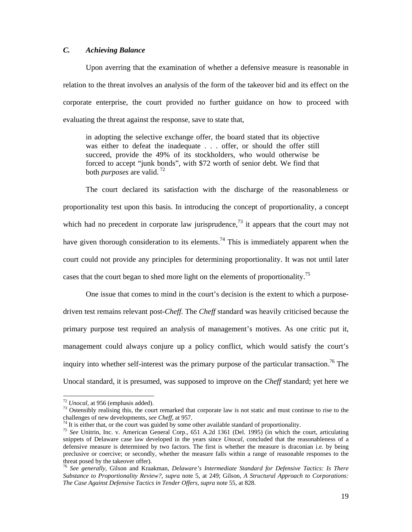# *C. Achieving Balance*

Upon averring that the examination of whether a defensive measure is reasonable in relation to the threat involves an analysis of the form of the takeover bid and its effect on the corporate enterprise, the court provided no further guidance on how to proceed with evaluating the threat against the response, save to state that,

in adopting the selective exchange offer, the board stated that its objective was either to defeat the inadequate . . . offer, or should the offer still succeed, provide the 49% of its stockholders, who would otherwise be forced to accept "junk bonds", with \$72 worth of senior debt. We find that both *purposes* are valid. 72

The court declared its satisfaction with the discharge of the reasonableness or proportionality test upon this basis. In introducing the concept of proportionality, a concept which had no precedent in corporate law jurisprudence,  $^{73}$  it appears that the court may not have given thorough consideration to its elements.<sup>74</sup> This is immediately apparent when the court could not provide any principles for determining proportionality. It was not until later cases that the court began to shed more light on the elements of proportionality.<sup>75</sup>

One issue that comes to mind in the court's decision is the extent to which a purposedriven test remains relevant post-*Cheff*. The *Cheff* standard was heavily criticised because the primary purpose test required an analysis of management's motives. As one critic put it, management could always conjure up a policy conflict, which would satisfy the court's inquiry into whether self-interest was the primary purpose of the particular transaction.<sup>76</sup> The Unocal standard, it is presumed, was supposed to improve on the *Cheff* standard; yet here we

<sup>&</sup>lt;sup>72</sup> *Unocal*, at 956 (emphasis added).<br><sup>73</sup> Ostensibly realising this, the court remarked that corporate law is not static and must continue to rise to the challenges of new developments, *see Cheff*, at 957.

<sup>&</sup>lt;sup>74</sup> It is either that, or the court was guided by some other available standard of proportionality.

<sup>&</sup>lt;sup>75</sup> See Unitrin, Inc. v. American General Corp., 651 A.2d 1361 (Del. 1995) (in which the court, articulating snippets of Delaware case law developed in the years since *Unocal*, concluded that the reasonableness of a defensive measure is determined by two factors. The first is whether the measure is draconian i.e. by being preclusive or coercive; or secondly, whether the measure falls within a range of reasonable responses to the threat posed by the takeover offer).

<sup>76</sup> *See generally*, Gilson and Kraakman, *Delaware's Intermediate Standard for Defensive Tactics: Is There Substance to Proportionality Review?*, *supra* note 5, at 249; Gilson, *A Structural Approach to Corporations: The Case Against Defensive Tactics in Tender Offers*, *supra* note 55, at 828.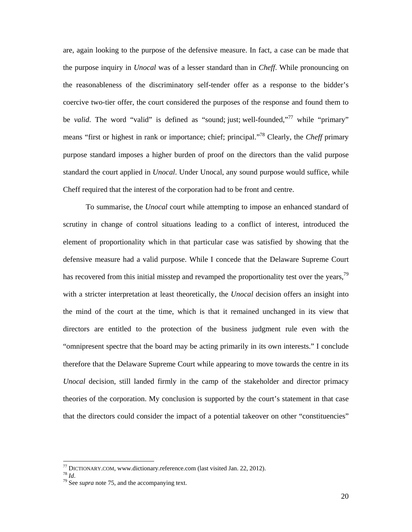are, again looking to the purpose of the defensive measure. In fact, a case can be made that the purpose inquiry in *Unocal* was of a lesser standard than in *Cheff*. While pronouncing on the reasonableness of the discriminatory self-tender offer as a response to the bidder's coercive two-tier offer, the court considered the purposes of the response and found them to be *valid*. The word "valid" is defined as "sound; just; well-founded,"<sup>77</sup> while "primary" means "first or highest in rank or importance; chief; principal."78 Clearly, the *Cheff* primary purpose standard imposes a higher burden of proof on the directors than the valid purpose standard the court applied in *Unocal*. Under Unocal, any sound purpose would suffice, while Cheff required that the interest of the corporation had to be front and centre.

To summarise, the *Unocal* court while attempting to impose an enhanced standard of scrutiny in change of control situations leading to a conflict of interest, introduced the element of proportionality which in that particular case was satisfied by showing that the defensive measure had a valid purpose. While I concede that the Delaware Supreme Court has recovered from this initial misstep and revamped the proportionality test over the years,<sup>79</sup> with a stricter interpretation at least theoretically, the *Unocal* decision offers an insight into the mind of the court at the time, which is that it remained unchanged in its view that directors are entitled to the protection of the business judgment rule even with the "omnipresent spectre that the board may be acting primarily in its own interests." I conclude therefore that the Delaware Supreme Court while appearing to move towards the centre in its *Unocal* decision, still landed firmly in the camp of the stakeholder and director primacy theories of the corporation. My conclusion is supported by the court's statement in that case that the directors could consider the impact of a potential takeover on other "constituencies"

<sup>77</sup> DICTIONARY.COM, www.dictionary.reference.com (last visited Jan. 22, 2012). 78 *Id*. 79 See *supra* note 75, and the accompanying text.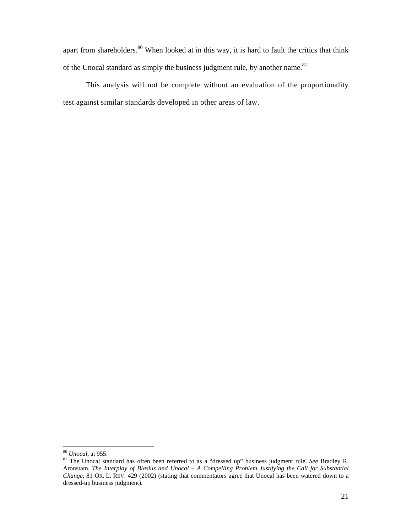apart from shareholders.<sup>80</sup> When looked at in this way, it is hard to fault the critics that think of the Unocal standard as simply the business judgment rule, by another name.<sup>81</sup>

This analysis will not be complete without an evaluation of the proportionality test against similar standards developed in other areas of law.

<sup>80</sup> *Unocal*, at 955. 81 The Unocal standard has often been referred to as a "dressed up" business judgment rule. *See* Bradley R. Aronstam, *The Interplay of Blasius and Unocal – A Compelling Problem Justifying the Call for Substantial Change*, 81 OR. L. REV. 429 (2002) (stating that commentators agree that Unocal has been watered down to a dressed-up business judgment).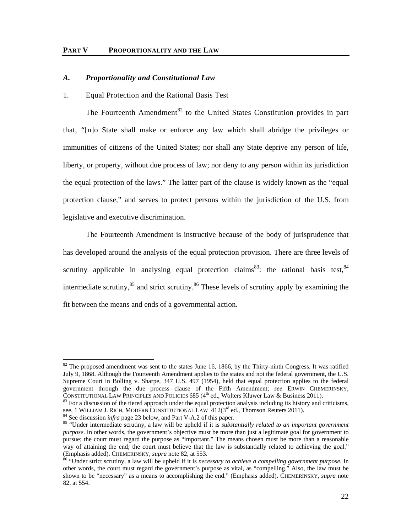# *A. Proportionality and Constitutional Law*

#### 1. Equal Protection and the Rational Basis Test

The Fourteenth Amendment<sup>82</sup> to the United States Constitution provides in part that, "[n]o State shall make or enforce any law which shall abridge the privileges or immunities of citizens of the United States; nor shall any State deprive any person of life, liberty, or property, without due process of law; nor deny to any person within its jurisdiction the equal protection of the laws." The latter part of the clause is widely known as the "equal protection clause," and serves to protect persons within the jurisdiction of the U.S. from legislative and executive discrimination.

The Fourteenth Amendment is instructive because of the body of jurisprudence that has developed around the analysis of the equal protection provision. There are three levels of scrutiny applicable in analysing equal protection claims<sup>83</sup>: the rational basis test,  $84$ intermediate scrutiny, $85$  and strict scrutiny. $86$  These levels of scrutiny apply by examining the fit between the means and ends of a governmental action.

 $82$  The proposed amendment was sent to the states June 16, 1866, by the Thirty-ninth Congress. It was ratified July 9, 1868. Although the Fourteenth Amendment applies to the states and not the federal government, the U.S. Supreme Court in Bolling v. Sharpe, 347 U.S. 497 (1954), held that equal protection applies to the federal government through the due process clause of the Fifth Amendment; *see* ERWIN CHEMERINSKY, CONSTITUTIONAL LAW PRINCIPLES AND POLICIES 685 ( $4<sup>th</sup>$  ed., Wolters Kluwer Law & Business 2011). <sup>83</sup> For a discussion of the tiered approach under the equal protection analysis including its history and criticisms,

see, 1 WILLIAM J. RICH, MODERN CONSTITUTIONAL LAW  $412(3^{rd}$  ed., Thomson Reuters 2011).<br><sup>84</sup> See discussion *infra* page 23 below, and Part V-A.2 of this paper.<br><sup>85</sup> "Under intermediate scrutiny, a law will be upheld if

*purpose*. In other words, the government's objective must be more than just a legitimate goal for government to pursue; the court must regard the purpose as "important." The means chosen must be more than a reasonable way of attaining the end; the court must believe that the law is substantially related to achieving the goal."<br>(Emphasis added). CHEMERINSKY, *supra* note 82, at 553.

<sup>&</sup>lt;sup>86</sup> "Under strict scrutiny, a law will be upheld if it is *necessary to achieve a compelling government purpose*. In other words, the court must regard the government's purpose as vital, as "compelling." Also, the law must be shown to be "necessary" as a means to accomplishing the end." (Emphasis added). CHEMERINSKY, *supra* note 82, at 554.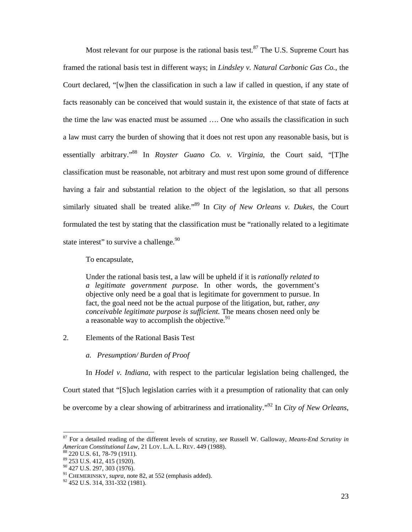Most relevant for our purpose is the rational basis test.<sup>87</sup> The U.S. Supreme Court has framed the rational basis test in different ways; in *Lindsley v. Natural Carbonic Gas Co.*, the Court declared, "[w]hen the classification in such a law if called in question, if any state of facts reasonably can be conceived that would sustain it, the existence of that state of facts at the time the law was enacted must be assumed …. One who assails the classification in such a law must carry the burden of showing that it does not rest upon any reasonable basis, but is essentially arbitrary."88 In *Royster Guano Co. v. Virginia*, the Court said, "[T]he classification must be reasonable, not arbitrary and must rest upon some ground of difference having a fair and substantial relation to the object of the legislation, so that all persons similarly situated shall be treated alike."89 In *City of New Orleans v. Dukes*, the Court formulated the test by stating that the classification must be "rationally related to a legitimate state interest" to survive a challenge.<sup>90</sup>

To encapsulate,

Under the rational basis test, a law will be upheld if it is *rationally related to a legitimate government purpose*. In other words, the government's objective only need be a goal that is legitimate for government to pursue. In fact, the goal need not be the actual purpose of the litigation, but, rather, *any conceivable legitimate purpose is sufficient*. The means chosen need only be a reasonable way to accomplish the objective.<sup>91</sup>

2. Elements of the Rational Basis Test

*a. Presumption/ Burden of Proof* 

In *Hodel v. Indiana*, with respect to the particular legislation being challenged, the Court stated that "[S]uch legislation carries with it a presumption of rationality that can only be overcome by a clear showing of arbitrariness and irrationality."92 In *City of New Orleans*,

<sup>87</sup> For a detailed reading of the different levels of scrutiny, *see* Russell W. Galloway, *Means-End Scrutiny in American Constitutional Law*, 21 LOY. L.A. L. REV. 449 (1988). 88 220 U.S. 61, 78-79 (1911).

<sup>89 253</sup> U.S. 412, 415 (1920).

<sup>90 427</sup> U.S. 297, 303 (1976).

<sup>91</sup> CHEMERINSKY, *supra,* note 82, at 552 (emphasis added). 92 452 U.S. 314, 331-332 (1981).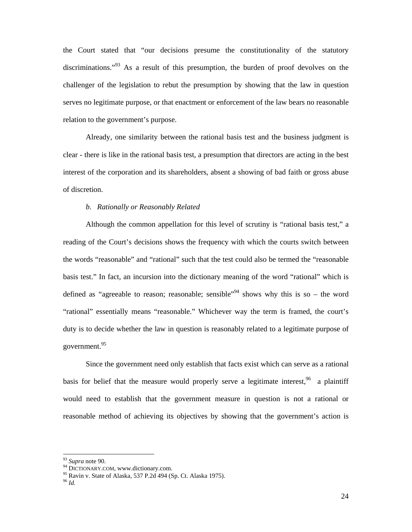the Court stated that "our decisions presume the constitutionality of the statutory discriminations."<sup>93</sup> As a result of this presumption, the burden of proof devolves on the challenger of the legislation to rebut the presumption by showing that the law in question serves no legitimate purpose, or that enactment or enforcement of the law bears no reasonable relation to the government's purpose.

Already, one similarity between the rational basis test and the business judgment is clear - there is like in the rational basis test, a presumption that directors are acting in the best interest of the corporation and its shareholders, absent a showing of bad faith or gross abuse of discretion.

# *b. Rationally or Reasonably Related*

Although the common appellation for this level of scrutiny is "rational basis test," a reading of the Court's decisions shows the frequency with which the courts switch between the words "reasonable" and "rational" such that the test could also be termed the "reasonable basis test." In fact, an incursion into the dictionary meaning of the word "rational" which is defined as "agreeable to reason; reasonable; sensible"<sup>94</sup> shows why this is so – the word "rational" essentially means "reasonable." Whichever way the term is framed, the court's duty is to decide whether the law in question is reasonably related to a legitimate purpose of government.95

Since the government need only establish that facts exist which can serve as a rational basis for belief that the measure would properly serve a legitimate interest,  $96$  a plaintiff would need to establish that the government measure in question is not a rational or reasonable method of achieving its objectives by showing that the government's action is

<sup>&</sup>lt;sup>93</sup> Supra note 90.

<sup>&</sup>lt;sup>94</sup> DICTIONARY.COM, www.dictionary.com.<br><sup>95</sup> Ravin v. State of Alaska, 537 P.2d 494 (Sp. Ct. Alaska 1975).

 $^{96}$  *Id.*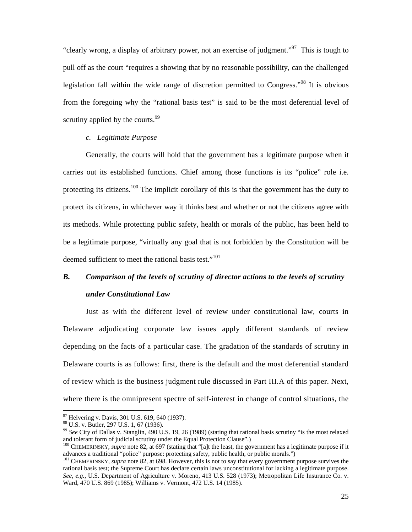"clearly wrong, a display of arbitrary power, not an exercise of judgment."97 This is tough to pull off as the court "requires a showing that by no reasonable possibility, can the challenged legislation fall within the wide range of discretion permitted to Congress."98 It is obvious from the foregoing why the "rational basis test" is said to be the most deferential level of scrutiny applied by the courts.<sup>99</sup>

## *c. Legitimate Purpose*

Generally, the courts will hold that the government has a legitimate purpose when it carries out its established functions. Chief among those functions is its "police" role i.e. protecting its citizens.<sup>100</sup> The implicit corollary of this is that the government has the duty to protect its citizens, in whichever way it thinks best and whether or not the citizens agree with its methods. While protecting public safety, health or morals of the public, has been held to be a legitimate purpose, "virtually any goal that is not forbidden by the Constitution will be deemed sufficient to meet the rational basis test."<sup>101</sup>

# *B. Comparison of the levels of scrutiny of director actions to the levels of scrutiny under Constitutional Law*

Just as with the different level of review under constitutional law, courts in Delaware adjudicating corporate law issues apply different standards of review depending on the facts of a particular case. The gradation of the standards of scrutiny in Delaware courts is as follows: first, there is the default and the most deferential standard of review which is the business judgment rule discussed in Part III.A of this paper. Next, where there is the omnipresent spectre of self-interest in change of control situations, the

<sup>&</sup>lt;sup>97</sup> Helvering v. Davis, 301 U.S. 619, 640 (1937).

<sup>98</sup> U.S. v. Butler, 297 U.S. 1, 67 (1936).

<sup>&</sup>lt;sup>99</sup> See City of Dallas v. Stanglin, 490 U.S. 19, 26 (1989) (stating that rational basis scrutiny "is the most relaxed and tolerant form of judicial scrutiny under the Equal Protection Clause".)

<sup>&</sup>lt;sup>100</sup> CHEMERINSKY, *supra* note 82, at 697 (stating that "[a]t the least, the government has a legitimate purpose if it advances a traditional "police" purpose: protecting safety, public health, or public morals.")

<sup>&</sup>lt;sup>101</sup> CHEMERINSKY, *supra* note 82, at 698. However, this is not to say that every government purpose survives the rational basis test; the Supreme Court has declare certain laws unconstitutional for lacking a legitimate purpose. *See, e.g.*, U.S. Department of Agriculture v. Moreno, 413 U.S. 528 (1973); Metropolitan Life Insurance Co. v. Ward, 470 U.S. 869 (1985); Williams v. Vermont, 472 U.S. 14 (1985).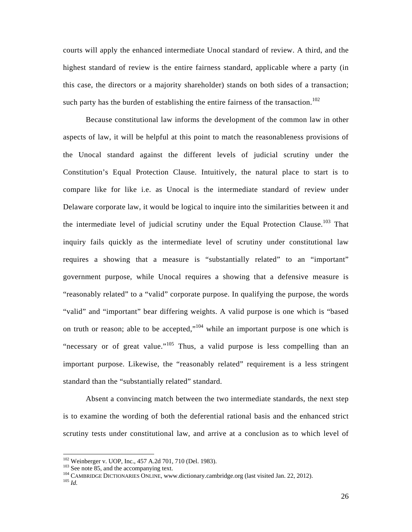courts will apply the enhanced intermediate Unocal standard of review. A third, and the highest standard of review is the entire fairness standard, applicable where a party (in this case, the directors or a majority shareholder) stands on both sides of a transaction; such party has the burden of establishing the entire fairness of the transaction.<sup>102</sup>

Because constitutional law informs the development of the common law in other aspects of law, it will be helpful at this point to match the reasonableness provisions of the Unocal standard against the different levels of judicial scrutiny under the Constitution's Equal Protection Clause. Intuitively, the natural place to start is to compare like for like i.e. as Unocal is the intermediate standard of review under Delaware corporate law, it would be logical to inquire into the similarities between it and the intermediate level of judicial scrutiny under the Equal Protection Clause.<sup>103</sup> That inquiry fails quickly as the intermediate level of scrutiny under constitutional law requires a showing that a measure is "substantially related" to an "important" government purpose, while Unocal requires a showing that a defensive measure is "reasonably related" to a "valid" corporate purpose. In qualifying the purpose, the words "valid" and "important" bear differing weights. A valid purpose is one which is "based on truth or reason; able to be accepted,"<sup>104</sup> while an important purpose is one which is "necessary or of great value."<sup>105</sup> Thus, a valid purpose is less compelling than an important purpose. Likewise, the "reasonably related" requirement is a less stringent standard than the "substantially related" standard.

Absent a convincing match between the two intermediate standards, the next step is to examine the wording of both the deferential rational basis and the enhanced strict scrutiny tests under constitutional law, and arrive at a conclusion as to which level of

<sup>&</sup>lt;sup>102</sup> Weinberger v. UOP, Inc., 457 A.2d 701, 710 (Del. 1983).

<sup>&</sup>lt;sup>103</sup> See note 85, and the accompanying text.<br><sup>104</sup> CAMBRIDGE DICTIONARIES ONLINE, www.dictionary.cambridge.org (last visited Jan. 22, 2012).<br><sup>105</sup> *Id.*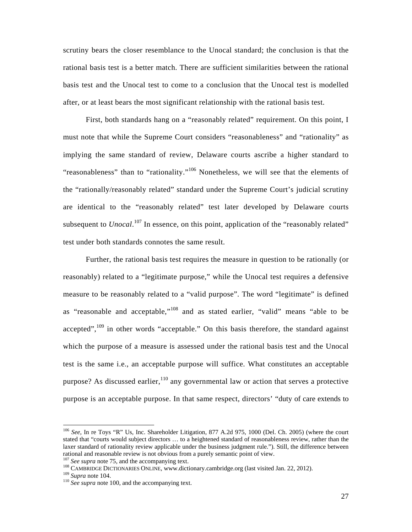scrutiny bears the closer resemblance to the Unocal standard; the conclusion is that the rational basis test is a better match. There are sufficient similarities between the rational basis test and the Unocal test to come to a conclusion that the Unocal test is modelled after, or at least bears the most significant relationship with the rational basis test.

First, both standards hang on a "reasonably related" requirement. On this point, I must note that while the Supreme Court considers "reasonableness" and "rationality" as implying the same standard of review, Delaware courts ascribe a higher standard to "reasonableness" than to "rationality."<sup>106</sup> Nonetheless, we will see that the elements of the "rationally/reasonably related" standard under the Supreme Court's judicial scrutiny are identical to the "reasonably related" test later developed by Delaware courts subsequent to *Unocal*.<sup>107</sup> In essence, on this point, application of the "reasonably related" test under both standards connotes the same result.

Further, the rational basis test requires the measure in question to be rationally (or reasonably) related to a "legitimate purpose," while the Unocal test requires a defensive measure to be reasonably related to a "valid purpose". The word "legitimate" is defined as "reasonable and acceptable,"108 and as stated earlier, "valid" means "able to be accepted", $109$  in other words "acceptable." On this basis therefore, the standard against which the purpose of a measure is assessed under the rational basis test and the Unocal test is the same i.e., an acceptable purpose will suffice. What constitutes an acceptable purpose? As discussed earlier,  $110$  any governmental law or action that serves a protective purpose is an acceptable purpose. In that same respect, directors' "duty of care extends to

<sup>106</sup> *See*, In re Toys "R" Us, Inc. Shareholder Litigation, 877 A.2d 975, 1000 (Del. Ch. 2005) (where the court stated that "courts would subject directors … to a heightened standard of reasonableness review, rather than the laxer standard of rationality review applicable under the business judgment rule."). Still, the difference between rational and reasonable review is not obvious from a purely semantic point of view.  $^{107}$  See supra note 75, and the accompanying text.

<sup>&</sup>lt;sup>108</sup> CAMBRIDGE DICTIONARIES ONLINE, www.dictionary.cambridge.org (last visited Jan. 22, 2012).<br><sup>109</sup> Supra note 104.<br><sup>110</sup> See supra note 100, and the accompanying text.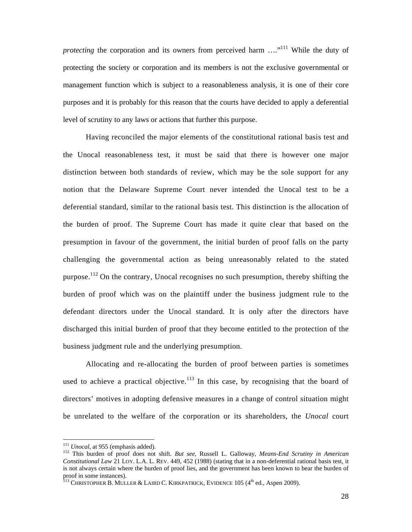*protecting* the corporation and its owners from perceived harm ...."<sup>111</sup> While the duty of protecting the society or corporation and its members is not the exclusive governmental or management function which is subject to a reasonableness analysis, it is one of their core purposes and it is probably for this reason that the courts have decided to apply a deferential level of scrutiny to any laws or actions that further this purpose.

Having reconciled the major elements of the constitutional rational basis test and the Unocal reasonableness test, it must be said that there is however one major distinction between both standards of review, which may be the sole support for any notion that the Delaware Supreme Court never intended the Unocal test to be a deferential standard, similar to the rational basis test. This distinction is the allocation of the burden of proof. The Supreme Court has made it quite clear that based on the presumption in favour of the government, the initial burden of proof falls on the party challenging the governmental action as being unreasonably related to the stated purpose.<sup>112</sup> On the contrary, Unocal recognises no such presumption, thereby shifting the burden of proof which was on the plaintiff under the business judgment rule to the defendant directors under the Unocal standard. It is only after the directors have discharged this initial burden of proof that they become entitled to the protection of the business judgment rule and the underlying presumption.

Allocating and re-allocating the burden of proof between parties is sometimes used to achieve a practical objective.<sup>113</sup> In this case, by recognising that the board of directors' motives in adopting defensive measures in a change of control situation might be unrelated to the welfare of the corporation or its shareholders, the *Unocal* court

<sup>&</sup>lt;sup>111</sup> Unocal, at 955 (emphasis added).

<sup>&</sup>lt;sup>112</sup> This burden of proof does not shift. *But see*, Russell L. Galloway, *Means-End Scrutiny in American Constitutional Law* 21 LOY. L.A. L. REV. 449, 452 (1988) (stating that in a non-deferential rational basis test, it is not always certain where the burden of proof lies, and the government has been known to bear the burden of proof in some instances).

 $^{113}$  Christopher B. Muller & Laird C. Kirkpatrick, Evidence 105 (4<sup>th</sup> ed., Aspen 2009).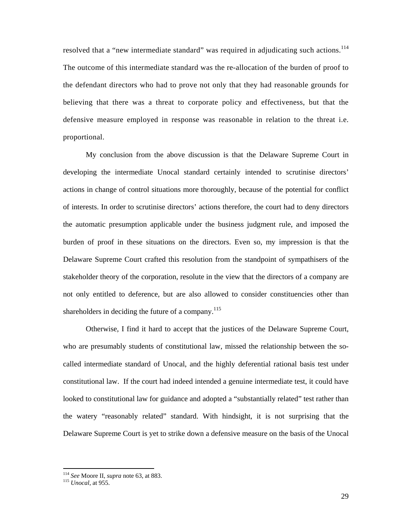resolved that a "new intermediate standard" was required in adjudicating such actions.<sup>114</sup> The outcome of this intermediate standard was the re-allocation of the burden of proof to the defendant directors who had to prove not only that they had reasonable grounds for believing that there was a threat to corporate policy and effectiveness, but that the defensive measure employed in response was reasonable in relation to the threat i.e. proportional.

My conclusion from the above discussion is that the Delaware Supreme Court in developing the intermediate Unocal standard certainly intended to scrutinise directors' actions in change of control situations more thoroughly, because of the potential for conflict of interests. In order to scrutinise directors' actions therefore, the court had to deny directors the automatic presumption applicable under the business judgment rule, and imposed the burden of proof in these situations on the directors. Even so, my impression is that the Delaware Supreme Court crafted this resolution from the standpoint of sympathisers of the stakeholder theory of the corporation, resolute in the view that the directors of a company are not only entitled to deference, but are also allowed to consider constituencies other than shareholders in deciding the future of a company.<sup>115</sup>

Otherwise, I find it hard to accept that the justices of the Delaware Supreme Court, who are presumably students of constitutional law, missed the relationship between the socalled intermediate standard of Unocal, and the highly deferential rational basis test under constitutional law. If the court had indeed intended a genuine intermediate test, it could have looked to constitutional law for guidance and adopted a "substantially related" test rather than the watery "reasonably related" standard. With hindsight, it is not surprising that the Delaware Supreme Court is yet to strike down a defensive measure on the basis of the Unocal

<sup>114</sup> *See* Moore II, *supra* note 63, at 883. 115 *Unocal*, at 955.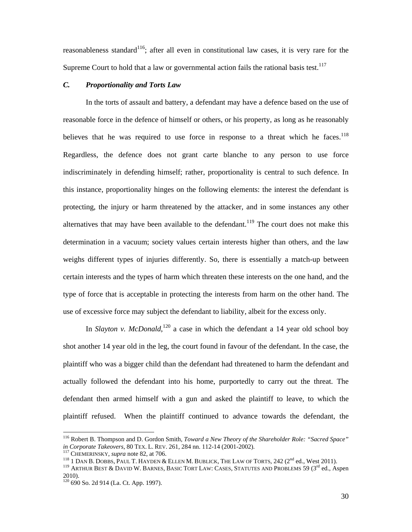reasonableness standard<sup>116</sup>; after all even in constitutional law cases, it is very rare for the Supreme Court to hold that a law or governmental action fails the rational basis test.<sup>117</sup>

# *C. Proportionality and Torts Law*

In the torts of assault and battery, a defendant may have a defence based on the use of reasonable force in the defence of himself or others, or his property, as long as he reasonably believes that he was required to use force in response to a threat which he faces.<sup>118</sup> Regardless, the defence does not grant carte blanche to any person to use force indiscriminately in defending himself; rather, proportionality is central to such defence. In this instance, proportionality hinges on the following elements: the interest the defendant is protecting, the injury or harm threatened by the attacker, and in some instances any other alternatives that may have been available to the defendant.<sup>119</sup> The court does not make this determination in a vacuum; society values certain interests higher than others, and the law weighs different types of injuries differently. So, there is essentially a match-up between certain interests and the types of harm which threaten these interests on the one hand, and the type of force that is acceptable in protecting the interests from harm on the other hand. The use of excessive force may subject the defendant to liability, albeit for the excess only.

In *Slayton v. McDonald*,<sup>120</sup> a case in which the defendant a 14 year old school boy shot another 14 year old in the leg, the court found in favour of the defendant. In the case, the plaintiff who was a bigger child than the defendant had threatened to harm the defendant and actually followed the defendant into his home, purportedly to carry out the threat. The defendant then armed himself with a gun and asked the plaintiff to leave, to which the plaintiff refused. When the plaintiff continued to advance towards the defendant, the

<sup>116</sup> Robert B. Thompson and D. Gordon Smith, *Toward a New Theory of the Shareholder Role: "Sacred Space" in Corporate Takeovers*, 80 TEX. L. REV. 261, 284 nn. 112-14 (2001-2002).<br><sup>117</sup> CHEMERINSKY, *supra* note 82, at 706.<br><sup>118</sup> 1 DAN B. DOBBS, PAUL T. HAYDEN & ELLEN M. BUBLICK, THE LAW OF TORTS, 242 (2<sup>nd</sup> ed., West 2011).<br>

<sup>2010).</sup> 

<sup>120 690</sup> So. 2d 914 (La. Ct. App. 1997).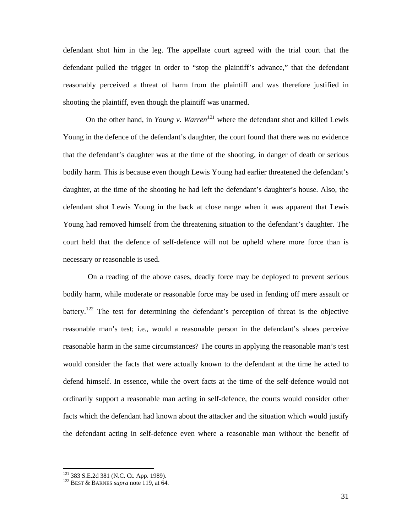defendant shot him in the leg. The appellate court agreed with the trial court that the defendant pulled the trigger in order to "stop the plaintiff's advance," that the defendant reasonably perceived a threat of harm from the plaintiff and was therefore justified in shooting the plaintiff, even though the plaintiff was unarmed.

On the other hand, in *Young v. Warren<sup>121</sup>* where the defendant shot and killed Lewis Young in the defence of the defendant's daughter, the court found that there was no evidence that the defendant's daughter was at the time of the shooting, in danger of death or serious bodily harm. This is because even though Lewis Young had earlier threatened the defendant's daughter, at the time of the shooting he had left the defendant's daughter's house. Also, the defendant shot Lewis Young in the back at close range when it was apparent that Lewis Young had removed himself from the threatening situation to the defendant's daughter. The court held that the defence of self-defence will not be upheld where more force than is necessary or reasonable is used.

 On a reading of the above cases, deadly force may be deployed to prevent serious bodily harm, while moderate or reasonable force may be used in fending off mere assault or battery.<sup>122</sup> The test for determining the defendant's perception of threat is the objective reasonable man's test; i.e., would a reasonable person in the defendant's shoes perceive reasonable harm in the same circumstances? The courts in applying the reasonable man's test would consider the facts that were actually known to the defendant at the time he acted to defend himself. In essence, while the overt facts at the time of the self-defence would not ordinarily support a reasonable man acting in self-defence, the courts would consider other facts which the defendant had known about the attacker and the situation which would justify the defendant acting in self-defence even where a reasonable man without the benefit of

<sup>121 383</sup> S.E.2d 381 (N.C. Ct. App. 1989). 122 BEST & BARNES *supra* note 119, at 64.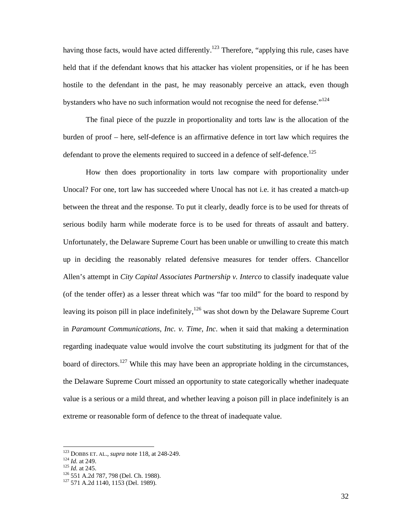having those facts, would have acted differently.<sup>123</sup> Therefore, "applying this rule, cases have held that if the defendant knows that his attacker has violent propensities, or if he has been hostile to the defendant in the past, he may reasonably perceive an attack, even though bystanders who have no such information would not recognise the need for defense."<sup>124</sup>

The final piece of the puzzle in proportionality and torts law is the allocation of the burden of proof – here, self-defence is an affirmative defence in tort law which requires the defendant to prove the elements required to succeed in a defence of self-defence.<sup>125</sup>

How then does proportionality in torts law compare with proportionality under Unocal? For one, tort law has succeeded where Unocal has not i.e. it has created a match-up between the threat and the response. To put it clearly, deadly force is to be used for threats of serious bodily harm while moderate force is to be used for threats of assault and battery. Unfortunately, the Delaware Supreme Court has been unable or unwilling to create this match up in deciding the reasonably related defensive measures for tender offers. Chancellor Allen's attempt in *City Capital Associates Partnership v. Interco* to classify inadequate value (of the tender offer) as a lesser threat which was "far too mild" for the board to respond by leaving its poison pill in place indefinitely,  $126$  was shot down by the Delaware Supreme Court in *Paramount Communications, Inc. v. Time, Inc*. when it said that making a determination regarding inadequate value would involve the court substituting its judgment for that of the board of directors.<sup>127</sup> While this may have been an appropriate holding in the circumstances, the Delaware Supreme Court missed an opportunity to state categorically whether inadequate value is a serious or a mild threat, and whether leaving a poison pill in place indefinitely is an extreme or reasonable form of defence to the threat of inadequate value.

<sup>&</sup>lt;sup>123</sup> DOBBS ET. AL., *supra* note 118, at 248-249.<br><sup>124</sup> *Id.* at 249.<br><sup>125</sup> *Id.* at 245.<br><sup>126</sup> 551 A.2d 787, 798 (Del. Ch. 1988).<br><sup>127</sup> 571 A.2d 1140, 1153 (Del. 1989).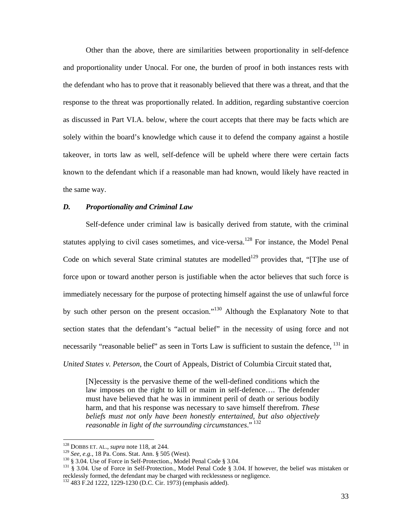Other than the above, there are similarities between proportionality in self-defence and proportionality under Unocal. For one, the burden of proof in both instances rests with the defendant who has to prove that it reasonably believed that there was a threat, and that the response to the threat was proportionally related. In addition, regarding substantive coercion as discussed in Part VI.A. below, where the court accepts that there may be facts which are solely within the board's knowledge which cause it to defend the company against a hostile takeover, in torts law as well, self-defence will be upheld where there were certain facts known to the defendant which if a reasonable man had known, would likely have reacted in the same way.

# *D. Proportionality and Criminal Law*

Self-defence under criminal law is basically derived from statute, with the criminal statutes applying to civil cases sometimes, and vice-versa.<sup>128</sup> For instance, the Model Penal Code on which several State criminal statutes are modelled<sup>129</sup> provides that, "[T]he use of force upon or toward another person is justifiable when the actor believes that such force is immediately necessary for the purpose of protecting himself against the use of unlawful force by such other person on the present occasion."<sup>130</sup> Although the Explanatory Note to that section states that the defendant's "actual belief" in the necessity of using force and not necessarily "reasonable belief" as seen in Torts Law is sufficient to sustain the defence, <sup>131</sup> in *United States v. Peterson*, the Court of Appeals, District of Columbia Circuit stated that,

[N]ecessity is the pervasive theme of the well-defined conditions which the law imposes on the right to kill or maim in self-defence…. The defender must have believed that he was in imminent peril of death or serious bodily harm, and that his response was necessary to save himself therefrom. *These beliefs must not only have been honestly entertained, but also objectively reasonable in light of the surrounding circumstances*." 132

<sup>&</sup>lt;sup>128</sup> DOBBS ET. AL., *supra* note 118, at 244.

<sup>&</sup>lt;sup>129</sup> See, e.g., 18 Pa. Cons. Stat. Ann. § 505 (West).<br><sup>130</sup> § 3.04. Use of Force in Self-Protection., Model Penal Code § 3.04.<br><sup>131</sup> § 3.04. Use of Force in Self-Protection., Model Penal Code § 3.04. If however, the beli recklessly formed, the defendant may be charged with recklessness or negligence.

<sup>132 483</sup> F.2d 1222, 1229-1230 (D.C. Cir. 1973) (emphasis added).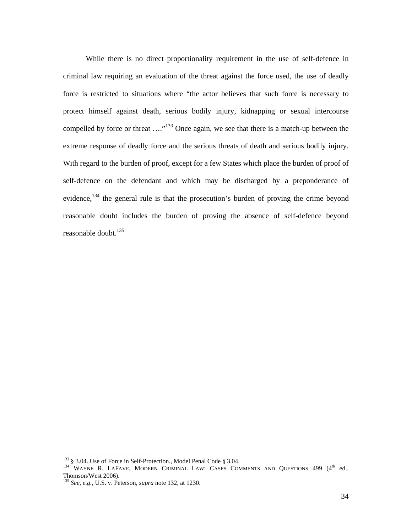While there is no direct proportionality requirement in the use of self-defence in criminal law requiring an evaluation of the threat against the force used, the use of deadly force is restricted to situations where "the actor believes that such force is necessary to protect himself against death, serious bodily injury, kidnapping or sexual intercourse compelled by force or threat ...."<sup>133</sup> Once again, we see that there is a match-up between the extreme response of deadly force and the serious threats of death and serious bodily injury. With regard to the burden of proof, except for a few States which place the burden of proof of self-defence on the defendant and which may be discharged by a preponderance of evidence,<sup>134</sup> the general rule is that the prosecution's burden of proving the crime beyond reasonable doubt includes the burden of proving the absence of self-defence beyond reasonable doubt.<sup>135</sup>

<sup>&</sup>lt;sup>133</sup> § 3.04. Use of Force in Self-Protection., Model Penal Code § 3.04.

<sup>&</sup>lt;sup>134</sup> WAYNE R. LAFAVE, MODERN CRIMINAL LAW: CASES COMMENTS AND QUESTIONS 499 (4<sup>th</sup> ed., Thomson/West 2006).

<sup>135</sup> *See, e.g.*, U.S. v. Peterson, *supra* note 132, at 1230.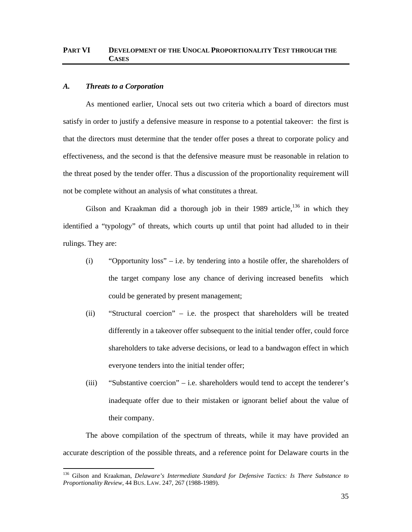# **PART VI DEVELOPMENT OF THE UNOCAL PROPORTIONALITY TEST THROUGH THE CASES**

#### *A. Threats to a Corporation*

-

As mentioned earlier, Unocal sets out two criteria which a board of directors must satisfy in order to justify a defensive measure in response to a potential takeover: the first is that the directors must determine that the tender offer poses a threat to corporate policy and effectiveness, and the second is that the defensive measure must be reasonable in relation to the threat posed by the tender offer. Thus a discussion of the proportionality requirement will not be complete without an analysis of what constitutes a threat.

Gilson and Kraakman did a thorough job in their 1989 article,  $136$  in which they identified a "typology" of threats, which courts up until that point had alluded to in their rulings. They are:

- (i) "Opportunity loss" i.e. by tendering into a hostile offer, the shareholders of the target company lose any chance of deriving increased benefits which could be generated by present management;
- (ii) "Structural coercion" i.e. the prospect that shareholders will be treated differently in a takeover offer subsequent to the initial tender offer, could force shareholders to take adverse decisions, or lead to a bandwagon effect in which everyone tenders into the initial tender offer;
- (iii) "Substantive coercion" i.e. shareholders would tend to accept the tenderer's inadequate offer due to their mistaken or ignorant belief about the value of their company.

The above compilation of the spectrum of threats, while it may have provided an accurate description of the possible threats, and a reference point for Delaware courts in the

<sup>136</sup> Gilson and Kraakman, *Delaware's Intermediate Standard for Defensive Tactics: Is There Substance to Proportionality Review*, 44 BUS. LAW. 247, 267 (1988-1989).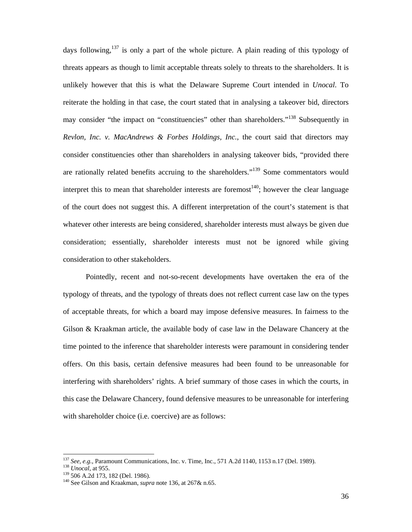days following,  $137$  is only a part of the whole picture. A plain reading of this typology of threats appears as though to limit acceptable threats solely to threats to the shareholders. It is unlikely however that this is what the Delaware Supreme Court intended in *Unocal*. To reiterate the holding in that case, the court stated that in analysing a takeover bid, directors may consider "the impact on "constituencies" other than shareholders."<sup>138</sup> Subsequently in *Revlon, Inc. v. MacAndrews & Forbes Holdings, Inc.*, the court said that directors may consider constituencies other than shareholders in analysing takeover bids, "provided there are rationally related benefits accruing to the shareholders."<sup>139</sup> Some commentators would interpret this to mean that shareholder interests are foremost<sup>140</sup>; however the clear language of the court does not suggest this. A different interpretation of the court's statement is that whatever other interests are being considered, shareholder interests must always be given due consideration; essentially, shareholder interests must not be ignored while giving consideration to other stakeholders.

Pointedly, recent and not-so-recent developments have overtaken the era of the typology of threats, and the typology of threats does not reflect current case law on the types of acceptable threats, for which a board may impose defensive measures. In fairness to the Gilson & Kraakman article, the available body of case law in the Delaware Chancery at the time pointed to the inference that shareholder interests were paramount in considering tender offers. On this basis, certain defensive measures had been found to be unreasonable for interfering with shareholders' rights. A brief summary of those cases in which the courts, in this case the Delaware Chancery, found defensive measures to be unreasonable for interfering with shareholder choice (i.e. coercive) are as follows:

<sup>&</sup>lt;sup>137</sup> See, e.g., Paramount Communications, Inc. v. Time, Inc., 571 A.2d 1140, 1153 n.17 (Del. 1989).<br><sup>138</sup> Unocal, at 955.<br><sup>139</sup> 506 A.2d 173, 182 (Del. 1986).<br><sup>140</sup> See Gilson and Kraakman, *supra* note 136, at 267& n.65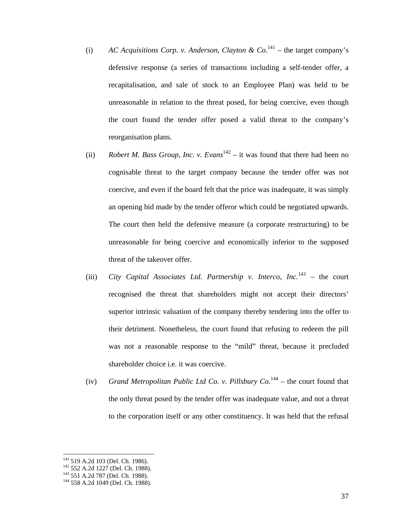- (i) *AC Acquisitions Corp. v. Anderson, Clayton & Co.*<sup>141</sup> the target company's defensive response (a series of transactions including a self-tender offer, a recapitalisation, and sale of stock to an Employee Plan) was held to be unreasonable in relation to the threat posed, for being coercive, even though the court found the tender offer posed a valid threat to the company's reorganisation plans.
- (ii) *Robert M. Bass Group, Inc. v. Evans*<sup>142</sup> it was found that there had been no cognisable threat to the target company because the tender offer was not coercive, and even if the board felt that the price was inadequate, it was simply an opening bid made by the tender offeror which could be negotiated upwards. The court then held the defensive measure (a corporate restructuring) to be unreasonable for being coercive and economically inferior to the supposed threat of the takeover offer.
- (iii) *City Capital Associates Ltd. Partnership v. Interco, Inc.*143 the court recognised the threat that shareholders might not accept their directors' superior intrinsic valuation of the company thereby tendering into the offer to their detriment. Nonetheless, the court found that refusing to redeem the pill was not a reasonable response to the "mild" threat, because it precluded shareholder choice i.e. it was coercive.
- (iv) *Grand Metropolitan Public Ltd Co. v. Pillsbury Co.*<sup>144</sup> the court found that the only threat posed by the tender offer was inadequate value, and not a threat to the corporation itself or any other constituency. It was held that the refusal

<sup>&</sup>lt;sup>141</sup> 519 A.2d 103 (Del. Ch. 1986).<br><sup>142</sup> 552 A.2d 1227 (Del. Ch. 1988).<br><sup>143</sup> 551 A.2d 787 (Del. Ch. 1988).<br><sup>144</sup> 558 A.2d 1049 (Del. Ch. 1988).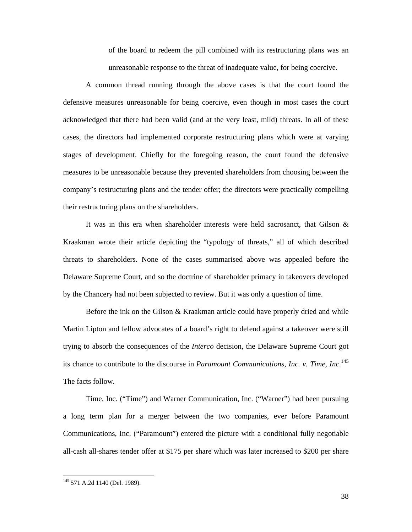of the board to redeem the pill combined with its restructuring plans was an unreasonable response to the threat of inadequate value, for being coercive.

A common thread running through the above cases is that the court found the defensive measures unreasonable for being coercive, even though in most cases the court acknowledged that there had been valid (and at the very least, mild) threats. In all of these cases, the directors had implemented corporate restructuring plans which were at varying stages of development. Chiefly for the foregoing reason, the court found the defensive measures to be unreasonable because they prevented shareholders from choosing between the company's restructuring plans and the tender offer; the directors were practically compelling their restructuring plans on the shareholders.

It was in this era when shareholder interests were held sacrosanct, that Gilson & Kraakman wrote their article depicting the "typology of threats," all of which described threats to shareholders. None of the cases summarised above was appealed before the Delaware Supreme Court, and so the doctrine of shareholder primacy in takeovers developed by the Chancery had not been subjected to review. But it was only a question of time.

Before the ink on the Gilson & Kraakman article could have properly dried and while Martin Lipton and fellow advocates of a board's right to defend against a takeover were still trying to absorb the consequences of the *Interco* decision, the Delaware Supreme Court got its chance to contribute to the discourse in *Paramount Communications, Inc. v. Time, Inc*. 145 The facts follow.

Time, Inc. ("Time") and Warner Communication, Inc. ("Warner") had been pursuing a long term plan for a merger between the two companies, ever before Paramount Communications, Inc. ("Paramount") entered the picture with a conditional fully negotiable all-cash all-shares tender offer at \$175 per share which was later increased to \$200 per share

<sup>&</sup>lt;sup>145</sup> 571 A.2d 1140 (Del. 1989).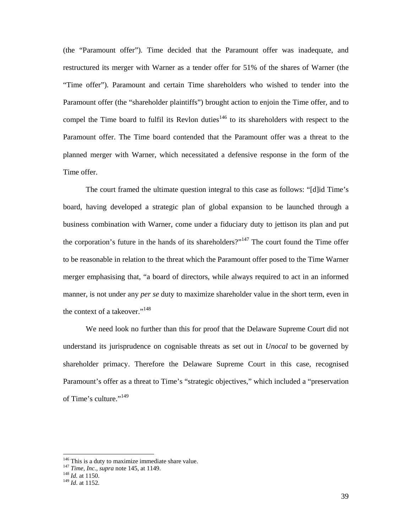(the "Paramount offer"). Time decided that the Paramount offer was inadequate, and restructured its merger with Warner as a tender offer for 51% of the shares of Warner (the "Time offer"). Paramount and certain Time shareholders who wished to tender into the Paramount offer (the "shareholder plaintiffs") brought action to enjoin the Time offer, and to compel the Time board to fulfil its Revlon duties<sup>146</sup> to its shareholders with respect to the Paramount offer. The Time board contended that the Paramount offer was a threat to the planned merger with Warner, which necessitated a defensive response in the form of the Time offer.

The court framed the ultimate question integral to this case as follows: "[d]id Time's board, having developed a strategic plan of global expansion to be launched through a business combination with Warner, come under a fiduciary duty to jettison its plan and put the corporation's future in the hands of its shareholders?"<sup>147</sup> The court found the Time offer to be reasonable in relation to the threat which the Paramount offer posed to the Time Warner merger emphasising that, "a board of directors, while always required to act in an informed manner, is not under any *per se* duty to maximize shareholder value in the short term, even in the context of a takeover."<sup>148</sup>

We need look no further than this for proof that the Delaware Supreme Court did not understand its jurisprudence on cognisable threats as set out in *Unocal* to be governed by shareholder primacy. Therefore the Delaware Supreme Court in this case, recognised Paramount's offer as a threat to Time's "strategic objectives," which included a "preservation of Time's culture."<sup>149</sup>

<sup>&</sup>lt;sup>146</sup> This is a duty to maximize immediate share value.

<sup>147</sup> Time, *Inc.*, *supra* note 145, at 1149.<br><sup>148</sup> *Id.* at 1150.<br><sup>149</sup> *Id.* at 1152.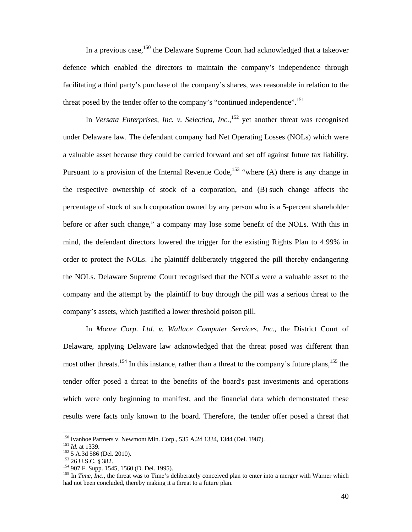In a previous case,<sup>150</sup> the Delaware Supreme Court had acknowledged that a takeover defence which enabled the directors to maintain the company's independence through facilitating a third party's purchase of the company's shares, was reasonable in relation to the threat posed by the tender offer to the company's "continued independence".<sup>151</sup>

In *Versata Enterprises, Inc. v. Selectica, Inc.*, 152 yet another threat was recognised under Delaware law. The defendant company had Net Operating Losses (NOLs) which were a valuable asset because they could be carried forward and set off against future tax liability. Pursuant to a provision of the Internal Revenue Code,<sup>153</sup> "where (A) there is any change in the respective ownership of stock of a corporation, and (B) such change affects the percentage of stock of such corporation owned by any person who is a 5-percent shareholder before or after such change," a company may lose some benefit of the NOLs. With this in mind, the defendant directors lowered the trigger for the existing Rights Plan to 4.99% in order to protect the NOLs. The plaintiff deliberately triggered the pill thereby endangering the NOLs. Delaware Supreme Court recognised that the NOLs were a valuable asset to the company and the attempt by the plaintiff to buy through the pill was a serious threat to the company's assets, which justified a lower threshold poison pill.

In *Moore Corp. Ltd. v. Wallace Computer Services, Inc.*, the District Court of Delaware, applying Delaware law acknowledged that the threat posed was different than most other threats.<sup>154</sup> In this instance, rather than a threat to the company's future plans, <sup>155</sup> the tender offer posed a threat to the benefits of the board's past investments and operations which were only beginning to manifest, and the financial data which demonstrated these results were facts only known to the board. Therefore, the tender offer posed a threat that

<sup>&</sup>lt;sup>150</sup> Ivanhoe Partners v. Newmont Min. Corp., 535 A.2d 1334, 1344 (Del. 1987).<br>
<sup>151</sup> *Id.* at 1339.<br>
<sup>152</sup> 5 A.3d 586 (Del. 2010).<br>
<sup>152</sup> 26 U.S.C. § 382.<br>
<sup>154</sup> 907 F. Supp. 1545, 1560 (D. Del. 1995).<br>
<sup>154</sup> 907 F. Supp had not been concluded, thereby making it a threat to a future plan.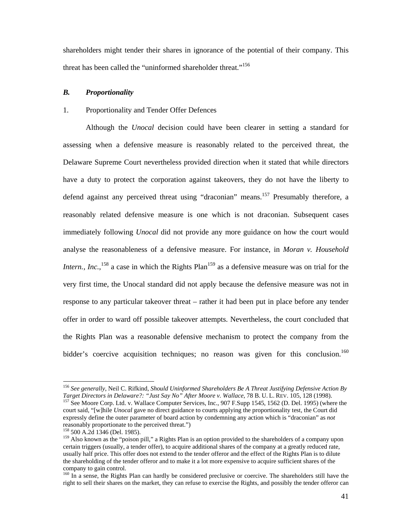shareholders might tender their shares in ignorance of the potential of their company. This threat has been called the "uninformed shareholder threat."<sup>156</sup>

## *B. Proportionality*

### 1. Proportionality and Tender Offer Defences

Although the *Unocal* decision could have been clearer in setting a standard for assessing when a defensive measure is reasonably related to the perceived threat, the Delaware Supreme Court nevertheless provided direction when it stated that while directors have a duty to protect the corporation against takeovers, they do not have the liberty to defend against any perceived threat using "draconian" means.<sup>157</sup> Presumably therefore, a reasonably related defensive measure is one which is not draconian. Subsequent cases immediately following *Unocal* did not provide any more guidance on how the court would analyse the reasonableness of a defensive measure. For instance, in *Moran v. Household Intern., Inc.*, <sup>158</sup> a case in which the Rights Plan<sup>159</sup> as a defensive measure was on trial for the very first time, the Unocal standard did not apply because the defensive measure was not in response to any particular takeover threat – rather it had been put in place before any tender offer in order to ward off possible takeover attempts. Nevertheless, the court concluded that the Rights Plan was a reasonable defensive mechanism to protect the company from the bidder's coercive acquisition techniques; no reason was given for this conclusion.<sup>160</sup>

<sup>156</sup> *See generally*, Neil C. Rifkind, *Should Uninformed Shareholders Be A Threat Justifying Defensive Action By Target Directors in Delaware?: "Just Say No" After Moore v. Wallace*, 78 B. U. L. REV. 105, 128 (1998). <sup>157</sup> See Moore Corp. Ltd. v. Wallace Computer Services, Inc., 907 F.Supp 1545, 1562 (D. Del. 1995) (where the

court said, "[w]hile *Unocal* gave no direct guidance to courts applying the proportionality test, the Court did expressly define the outer parameter of board action by condemning any action which is "draconian" as *not* reasonably proportionate to the perceived threat.")<br><sup>158</sup> 500 A.2d 1346 (Del. 1985).

<sup>&</sup>lt;sup>159</sup> Also known as the "poison pill," a Rights Plan is an option provided to the shareholders of a company upon certain triggers (usually, a tender offer), to acquire additional shares of the company at a greatly reduced rate, usually half price. This offer does not extend to the tender offeror and the effect of the Rights Plan is to dilute the shareholding of the tender offeror and to make it a lot more expensive to acquire sufficient shares of the company to gain control.

<sup>&</sup>lt;sup>160</sup> In a sense, the Rights Plan can hardly be considered preclusive or coercive. The shareholders still have the right to sell their shares on the market, they can refuse to exercise the Rights, and possibly the tender offeror can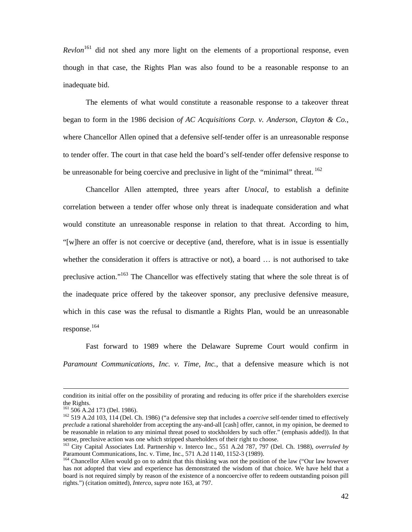*Revlon*<sup>161</sup> did not shed any more light on the elements of a proportional response, even though in that case, the Rights Plan was also found to be a reasonable response to an inadequate bid.

The elements of what would constitute a reasonable response to a takeover threat began to form in the 1986 decision *of AC Acquisitions Corp. v. Anderson, Clayton & Co.*, where Chancellor Allen opined that a defensive self-tender offer is an unreasonable response to tender offer. The court in that case held the board's self-tender offer defensive response to be unreasonable for being coercive and preclusive in light of the "minimal" threat. <sup>162</sup>

Chancellor Allen attempted, three years after *Unocal*, to establish a definite correlation between a tender offer whose only threat is inadequate consideration and what would constitute an unreasonable response in relation to that threat. According to him, "[w]here an offer is not coercive or deceptive (and, therefore, what is in issue is essentially whether the consideration it offers is attractive or not), a board … is not authorised to take preclusive action."<sup>163</sup> The Chancellor was effectively stating that where the sole threat is of the inadequate price offered by the takeover sponsor, any preclusive defensive measure, which in this case was the refusal to dismantle a Rights Plan, would be an unreasonable response.<sup>164</sup>

Fast forward to 1989 where the Delaware Supreme Court would confirm in *Paramount Communications, Inc. v. Time, Inc.*, that a defensive measure which is not

condition its initial offer on the possibility of prorating and reducing its offer price if the shareholders exercise the Rights.<br><sup>161</sup> 506 A.2d 173 (Del. 1986).

<sup>161 506</sup> A.2d 173 (Del. 1986). 162 519 A.2d 103, 114 (Del. Ch. 1986) ("a defensive step that includes a *coercive* self-tender timed to effectively *preclude* a rational shareholder from accepting the any-and-all [cash] offer, cannot, in my opinion, be deemed to be reasonable in relation to any minimal threat posed to stockholders by such offer." (emphasis added)). In that sense, preclusive action was one which stripped shareholders of their right to choose.

<sup>163</sup> City Capital Associates Ltd. Partnership v. Interco Inc., 551 A.2d 787, 797 (Del. Ch. 1988), *overruled by* Paramount Communications, Inc. v. Time, Inc., 571 A.2d 1140, 1152-3 (1989).

<sup>&</sup>lt;sup>164</sup> Chancellor Allen would go on to admit that this thinking was not the position of the law ("Our law however has not adopted that view and experience has demonstrated the wisdom of that choice. We have held that a board is not required simply by reason of the existence of a noncoercive offer to redeem outstanding poison pill rights.") (citation omitted), *Interco*, *supra* note 163, at 797.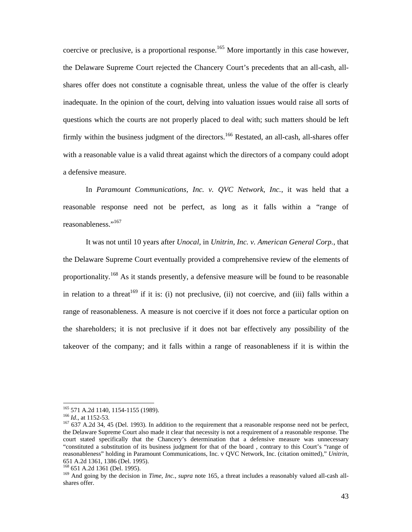coercive or preclusive, is a proportional response.<sup>165</sup> More importantly in this case however, the Delaware Supreme Court rejected the Chancery Court's precedents that an all-cash, allshares offer does not constitute a cognisable threat, unless the value of the offer is clearly inadequate. In the opinion of the court, delving into valuation issues would raise all sorts of questions which the courts are not properly placed to deal with; such matters should be left firmly within the business judgment of the directors.<sup>166</sup> Restated, an all-cash, all-shares offer with a reasonable value is a valid threat against which the directors of a company could adopt a defensive measure.

In *Paramount Communications, Inc. v. QVC Network, Inc.*, it was held that a reasonable response need not be perfect, as long as it falls within a "range of reasonableness."<sup>167</sup>

It was not until 10 years after *Unocal,* in *Unitrin, Inc. v. American General Corp.*, that the Delaware Supreme Court eventually provided a comprehensive review of the elements of proportionality*.* <sup>168</sup> As it stands presently, a defensive measure will be found to be reasonable in relation to a threat  $169$  if it is: (i) not preclusive, (ii) not coercive, and (iii) falls within a range of reasonableness. A measure is not coercive if it does not force a particular option on the shareholders; it is not preclusive if it does not bar effectively any possibility of the takeover of the company; and it falls within a range of reasonableness if it is within the

<sup>&</sup>lt;sup>165</sup> 571 A.2d 1140, 1154-1155 (1989).

<sup>&</sup>lt;sup>166</sup> *Id.*, at 1152-53.<br><sup>166</sup> 637 A.2d 34, 45 (Del. 1993). In addition to the requirement that a reasonable response need not be perfect, the Delaware Supreme Court also made it clear that necessity is not a requirement of a reasonable response. The court stated specifically that the Chancery's determination that a defensive measure was unnecessary "constituted a substitution of its business judgment for that of the board , contrary to this Court's "range of reasonableness" holding in Paramount Communications, Inc. v QVC Network, Inc. (citation omitted)," *Unitrin*, 651 A.2d 1361, 1386 (Del. 1995).

<sup>&</sup>lt;sup>169</sup> And going by the decision in *Time, Inc., supra* note 165, a threat includes a reasonably valued all-cash allshares offer.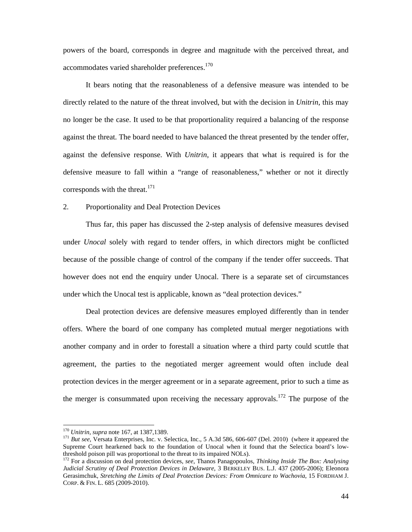powers of the board, corresponds in degree and magnitude with the perceived threat, and accommodates varied shareholder preferences.<sup>170</sup>

It bears noting that the reasonableness of a defensive measure was intended to be directly related to the nature of the threat involved, but with the decision in *Unitrin*, this may no longer be the case. It used to be that proportionality required a balancing of the response against the threat. The board needed to have balanced the threat presented by the tender offer, against the defensive response. With *Unitrin*, it appears that what is required is for the defensive measure to fall within a "range of reasonableness," whether or not it directly corresponds with the threat.<sup>171</sup>

## 2. Proportionality and Deal Protection Devices

Thus far, this paper has discussed the 2-step analysis of defensive measures devised under *Unocal* solely with regard to tender offers, in which directors might be conflicted because of the possible change of control of the company if the tender offer succeeds. That however does not end the enquiry under Unocal. There is a separate set of circumstances under which the Unocal test is applicable, known as "deal protection devices."

Deal protection devices are defensive measures employed differently than in tender offers. Where the board of one company has completed mutual merger negotiations with another company and in order to forestall a situation where a third party could scuttle that agreement, the parties to the negotiated merger agreement would often include deal protection devices in the merger agreement or in a separate agreement, prior to such a time as the merger is consummated upon receiving the necessary approvals.<sup>172</sup> The purpose of the

<sup>&</sup>lt;sup>170</sup> *Unitrin*, *supra* note 167, at 1387,1389.<br><sup>171</sup> *But see*, Versata Enterprises, Inc. v. Selectica, Inc., 5 A.3d 586, 606-607 (Del. 2010) (where it appeared the Supreme Court hearkened back to the foundation of Unocal when it found that the Selectica board's lowthreshold poison pill was proportional to the threat to its impaired NOLs).

<sup>172</sup> For a discussion on deal protection devices, *see*, Thanos Panagopoulos, *Thinking Inside The Box: Analysing Judicial Scrutiny of Deal Protection Devices in Delaware*, 3 BERKELEY BUS. L.J. 437 (2005-2006); Eleonora Gerasimchuk, *Stretching the Limits of Deal Protection Devices: From Omnicare to Wachovia*, 15 FORDHAM J. CORP. & FIN. L. 685 (2009-2010).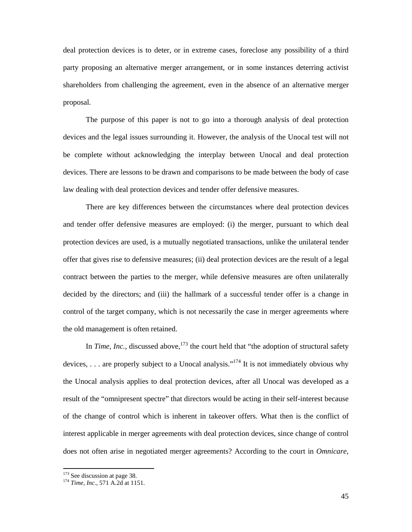deal protection devices is to deter, or in extreme cases, foreclose any possibility of a third party proposing an alternative merger arrangement, or in some instances deterring activist shareholders from challenging the agreement, even in the absence of an alternative merger proposal.

The purpose of this paper is not to go into a thorough analysis of deal protection devices and the legal issues surrounding it. However, the analysis of the Unocal test will not be complete without acknowledging the interplay between Unocal and deal protection devices. There are lessons to be drawn and comparisons to be made between the body of case law dealing with deal protection devices and tender offer defensive measures.

There are key differences between the circumstances where deal protection devices and tender offer defensive measures are employed: (i) the merger, pursuant to which deal protection devices are used, is a mutually negotiated transactions, unlike the unilateral tender offer that gives rise to defensive measures; (ii) deal protection devices are the result of a legal contract between the parties to the merger, while defensive measures are often unilaterally decided by the directors; and (iii) the hallmark of a successful tender offer is a change in control of the target company, which is not necessarily the case in merger agreements where the old management is often retained.

In *Time, Inc.*, discussed above,<sup>173</sup> the court held that "the adoption of structural safety devices, ... are properly subject to a Unocal analysis."<sup>174</sup> It is not immediately obvious why the Unocal analysis applies to deal protection devices, after all Unocal was developed as a result of the "omnipresent spectre" that directors would be acting in their self-interest because of the change of control which is inherent in takeover offers. What then is the conflict of interest applicable in merger agreements with deal protection devices, since change of control does not often arise in negotiated merger agreements? According to the court in *Omnicare,* 

<sup>&</sup>lt;sup>173</sup> See discussion at page 38.<br><sup>174</sup> *Time, Inc.*, 571 A.2d at 1151.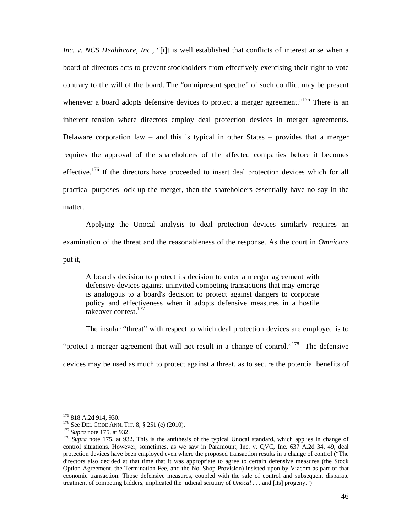*Inc. v. NCS Healthcare, Inc.*, "[i]t is well established that conflicts of interest arise when a board of directors acts to prevent stockholders from effectively exercising their right to vote contrary to the will of the board. The "omnipresent spectre" of such conflict may be present whenever a board adopts defensive devices to protect a merger agreement."<sup>175</sup> There is an inherent tension where directors employ deal protection devices in merger agreements. Delaware corporation law – and this is typical in other States – provides that a merger requires the approval of the shareholders of the affected companies before it becomes effective.<sup>176</sup> If the directors have proceeded to insert deal protection devices which for all practical purposes lock up the merger, then the shareholders essentially have no say in the matter.

Applying the Unocal analysis to deal protection devices similarly requires an examination of the threat and the reasonableness of the response. As the court in *Omnicare* put it,

A board's decision to protect its decision to enter a merger agreement with defensive devices against uninvited competing transactions that may emerge is analogous to a board's decision to protect against dangers to corporate policy and effectiveness when it adopts defensive measures in a hostile takeover contest.<sup>177</sup>

The insular "threat" with respect to which deal protection devices are employed is to "protect a merger agreement that will not result in a change of control."<sup>178</sup> The defensive devices may be used as much to protect against a threat, as to secure the potential benefits of

<sup>175 818</sup> A.2d 914, 930.<br><sup>176</sup> See DEL CODE ANN. TIT. 8, § 251 (c) (2010).<br><sup>177</sup> *Supra* note 175, at 932. This is the antithesis of the typical Unocal standard, which applies in change of<br><sup>178</sup> *Supra* note 175, at 932. Thi control situations. However, sometimes, as we saw in Paramount, Inc. v. QVC, Inc. 637 A.2d 34, 49, deal protection devices have been employed even where the proposed transaction results in a change of control ("The directors also decided at that time that it was appropriate to agree to certain defensive measures (the Stock Option Agreement, the Termination Fee, and the No–Shop Provision) insisted upon by Viacom as part of that economic transaction. Those defensive measures, coupled with the sale of control and subsequent disparate treatment of competing bidders, implicated the judicial scrutiny of *Unocal . . .* and [its] progeny.")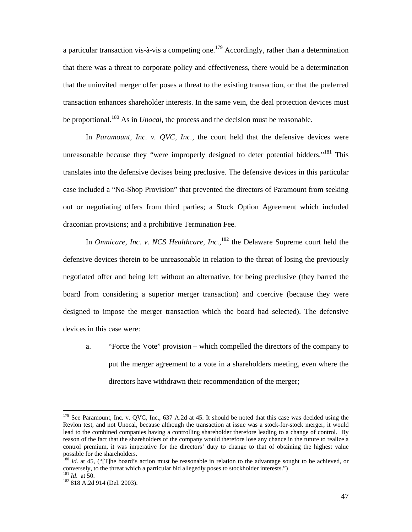a particular transaction vis-à-vis a competing one.<sup>179</sup> Accordingly, rather than a determination that there was a threat to corporate policy and effectiveness, there would be a determination that the uninvited merger offer poses a threat to the existing transaction, or that the preferred transaction enhances shareholder interests. In the same vein, the deal protection devices must be proportional.180 As in *Unocal*, the process and the decision must be reasonable.

In *Paramount, Inc. v. OVC, Inc.*, the court held that the defensive devices were unreasonable because they "were improperly designed to deter potential bidders."<sup>181</sup> This translates into the defensive devises being preclusive. The defensive devices in this particular case included a "No-Shop Provision" that prevented the directors of Paramount from seeking out or negotiating offers from third parties; a Stock Option Agreement which included draconian provisions; and a prohibitive Termination Fee.

In *Omnicare, Inc. v. NCS Healthcare, Inc.*,<sup>182</sup> the Delaware Supreme court held the defensive devices therein to be unreasonable in relation to the threat of losing the previously negotiated offer and being left without an alternative, for being preclusive (they barred the board from considering a superior merger transaction) and coercive (because they were designed to impose the merger transaction which the board had selected). The defensive devices in this case were:

a. "Force the Vote" provision – which compelled the directors of the company to put the merger agreement to a vote in a shareholders meeting, even where the directors have withdrawn their recommendation of the merger;

<sup>&</sup>lt;sup>179</sup> See Paramount, Inc. v. QVC, Inc., 637 A.2d at 45. It should be noted that this case was decided using the Revlon test, and not Unocal, because although the transaction at issue was a stock-for-stock merger, it would lead to the combined companies having a controlling shareholder therefore leading to a change of control. By reason of the fact that the shareholders of the company would therefore lose any chance in the future to realize a control premium, it was imperative for the directors' duty to change to that of obtaining the highest value possible for the shareholders.

<sup>&</sup>lt;sup>180</sup> *Id.* at 45, ("[T]he board's action must be reasonable in relation to the advantage sought to be achieved, or conversely, to the threat which a particular bid allegedly poses to stockholder interests.")  $^{181}$  *Id.* at 50.

<sup>&</sup>lt;sup>182</sup> 818 A.2d 914 (Del. 2003).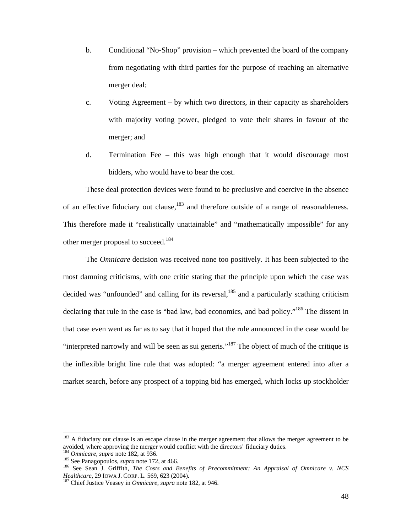- b. Conditional "No-Shop" provision which prevented the board of the company from negotiating with third parties for the purpose of reaching an alternative merger deal;
- c. Voting Agreement by which two directors, in their capacity as shareholders with majority voting power, pledged to vote their shares in favour of the merger; and
- d. Termination Fee this was high enough that it would discourage most bidders, who would have to bear the cost.

These deal protection devices were found to be preclusive and coercive in the absence of an effective fiduciary out clause,  $183$  and therefore outside of a range of reasonableness. This therefore made it "realistically unattainable" and "mathematically impossible" for any other merger proposal to succeed.<sup>184</sup>

The *Omnicare* decision was received none too positively. It has been subjected to the most damning criticisms, with one critic stating that the principle upon which the case was decided was "unfounded" and calling for its reversal,  $^{185}$  and a particularly scathing criticism declaring that rule in the case is "bad law, bad economics, and bad policy."<sup>186</sup> The dissent in that case even went as far as to say that it hoped that the rule announced in the case would be "interpreted narrowly and will be seen as sui generis."187 The object of much of the critique is the inflexible bright line rule that was adopted: "a merger agreement entered into after a market search, before any prospect of a topping bid has emerged, which locks up stockholder

<sup>&</sup>lt;sup>183</sup> A fiduciary out clause is an escape clause in the merger agreement that allows the merger agreement to be avoided, where approving the merger would conflict with the directors' fiduciary duties.<br><sup>184</sup> Omnicare, supra note 182, at 936.

<sup>&</sup>lt;sup>185</sup> See Panagopoulos, *supra* note 172, at 466.<br><sup>186</sup> See Sean J. Griffith, *The Costs and Benefits of Precommitment: An Appraisal of Omnicare v. NCS Healthcare*, 29 IOWA J. CORP. L. 569, 623 (2004).

<sup>&</sup>lt;sup>187</sup> Chief Justice Veasey in *Omnicare*, *supra* note 182, at 946.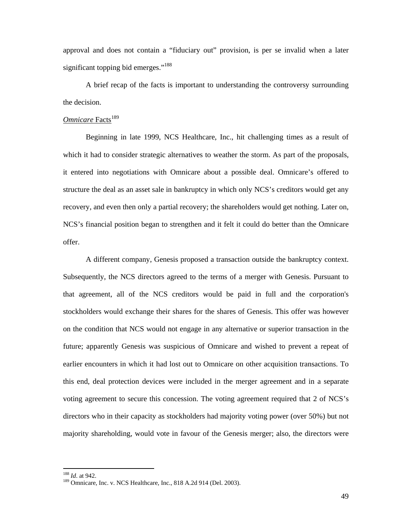approval and does not contain a "fiduciary out" provision, is per se invalid when a later significant topping bid emerges."<sup>188</sup>

A brief recap of the facts is important to understanding the controversy surrounding the decision.

# **Omnicare** Facts<sup>189</sup>

Beginning in late 1999, NCS Healthcare, Inc., hit challenging times as a result of which it had to consider strategic alternatives to weather the storm. As part of the proposals, it entered into negotiations with Omnicare about a possible deal. Omnicare's offered to structure the deal as an asset sale in bankruptcy in which only NCS's creditors would get any recovery, and even then only a partial recovery; the shareholders would get nothing. Later on, NCS's financial position began to strengthen and it felt it could do better than the Omnicare offer.

A different company, Genesis proposed a transaction outside the bankruptcy context. Subsequently, the NCS directors agreed to the terms of a merger with Genesis. Pursuant to that agreement, all of the NCS creditors would be paid in full and the corporation's stockholders would exchange their shares for the shares of Genesis. This offer was however on the condition that NCS would not engage in any alternative or superior transaction in the future; apparently Genesis was suspicious of Omnicare and wished to prevent a repeat of earlier encounters in which it had lost out to Omnicare on other acquisition transactions. To this end, deal protection devices were included in the merger agreement and in a separate voting agreement to secure this concession. The voting agreement required that 2 of NCS's directors who in their capacity as stockholders had majority voting power (over 50%) but not majority shareholding, would vote in favour of the Genesis merger; also, the directors were

 $188$  *Id.* at 942.

<sup>&</sup>lt;sup>189</sup> Omnicare, Inc. v. NCS Healthcare, Inc., 818 A.2d 914 (Del. 2003).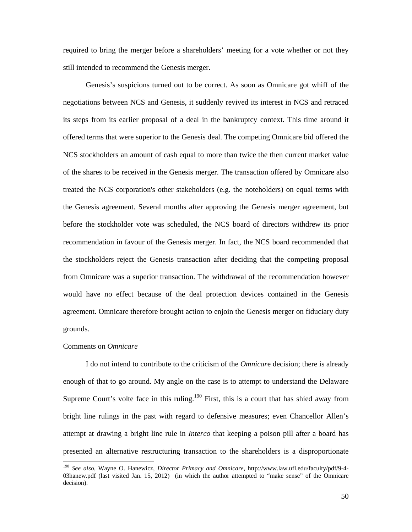required to bring the merger before a shareholders' meeting for a vote whether or not they still intended to recommend the Genesis merger.

Genesis's suspicions turned out to be correct. As soon as Omnicare got whiff of the negotiations between NCS and Genesis, it suddenly revived its interest in NCS and retraced its steps from its earlier proposal of a deal in the bankruptcy context. This time around it offered terms that were superior to the Genesis deal. The competing Omnicare bid offered the NCS stockholders an amount of cash equal to more than twice the then current market value of the shares to be received in the Genesis merger. The transaction offered by Omnicare also treated the NCS corporation's other stakeholders (e.g. the noteholders) on equal terms with the Genesis agreement. Several months after approving the Genesis merger agreement, but before the stockholder vote was scheduled, the NCS board of directors withdrew its prior recommendation in favour of the Genesis merger. In fact, the NCS board recommended that the stockholders reject the Genesis transaction after deciding that the competing proposal from Omnicare was a superior transaction. The withdrawal of the recommendation however would have no effect because of the deal protection devices contained in the Genesis agreement. Omnicare therefore brought action to enjoin the Genesis merger on fiduciary duty grounds.

## Comments on *Omnicare*

-

I do not intend to contribute to the criticism of the *Omnicar*e decision; there is already enough of that to go around. My angle on the case is to attempt to understand the Delaware Supreme Court's volte face in this ruling.<sup>190</sup> First, this is a court that has shied away from bright line rulings in the past with regard to defensive measures; even Chancellor Allen's attempt at drawing a bright line rule in *Interco* that keeping a poison pill after a board has presented an alternative restructuring transaction to the shareholders is a disproportionate

<sup>190</sup> *See also*, Wayne O. Hanewicz, *Director Primacy and Omnicare*, http://www.law.ufl.edu/faculty/pdf/9-4- 03hanew.pdf (last visited Jan. 15, 2012) (in which the author attempted to "make sense" of the Omnicare decision).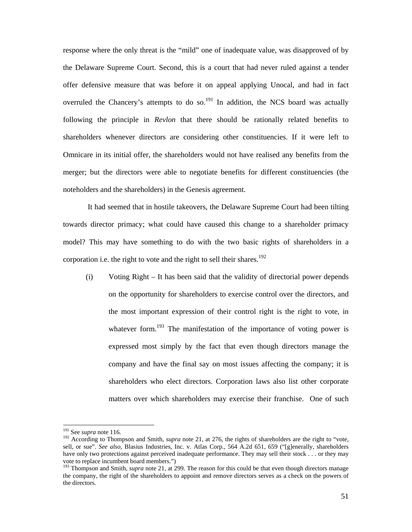response where the only threat is the "mild" one of inadequate value, was disapproved of by the Delaware Supreme Court. Second, this is a court that had never ruled against a tender offer defensive measure that was before it on appeal applying Unocal, and had in fact overruled the Chancery's attempts to do so. $^{191}$  In addition, the NCS board was actually following the principle in *Revlon* that there should be rationally related benefits to shareholders whenever directors are considering other constituencies. If it were left to Omnicare in its initial offer, the shareholders would not have realised any benefits from the merger; but the directors were able to negotiate benefits for different constituencies (the noteholders and the shareholders) in the Genesis agreement.

 It had seemed that in hostile takeovers, the Delaware Supreme Court had been tilting towards director primacy; what could have caused this change to a shareholder primacy model? This may have something to do with the two basic rights of shareholders in a corporation i.e. the right to vote and the right to sell their shares.<sup>192</sup>

(i) Voting Right – It has been said that the validity of directorial power depends on the opportunity for shareholders to exercise control over the directors, and the most important expression of their control right is the right to vote, in whatever form.<sup>193</sup> The manifestation of the importance of voting power is expressed most simply by the fact that even though directors manage the company and have the final say on most issues affecting the company; it is shareholders who elect directors. Corporation laws also list other corporate matters over which shareholders may exercise their franchise. One of such

 $191$  See *supra* note 116.

<sup>&</sup>lt;sup>192</sup> According to Thompson and Smith, *supra* note 21, at 276, the rights of shareholders are the right to "vote, sell, or sue". *See also*, Blasius Industries, Inc. v. Atlas Corp., 564 A.2d 651, 659 ("[g]enerally, shareholders have only two protections against perceived inadequate performance. They may sell their stock . . . or they may vote to replace incumbent board members.")

<sup>&</sup>lt;sup>193</sup> Thompson and Smith, *supra* note 21, at 299. The reason for this could be that even though directors manage the company, the right of the shareholders to appoint and remove directors serves as a check on the powers of the directors.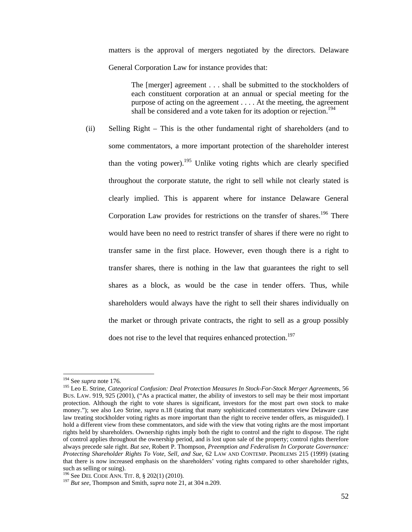matters is the approval of mergers negotiated by the directors. Delaware General Corporation Law for instance provides that:

The [merger] agreement . . . shall be submitted to the stockholders of each constituent corporation at an annual or special meeting for the purpose of acting on the agreement . . . . At the meeting, the agreement shall be considered and a vote taken for its adoption or rejection.<sup>194</sup>

(ii) Selling Right – This is the other fundamental right of shareholders (and to some commentators, a more important protection of the shareholder interest than the voting power).<sup>195</sup> Unlike voting rights which are clearly specified throughout the corporate statute, the right to sell while not clearly stated is clearly implied. This is apparent where for instance Delaware General Corporation Law provides for restrictions on the transfer of shares.<sup>196</sup> There would have been no need to restrict transfer of shares if there were no right to transfer same in the first place. However, even though there is a right to transfer shares, there is nothing in the law that guarantees the right to sell shares as a block, as would be the case in tender offers. Thus, while shareholders would always have the right to sell their shares individually on the market or through private contracts, the right to sell as a group possibly does not rise to the level that requires enhanced protection.<sup>197</sup>

<sup>&</sup>lt;sup>194</sup> See *supra* note 176.

<sup>&</sup>lt;sup>195</sup> Leo E. Strine, *Categorical Confusion: Deal Protection Measures In Stock-For-Stock Merger Agreements*, 56 BUS. LAW. 919, 925 (2001), ("As a practical matter, the ability of investors to sell may be their most important protection. Although the right to vote shares is significant, investors for the most part own stock to make money."); see also Leo Strine, *supra* n.18 (stating that many sophisticated commentators view Delaware case law treating stockholder voting rights as more important than the right to receive tender offers, as misguided). I hold a different view from these commentators, and side with the view that voting rights are the most important rights held by shareholders. Ownership rights imply both the right to control and the right to dispose. The right of control applies throughout the ownership period, and is lost upon sale of the property; control rights therefore always precede sale right. *But see*, Robert P. Thompson, *Preemption and Federalism In Corporate Governance: Protecting Shareholder Rights To Vote, Sell, and Sue*, 62 LAW AND CONTEMP. PROBLEMS 215 (1999) (stating that there is now increased emphasis on the shareholders' voting rights compared to other shareholder rights, such as selling or suing).<br> $^{196}$  See DEL CODE ANN. TIT. 8, § 202(1) (2010).

<sup>&</sup>lt;sup>197</sup> But see, Thompson and Smith, *supra* note 21, at 304 n.209.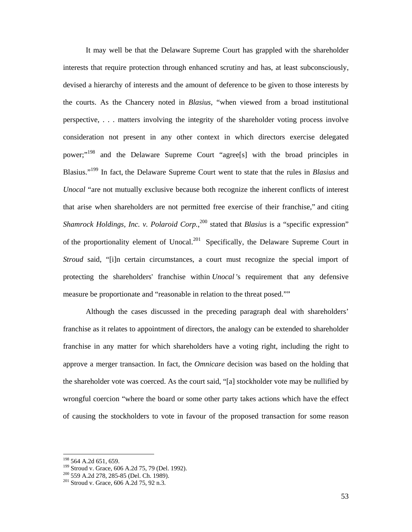It may well be that the Delaware Supreme Court has grappled with the shareholder interests that require protection through enhanced scrutiny and has, at least subconsciously, devised a hierarchy of interests and the amount of deference to be given to those interests by the courts. As the Chancery noted in *Blasius*, "when viewed from a broad institutional perspective, . . . matters involving the integrity of the shareholder voting process involve consideration not present in any other context in which directors exercise delegated power;"198 and the Delaware Supreme Court "agree[s] with the broad principles in Blasius."199 In fact, the Delaware Supreme Court went to state that the rules in *Blasius* and *Unocal* "are not mutually exclusive because both recognize the inherent conflicts of interest that arise when shareholders are not permitted free exercise of their franchise," and citing *Shamrock Holdings, Inc. v. Polaroid Corp.*,<sup>200</sup> stated that *Blasius* is a "specific expression" of the proportionality element of Unocal.<sup>201</sup> Specifically, the Delaware Supreme Court in *Stroud* said, "[i]n certain circumstances, a court must recognize the special import of protecting the shareholders' franchise within *Unocal* 's requirement that any defensive measure be proportionate and "reasonable in relation to the threat posed.""

Although the cases discussed in the preceding paragraph deal with shareholders' franchise as it relates to appointment of directors, the analogy can be extended to shareholder franchise in any matter for which shareholders have a voting right, including the right to approve a merger transaction. In fact, the *Omnicare* decision was based on the holding that the shareholder vote was coerced. As the court said, "[a] stockholder vote may be nullified by wrongful coercion "where the board or some other party takes actions which have the effect of causing the stockholders to vote in favour of the proposed transaction for some reason

<sup>&</sup>lt;sup>198</sup> 564 A.2d 651, 659.

<sup>&</sup>lt;sup>199</sup> Stroud v. Grace, 606 A.2d 75, 79 (Del. 1992).<br><sup>200</sup> 559 A.2d 278, 285-85 (Del. Ch. 1989).<br><sup>201</sup> Stroud v. Grace, 606 A.2d 75, 92 n.3.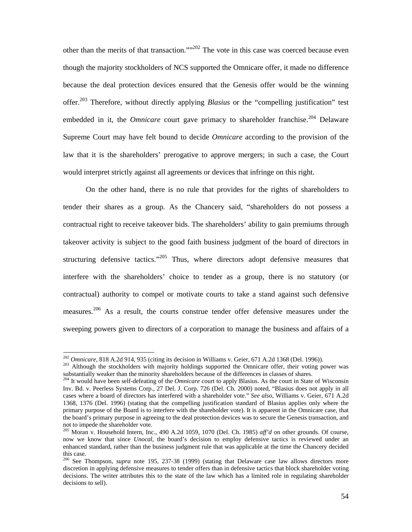other than the merits of that transaction.""202 The vote in this case was coerced because even though the majority stockholders of NCS supported the Omnicare offer, it made no difference because the deal protection devices ensured that the Genesis offer would be the winning offer.203 Therefore, without directly applying *Blasius* or the "compelling justification" test embedded in it, the *Omnicare* court gave primacy to shareholder franchise.<sup>204</sup> Delaware Supreme Court may have felt bound to decide *Omnicare* according to the provision of the law that it is the shareholders' prerogative to approve mergers; in such a case, the Court would interpret strictly against all agreements or devices that infringe on this right.

On the other hand, there is no rule that provides for the rights of shareholders to tender their shares as a group. As the Chancery said, "shareholders do not possess a contractual right to receive takeover bids. The shareholders' ability to gain premiums through takeover activity is subject to the good faith business judgment of the board of directors in structuring defensive tactics."<sup>205</sup> Thus, where directors adopt defensive measures that interfere with the shareholders' choice to tender as a group, there is no statutory (or contractual) authority to compel or motivate courts to take a stand against such defensive measures.<sup>206</sup> As a result, the courts construe tender offer defensive measures under the sweeping powers given to directors of a corporation to manage the business and affairs of a

 $202$  Omnicare, 818 A.2d 914, 935 (citing its decision in Williams v. Geier, 671 A.2d 1368 (Del. 1996)).

<sup>&</sup>lt;sup>203</sup> Although the stockholders with majority holdings supported the Omnicare offer, their voting power was substantially weaker than the minority shareholders because of the differences in classes of shares.

<sup>&</sup>lt;sup>204</sup> It would have been self-defeating of the *Omnicare* court to apply Blasius. As the court in State of Wisconsin Inv. Bd. v. Peerless Systems Corp., 27 Del. J. Corp. 726 (Del. Ch. 2000) noted, "Blasius does not apply in all cases where a board of directors has interfered with a shareholder vote." *See also*, Williams v. Geier, 671 A.2d 1368, 1376 (Del. 1996) (stating that the compelling justification standard of Blasius applies only where the primary purpose of the Board is to interfere with the shareholder vote). It is apparent in the Omnicare case, that the board's primary purpose in agreeing to the deal protection devices was to secure the Genesis transaction, and not to impede the shareholder vote.

<sup>205</sup> Moran v. Household Intern, Inc., 490 A.2d 1059, 1070 (Del. Ch. 1985) *aff'd* on other grounds. Of course, now we know that since *Unocal*, the board's decision to employ defensive tactics is reviewed under an enhanced standard, rather than the business judgment rule that was applicable at the time the Chancery decided this case.

<sup>206</sup> See Thompson, *supra* note 195, 237-38 (1999) (stating that Delaware case law allows directors more discretion in applying defensive measures to tender offers than in defensive tactics that block shareholder voting decisions. The writer attributes this to the state of the law which has a limited role in regulating shareholder decisions to sell).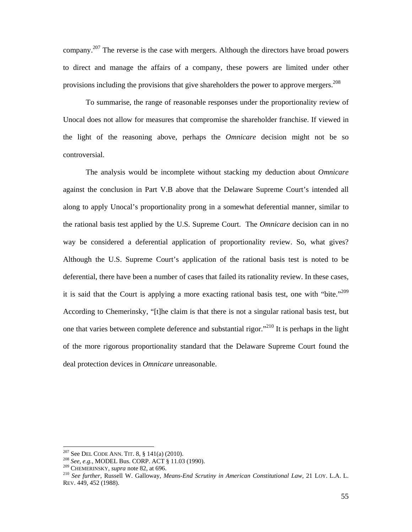company.<sup>207</sup> The reverse is the case with mergers. Although the directors have broad powers to direct and manage the affairs of a company, these powers are limited under other provisions including the provisions that give shareholders the power to approve mergers.<sup>208</sup>

To summarise, the range of reasonable responses under the proportionality review of Unocal does not allow for measures that compromise the shareholder franchise. If viewed in the light of the reasoning above, perhaps the *Omnicare* decision might not be so controversial.

The analysis would be incomplete without stacking my deduction about *Omnicare* against the conclusion in Part V.B above that the Delaware Supreme Court's intended all along to apply Unocal's proportionality prong in a somewhat deferential manner, similar to the rational basis test applied by the U.S. Supreme Court. The *Omnicare* decision can in no way be considered a deferential application of proportionality review. So, what gives? Although the U.S. Supreme Court's application of the rational basis test is noted to be deferential, there have been a number of cases that failed its rationality review. In these cases, it is said that the Court is applying a more exacting rational basis test, one with "bite."<sup>209</sup> According to Chemerinsky, "[t]he claim is that there is not a singular rational basis test, but one that varies between complete deference and substantial rigor."210 It is perhaps in the light of the more rigorous proportionality standard that the Delaware Supreme Court found the deal protection devices in *Omnicare* unreasonable.

<sup>&</sup>lt;sup>207</sup> See DEL CODE ANN. TIT. 8, § 141(a) (2010).<br><sup>208</sup> See, e.g., MODEL Bus. CORP. ACT § 11.03 (1990).<br><sup>209</sup> CHEMERINSKY, *supra* note 82, at 696.<br><sup>210</sup> See further, Russell W. Galloway, *Means-End Scrutiny in American Co* REV. 449, 452 (1988).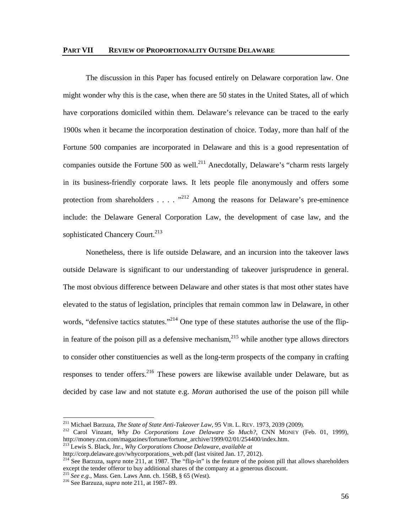The discussion in this Paper has focused entirely on Delaware corporation law. One might wonder why this is the case, when there are 50 states in the United States, all of which have corporations domiciled within them. Delaware's relevance can be traced to the early 1900s when it became the incorporation destination of choice. Today, more than half of the Fortune 500 companies are incorporated in Delaware and this is a good representation of companies outside the Fortune 500 as well.<sup>211</sup> Anecdotally, Delaware's "charm rests largely in its business-friendly corporate laws. It lets people file anonymously and offers some protection from shareholders . . . .  $^{212}$  Among the reasons for Delaware's pre-eminence include: the Delaware General Corporation Law, the development of case law, and the sophisticated Chancery Court.<sup>213</sup>

Nonetheless, there is life outside Delaware, and an incursion into the takeover laws outside Delaware is significant to our understanding of takeover jurisprudence in general. The most obvious difference between Delaware and other states is that most other states have elevated to the status of legislation, principles that remain common law in Delaware, in other words, "defensive tactics statutes."<sup>214</sup> One type of these statutes authorise the use of the flipin feature of the poison pill as a defensive mechanism,  $^{215}$  while another type allows directors to consider other constituencies as well as the long-term prospects of the company in crafting responses to tender offers.<sup>216</sup> These powers are likewise available under Delaware, but as decided by case law and not statute e.g. *Moran* authorised the use of the poison pill while

213 Lewis S. Black, Jnr., *Why Corporations Choose Delaware*, *available at*

<sup>&</sup>lt;sup>211</sup> Michael Barzuza, *The State of State Anti-Takeover Law*, 95 VIR. L. REV. 1973, 2039 (2009).

<sup>&</sup>lt;sup>212</sup> Carol Vinzant, *Why Do Corporations Love Delaware So Much?*, CNN MONEY (Feb. 01, 1999), http://money.cnn.com/magazines/fortune/fortune\_archive/1999/02/01/254400/index.htm.

http://corp.delaware.gov/whycorporations\_web.pdf (last visited Jan. 17, 2012). <sup>214</sup> See Barzuza, *supra* note 211, at 1987. The "flip-in" is the feature of the poison pill that allows shareholders except the tender offeror to buy additional shares of the company at a generous discount.

<sup>215</sup> *See e.g.*, Mass. Gen. Laws Ann. ch. 156B, § 65 (West). 216 See Barzuza, *supra* note 211, at 1987- 89.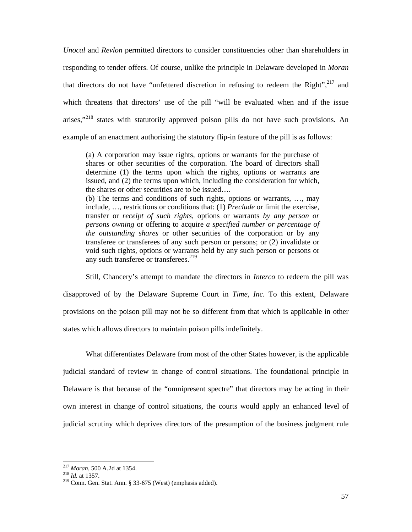*Unocal* and *Revlon* permitted directors to consider constituencies other than shareholders in responding to tender offers. Of course, unlike the principle in Delaware developed in *Moran* that directors do not have "unfettered discretion in refusing to redeem the Right",<sup>217</sup> and which threatens that directors' use of the pill "will be evaluated when and if the issue arises,"<sup>218</sup> states with statutorily approved poison pills do not have such provisions. An example of an enactment authorising the statutory flip-in feature of the pill is as follows:

(a) A corporation may issue rights, options or warrants for the purchase of shares or other securities of the corporation. The board of directors shall determine (1) the terms upon which the rights, options or warrants are issued, and (2) the terms upon which, including the consideration for which, the shares or other securities are to be issued….

(b) The terms and conditions of such rights, options or warrants, …, may include, …, restrictions or conditions that: (1) *Preclude* or limit the exercise, transfer or *receipt of such rights*, options or warrants *by any person or persons owning* or offering to acquire *a specified number or percentage of the outstanding shares* or other securities of the corporation or by any transferee or transferees of any such person or persons; or (2) invalidate or void such rights, options or warrants held by any such person or persons or any such transferee or transferees.<sup>219</sup>

Still, Chancery's attempt to mandate the directors in *Interco* to redeem the pill was disapproved of by the Delaware Supreme Court in *Time, Inc.* To this extent, Delaware provisions on the poison pill may not be so different from that which is applicable in other states which allows directors to maintain poison pills indefinitely.

What differentiates Delaware from most of the other States however, is the applicable judicial standard of review in change of control situations. The foundational principle in Delaware is that because of the "omnipresent spectre" that directors may be acting in their own interest in change of control situations, the courts would apply an enhanced level of judicial scrutiny which deprives directors of the presumption of the business judgment rule

<sup>&</sup>lt;sup>217</sup> Moran, 500 A.2d at 1354.

<sup>&</sup>lt;sup>218</sup> *Id.* at 1357.<br><sup>219</sup> Conn. Gen. Stat. Ann. § 33-675 (West) (emphasis added).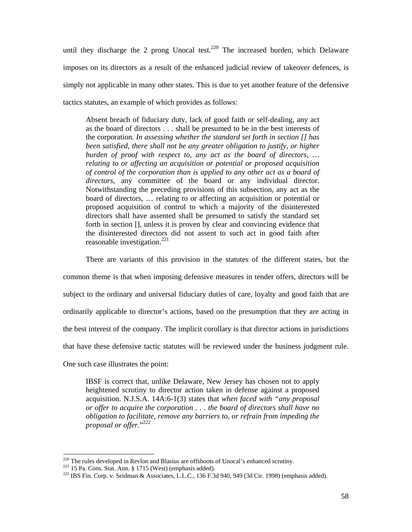until they discharge the 2 prong Unocal test.<sup>220</sup> The increased burden, which Delaware imposes on its directors as a result of the enhanced judicial review of takeover defences, is simply not applicable in many other states. This is due to yet another feature of the defensive tactics statutes, an example of which provides as follows:

Absent breach of fiduciary duty, lack of good faith or self-dealing, any act as the board of directors . . . shall be presumed to be in the best interests of the corporation. *In assessing whether the standard set forth in section [] has been satisfied, there shall not be any greater obligation to justify, or higher burden of proof with respect to, any act as the board of directors, … relating to or affecting an acquisition or potential or proposed acquisition of control of the corporation than is applied to any other act as a board of directors*, any committee of the board or any individual director. Notwithstanding the preceding provisions of this subsection, any act as the board of directors, … relating to or affecting an acquisition or potential or proposed acquisition of control to which a majority of the disinterested directors shall have assented shall be presumed to satisfy the standard set forth in section [], unless it is proven by clear and convincing evidence that the disinterested directors did not assent to such act in good faith after reasonable investigation. $^{221}$ 

There are variants of this provision in the statutes of the different states, but the common theme is that when imposing defensive measures in tender offers, directors will be subject to the ordinary and universal fiduciary duties of care, loyalty and good faith that are ordinarily applicable to director's actions, based on the presumption that they are acting in the best interest of the company. The implicit corollary is that director actions in jurisdictions that have these defensive tactic statutes will be reviewed under the business judgment rule.

One such case illustrates the point:

IBSF is correct that, unlike Delaware, New Jersey has chosen not to apply heightened scrutiny to director action taken in defense against a proposed acquisition. N.J.S.A. 14A:6-1(3) states that *when faced with "any proposal or offer to acquire the corporation . . . the board of directors shall have no obligation to facilitate, remove any barriers to, or refrain from impeding the proposal or offer*."222

<sup>&</sup>lt;sup>220</sup> The rules developed in Revlon and Blasius are offshoots of Unocal's enhanced scrutiny.

 $^{221}$  15 Pa. Cons. Stat. Ann. § 1715 (West) (emphasis added).<br> $^{222}$  IBS Fin. Corp. v. Seidman & Associates, L.L.C., 136 F.3d 940, 949 (3d Cir. 1998) (emphasis added).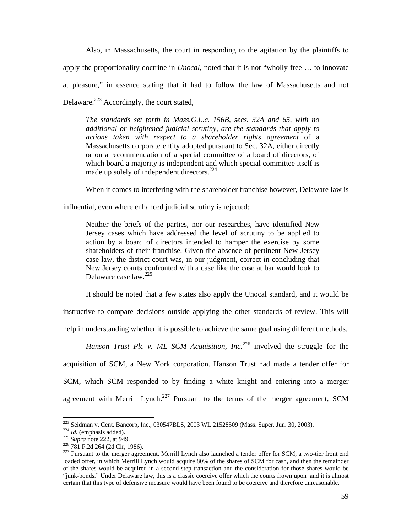Also, in Massachusetts, the court in responding to the agitation by the plaintiffs to apply the proportionality doctrine in *Unocal*, noted that it is not "wholly free … to innovate at pleasure," in essence stating that it had to follow the law of Massachusetts and not Delaware.<sup>223</sup> Accordingly, the court stated,

*The standards set forth in Mass.G.L.c. 156B, secs. 32A and 65, with no additional or heightened judicial scrutiny, are the standards that apply to actions taken with respect to a shareholder rights agreement* of a Massachusetts corporate entity adopted pursuant to Sec. 32A, either directly or on a recommendation of a special committee of a board of directors, of which board a majority is independent and which special committee itself is made up solely of independent directors.<sup>224</sup>

When it comes to interfering with the shareholder franchise however, Delaware law is

influential, even where enhanced judicial scrutiny is rejected:

Neither the briefs of the parties, nor our researches, have identified New Jersey cases which have addressed the level of scrutiny to be applied to action by a board of directors intended to hamper the exercise by some shareholders of their franchise. Given the absence of pertinent New Jersey case law, the district court was, in our judgment, correct in concluding that New Jersey courts confronted with a case like the case at bar would look to Delaware case law.225

It should be noted that a few states also apply the Unocal standard, and it would be

instructive to compare decisions outside applying the other standards of review. This will

help in understanding whether it is possible to achieve the same goal using different methods.

*Hanson Trust Plc v. ML SCM Acquisition, Inc.*<sup>226</sup> involved the struggle for the acquisition of SCM, a New York corporation. Hanson Trust had made a tender offer for SCM, which SCM responded to by finding a white knight and entering into a merger agreement with Merrill Lynch.<sup>227</sup> Pursuant to the terms of the merger agreement, SCM

<sup>&</sup>lt;sup>223</sup> Seidman v. Cent. Bancorp, Inc., 030547BLS, 2003 WL 21528509 (Mass. Super. Jun. 30, 2003).

<sup>&</sup>lt;sup>224</sup> *Id.* (emphasis added).<br><sup>225</sup> *Supra* note 222, at 949.<br><sup>226</sup> 781 F.2d 264 (2d Cir, 1986).<br><sup>226</sup> 781 F.2d 264 (2d Cir, 1986).<br><sup>227</sup> Pursuant to the merger agreement, Merrill Lynch also launched a tender offer for SC loaded offer, in which Merrill Lynch would acquire 80% of the shares of SCM for cash, and then the remainder of the shares would be acquired in a second step transaction and the consideration for those shares would be "junk-bonds." Under Delaware law, this is a classic coercive offer which the courts frown upon and it is almost certain that this type of defensive measure would have been found to be coercive and therefore unreasonable.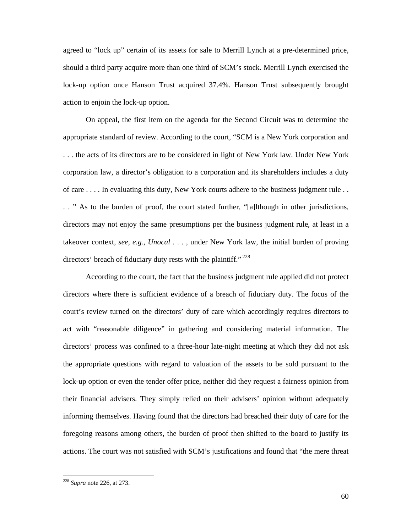agreed to "lock up" certain of its assets for sale to Merrill Lynch at a pre-determined price, should a third party acquire more than one third of SCM's stock. Merrill Lynch exercised the lock-up option once Hanson Trust acquired 37.4%. Hanson Trust subsequently brought action to enjoin the lock-up option.

On appeal, the first item on the agenda for the Second Circuit was to determine the appropriate standard of review. According to the court, "SCM is a New York corporation and . . . the acts of its directors are to be considered in light of New York law. Under New York corporation law, a director's obligation to a corporation and its shareholders includes a duty of care . . . . In evaluating this duty, New York courts adhere to the business judgment rule . . . . " As to the burden of proof, the court stated further, "[a]lthough in other jurisdictions, directors may not enjoy the same presumptions per the business judgment rule, at least in a takeover context, *see*, *e.g.*, *Unocal* . . . , under New York law, the initial burden of proving directors' breach of fiduciary duty rests with the plaintiff."  $228$ 

According to the court, the fact that the business judgment rule applied did not protect directors where there is sufficient evidence of a breach of fiduciary duty. The focus of the court's review turned on the directors' duty of care which accordingly requires directors to act with "reasonable diligence" in gathering and considering material information. The directors' process was confined to a three-hour late-night meeting at which they did not ask the appropriate questions with regard to valuation of the assets to be sold pursuant to the lock-up option or even the tender offer price, neither did they request a fairness opinion from their financial advisers. They simply relied on their advisers' opinion without adequately informing themselves. Having found that the directors had breached their duty of care for the foregoing reasons among others, the burden of proof then shifted to the board to justify its actions. The court was not satisfied with SCM's justifications and found that "the mere threat

<sup>228</sup> *Supra* note 226, at 273.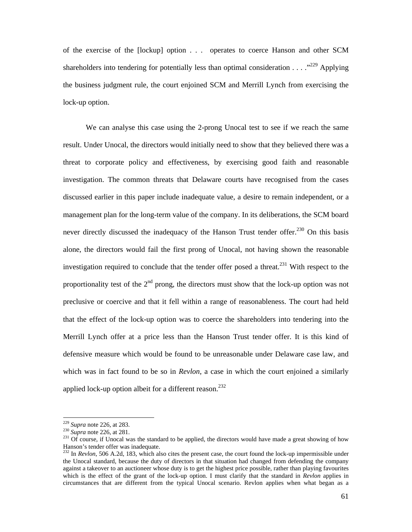of the exercise of the [lockup] option . . . operates to coerce Hanson and other SCM shareholders into tendering for potentially less than optimal consideration  $\dots$  ."<sup>229</sup> Applying the business judgment rule, the court enjoined SCM and Merrill Lynch from exercising the lock-up option.

We can analyse this case using the 2-prong Unocal test to see if we reach the same result. Under Unocal, the directors would initially need to show that they believed there was a threat to corporate policy and effectiveness, by exercising good faith and reasonable investigation. The common threats that Delaware courts have recognised from the cases discussed earlier in this paper include inadequate value, a desire to remain independent, or a management plan for the long-term value of the company. In its deliberations, the SCM board never directly discussed the inadequacy of the Hanson Trust tender offer.<sup>230</sup> On this basis alone, the directors would fail the first prong of Unocal, not having shown the reasonable investigation required to conclude that the tender offer posed a threat.<sup>231</sup> With respect to the proportionality test of the  $2<sup>nd</sup>$  prong, the directors must show that the lock-up option was not preclusive or coercive and that it fell within a range of reasonableness. The court had held that the effect of the lock-up option was to coerce the shareholders into tendering into the Merrill Lynch offer at a price less than the Hanson Trust tender offer. It is this kind of defensive measure which would be found to be unreasonable under Delaware case law, and which was in fact found to be so in *Revlon*, a case in which the court enjoined a similarly applied lock-up option albeit for a different reason.<sup>232</sup>

 $229$  Supra note 226, at 283.

<sup>&</sup>lt;sup>230</sup> *Supra* note 226, at 283.<br><sup>230</sup> *Supra* note 226, at 281.<br><sup>231</sup> Of course, if Unocal was the standard to be applied, the directors would have made a great showing of how Hanson's tender offer was inadequate.<br><sup>232</sup> In *Revlon*, 506 A.2d, 183, which also cites the present case, the court found the lock-up impermissible under

the Unocal standard, because the duty of directors in that situation had changed from defending the company against a takeover to an auctioneer whose duty is to get the highest price possible, rather than playing favourites which is the effect of the grant of the lock-up option. I must clarify that the standard in *Revlon* applies in circumstances that are different from the typical Unocal scenario. Revlon applies when what began as a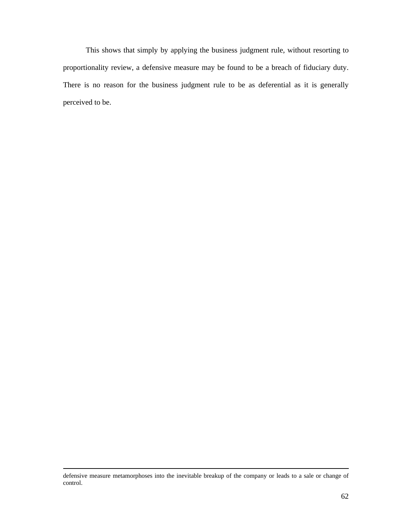This shows that simply by applying the business judgment rule, without resorting to proportionality review, a defensive measure may be found to be a breach of fiduciary duty. There is no reason for the business judgment rule to be as deferential as it is generally perceived to be.

defensive measure metamorphoses into the inevitable breakup of the company or leads to a sale or change of control.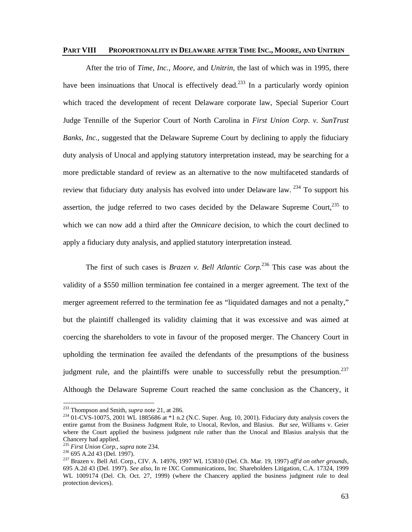### **PART VIII PROPORTIONALITY IN DELAWARE AFTER TIME INC., MOORE, AND UNITRIN**

After the trio of *Time, Inc.*, *Moore*, and *Unitrin*, the last of which was in 1995, there have been insinuations that Unocal is effectively dead.<sup>233</sup> In a particularly wordy opinion which traced the development of recent Delaware corporate law, Special Superior Court Judge Tennille of the Superior Court of North Carolina in *First Union Corp. v. SunTrust Banks, Inc.*, suggested that the Delaware Supreme Court by declining to apply the fiduciary duty analysis of Unocal and applying statutory interpretation instead, may be searching for a more predictable standard of review as an alternative to the now multifaceted standards of review that fiduciary duty analysis has evolved into under Delaware law.  $^{234}$  To support his assertion, the judge referred to two cases decided by the Delaware Supreme Court,  $235$  to which we can now add a third after the *Omnicare* decision, to which the court declined to apply a fiduciary duty analysis, and applied statutory interpretation instead.

The first of such cases is *Brazen v. Bell Atlantic Corp.*236 This case was about the validity of a \$550 million termination fee contained in a merger agreement. The text of the merger agreement referred to the termination fee as "liquidated damages and not a penalty," but the plaintiff challenged its validity claiming that it was excessive and was aimed at coercing the shareholders to vote in favour of the proposed merger. The Chancery Court in upholding the termination fee availed the defendants of the presumptions of the business judgment rule, and the plaintiffs were unable to successfully rebut the presumption.<sup>237</sup> Although the Delaware Supreme Court reached the same conclusion as the Chancery, it

<sup>&</sup>lt;sup>233</sup> Thompson and Smith, *supra* note 21, at 286.

<sup>&</sup>lt;sup>234</sup> 01-CVS-10075, 2001 WL 1885686 at \*1 n.2 (N.C. Super. Aug. 10, 2001). Fiduciary duty analysis covers the entire gamut from the Business Judgment Rule, to Unocal, Revlon, and Blasius. *But see*, Williams v. Geier where the Court applied the business judgment rule rather than the Unocal and Blasius analysis that the Chancery had applied.<br><sup>235</sup> First Union Corp., supra note 234.

<sup>235</sup> *First Union Corp.*, *supra* note 234. 236 695 A.2d 43 (Del. 1997). 237 Brazen v. Bell Atl. Corp., CIV. A. 14976, 1997 WL 153810 (Del. Ch. Mar. 19, 1997) *aff'd on other grounds*, 695 A.2d 43 (Del. 1997). *See also*, In re IXC Communications, Inc. Shareholders Litigation, C.A. 17324, 1999 WL 1009174 (Del. Ch. Oct. 27, 1999) (where the Chancery applied the business judgment rule to deal protection devices).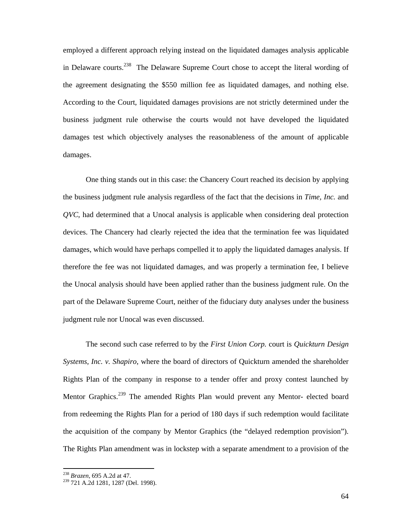employed a different approach relying instead on the liquidated damages analysis applicable in Delaware courts.238 The Delaware Supreme Court chose to accept the literal wording of the agreement designating the \$550 million fee as liquidated damages, and nothing else. According to the Court, liquidated damages provisions are not strictly determined under the business judgment rule otherwise the courts would not have developed the liquidated damages test which objectively analyses the reasonableness of the amount of applicable damages.

One thing stands out in this case: the Chancery Court reached its decision by applying the business judgment rule analysis regardless of the fact that the decisions in *Time, Inc.* and *QVC*, had determined that a Unocal analysis is applicable when considering deal protection devices. The Chancery had clearly rejected the idea that the termination fee was liquidated damages, which would have perhaps compelled it to apply the liquidated damages analysis. If therefore the fee was not liquidated damages, and was properly a termination fee, I believe the Unocal analysis should have been applied rather than the business judgment rule. On the part of the Delaware Supreme Court, neither of the fiduciary duty analyses under the business judgment rule nor Unocal was even discussed.

The second such case referred to by the *First Union Corp.* court is *Quickturn Design Systems, Inc. v. Shapiro*, where the board of directors of Quickturn amended the shareholder Rights Plan of the company in response to a tender offer and proxy contest launched by Mentor Graphics.<sup>239</sup> The amended Rights Plan would prevent any Mentor- elected board from redeeming the Rights Plan for a period of 180 days if such redemption would facilitate the acquisition of the company by Mentor Graphics (the "delayed redemption provision"). The Rights Plan amendment was in lockstep with a separate amendment to a provision of the

<sup>&</sup>lt;sup>238</sup> *Brazen*, 695 A.2d at 47.<br><sup>239</sup> 721 A.2d 1281, 1287 (Del. 1998).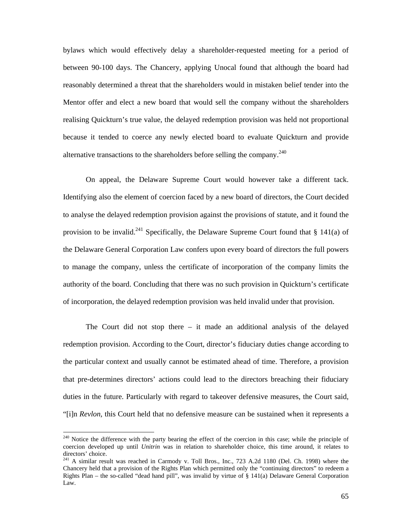bylaws which would effectively delay a shareholder-requested meeting for a period of between 90-100 days. The Chancery, applying Unocal found that although the board had reasonably determined a threat that the shareholders would in mistaken belief tender into the Mentor offer and elect a new board that would sell the company without the shareholders realising Quickturn's true value, the delayed redemption provision was held not proportional because it tended to coerce any newly elected board to evaluate Quickturn and provide alternative transactions to the shareholders before selling the company.<sup>240</sup>

On appeal, the Delaware Supreme Court would however take a different tack. Identifying also the element of coercion faced by a new board of directors, the Court decided to analyse the delayed redemption provision against the provisions of statute, and it found the provision to be invalid.<sup>241</sup> Specifically, the Delaware Supreme Court found that § 141(a) of the Delaware General Corporation Law confers upon every board of directors the full powers to manage the company, unless the certificate of incorporation of the company limits the authority of the board. Concluding that there was no such provision in Quickturn's certificate of incorporation, the delayed redemption provision was held invalid under that provision.

The Court did not stop there  $-$  it made an additional analysis of the delayed redemption provision. According to the Court, director's fiduciary duties change according to the particular context and usually cannot be estimated ahead of time. Therefore, a provision that pre-determines directors' actions could lead to the directors breaching their fiduciary duties in the future. Particularly with regard to takeover defensive measures, the Court said, "[i]n *Revlon,* this Court held that no defensive measure can be sustained when it represents a

<sup>&</sup>lt;sup>240</sup> Notice the difference with the party bearing the effect of the coercion in this case; while the principle of coercion developed up until *Unitrin* was in relation to shareholder choice, this time around, it relates to directors' choice.

<sup>&</sup>lt;sup>241</sup> A similar result was reached in Carmody v. Toll Bros., Inc., 723 A.2d 1180 (Del. Ch. 1998) where the Chancery held that a provision of the Rights Plan which permitted only the "continuing directors" to redeem a Rights Plan – the so-called "dead hand pill", was invalid by virtue of § 141(a) Delaware General Corporation Law.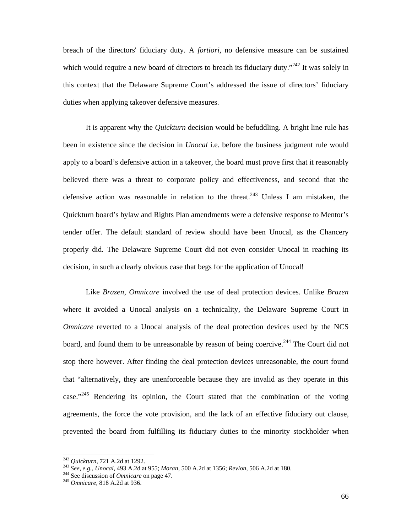breach of the directors' fiduciary duty. A *fortiori,* no defensive measure can be sustained which would require a new board of directors to breach its fiduciary duty."<sup>242</sup> It was solely in this context that the Delaware Supreme Court's addressed the issue of directors' fiduciary duties when applying takeover defensive measures.

It is apparent why the *Quickturn* decision would be befuddling. A bright line rule has been in existence since the decision in *Unocal* i.e. before the business judgment rule would apply to a board's defensive action in a takeover, the board must prove first that it reasonably believed there was a threat to corporate policy and effectiveness, and second that the defensive action was reasonable in relation to the threat.<sup>243</sup> Unless I am mistaken, the Quickturn board's bylaw and Rights Plan amendments were a defensive response to Mentor's tender offer. The default standard of review should have been Unocal, as the Chancery properly did. The Delaware Supreme Court did not even consider Unocal in reaching its decision, in such a clearly obvious case that begs for the application of Unocal!

Like *Brazen*, *Omnicare* involved the use of deal protection devices. Unlike *Brazen* where it avoided a Unocal analysis on a technicality, the Delaware Supreme Court in *Omnicare* reverted to a Unocal analysis of the deal protection devices used by the NCS board, and found them to be unreasonable by reason of being coercive.<sup>244</sup> The Court did not stop there however. After finding the deal protection devices unreasonable, the court found that "alternatively, they are unenforceable because they are invalid as they operate in this case."<sup>245</sup> Rendering its opinion, the Court stated that the combination of the voting agreements, the force the vote provision, and the lack of an effective fiduciary out clause, prevented the board from fulfilling its fiduciary duties to the minority stockholder when

 $242$  Quickturn, 721 A.2d at 1292.

<sup>245</sup> See, e.g., Unocal, 493 A.2d at 955; Moran, 500 A.2d at 1356; Revlon, 506 A.2d at 180.<br>
<sup>244</sup> See discussion of *Omnicare* on page 47.<br>
<sup>245</sup> *Omnicare*. 818 A.2d at 936.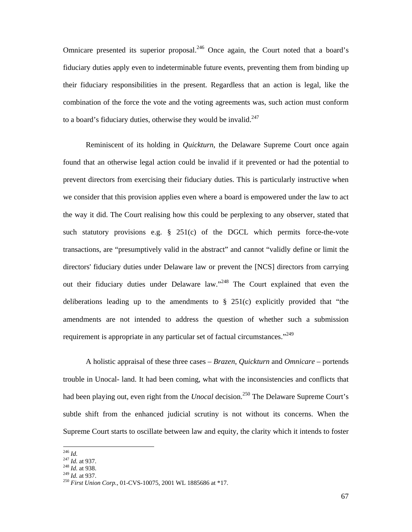Omnicare presented its superior proposal.<sup>246</sup> Once again, the Court noted that a board's fiduciary duties apply even to indeterminable future events, preventing them from binding up their fiduciary responsibilities in the present. Regardless that an action is legal, like the combination of the force the vote and the voting agreements was, such action must conform to a board's fiduciary duties, otherwise they would be invalid. $247$ 

Reminiscent of its holding in *Quickturn*, the Delaware Supreme Court once again found that an otherwise legal action could be invalid if it prevented or had the potential to prevent directors from exercising their fiduciary duties. This is particularly instructive when we consider that this provision applies even where a board is empowered under the law to act the way it did. The Court realising how this could be perplexing to any observer, stated that such statutory provisions e.g.  $\S$  251(c) of the DGCL which permits force-the-vote transactions, are "presumptively valid in the abstract" and cannot "validly define or limit the directors' fiduciary duties under Delaware law or prevent the [NCS] directors from carrying out their fiduciary duties under Delaware law."248 The Court explained that even the deliberations leading up to the amendments to  $\S$  251(c) explicitly provided that "the amendments are not intended to address the question of whether such a submission requirement is appropriate in any particular set of factual circumstances.<sup>249</sup>

A holistic appraisal of these three cases – *Brazen*, *Quickturn* and *Omnicare* – portends trouble in Unocal- land. It had been coming, what with the inconsistencies and conflicts that had been playing out, even right from the *Unocal* decision.<sup>250</sup> The Delaware Supreme Court's subtle shift from the enhanced judicial scrutiny is not without its concerns. When the Supreme Court starts to oscillate between law and equity, the clarity which it intends to foster

 $^{246}$  Id.

<sup>&</sup>lt;sup>247</sup> *Id.* at 937.<br><sup>248</sup> *Id.* at 938.<br><sup>249</sup> *Id.* at 937.<br><sup>250</sup> *First Union Corp.*, 01-CVS-10075, 2001 WL 1885686 at \*17.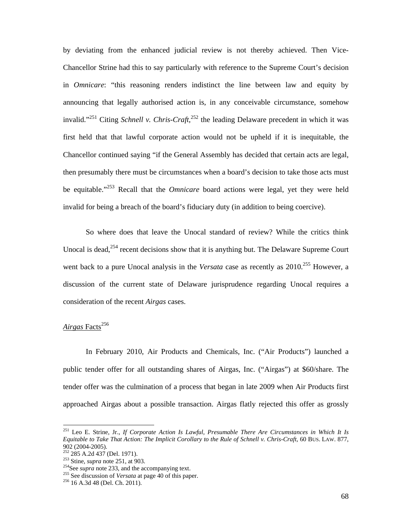by deviating from the enhanced judicial review is not thereby achieved. Then Vice-Chancellor Strine had this to say particularly with reference to the Supreme Court's decision in *Omnicare*: "this reasoning renders indistinct the line between law and equity by announcing that legally authorised action is, in any conceivable circumstance, somehow invalid."<sup>251</sup> Citing *Schnell v. Chris-Craft*,<sup>252</sup> the leading Delaware precedent in which it was first held that that lawful corporate action would not be upheld if it is inequitable, the Chancellor continued saying "if the General Assembly has decided that certain acts are legal, then presumably there must be circumstances when a board's decision to take those acts must be equitable."253 Recall that the *Omnicare* board actions were legal, yet they were held invalid for being a breach of the board's fiduciary duty (in addition to being coercive).

So where does that leave the Unocal standard of review? While the critics think Unocal is dead,  $254$  recent decisions show that it is anything but. The Delaware Supreme Court went back to a pure Unocal analysis in the *Versata* case as recently as 2010.<sup>255</sup> However, a discussion of the current state of Delaware jurisprudence regarding Unocal requires a consideration of the recent *Airgas* cases.

# Airgas Facts<sup>256</sup>

-

In February 2010, Air Products and Chemicals, Inc. ("Air Products") launched a public tender offer for all outstanding shares of Airgas, Inc. ("Airgas") at \$60/share. The tender offer was the culmination of a process that began in late 2009 when Air Products first approached Airgas about a possible transaction. Airgas flatly rejected this offer as grossly

<sup>251</sup> Leo E. Strine, Jr., *If Corporate Action Is Lawful, Presumable There Are Circumstances in Which It Is Equitable to Take That Action: The Implicit Corollary to the Rule of Schnell v. Chris-Craft*, 60 BUS. LAW. 877, 902 (2004-2005).<br><sup>252</sup> 285 A.2d 437 (Del. 1971).

<sup>&</sup>lt;sup>253</sup> Stine, *supra* note 251, at 903.<br><sup>254</sup>See *supra* note 233, and the accompanying text.<br><sup>255</sup> See discussion of *Versata* at page 40 of this paper.<br><sup>256</sup> 16 A.3d 48 (Del. Ch. 2011).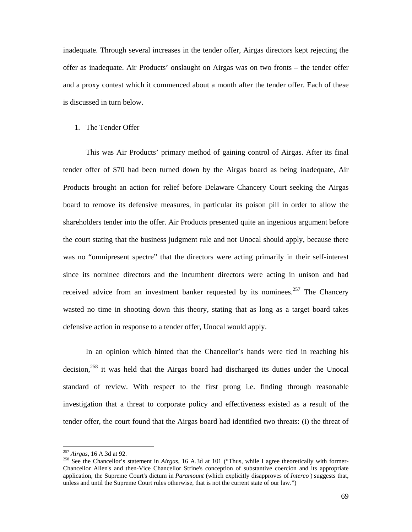inadequate. Through several increases in the tender offer, Airgas directors kept rejecting the offer as inadequate. Air Products' onslaught on Airgas was on two fronts – the tender offer and a proxy contest which it commenced about a month after the tender offer. Each of these is discussed in turn below.

### 1. The Tender Offer

This was Air Products' primary method of gaining control of Airgas. After its final tender offer of \$70 had been turned down by the Airgas board as being inadequate, Air Products brought an action for relief before Delaware Chancery Court seeking the Airgas board to remove its defensive measures, in particular its poison pill in order to allow the shareholders tender into the offer. Air Products presented quite an ingenious argument before the court stating that the business judgment rule and not Unocal should apply, because there was no "omnipresent spectre" that the directors were acting primarily in their self-interest since its nominee directors and the incumbent directors were acting in unison and had received advice from an investment banker requested by its nominees.<sup>257</sup> The Chancery wasted no time in shooting down this theory, stating that as long as a target board takes defensive action in response to a tender offer, Unocal would apply.

In an opinion which hinted that the Chancellor's hands were tied in reaching his decision,<sup>258</sup> it was held that the Airgas board had discharged its duties under the Unocal standard of review. With respect to the first prong i.e. finding through reasonable investigation that a threat to corporate policy and effectiveness existed as a result of the tender offer, the court found that the Airgas board had identified two threats: (i) the threat of

<sup>&</sup>lt;sup>257</sup> *Airgas*, 16 A.3d at 92.<br><sup>258</sup> See the Chancellor's statement in *Airgas*, 16 A.3d at 101 ("Thus, while I agree theoretically with former-Chancellor Allen's and then-Vice Chancellor Strine's conception of substantive coercion and its appropriate application, the Supreme Court's dictum in *Paramount* (which explicitly disapproves of *Interco* ) suggests that, unless and until the Supreme Court rules otherwise, that is not the current state of our law.")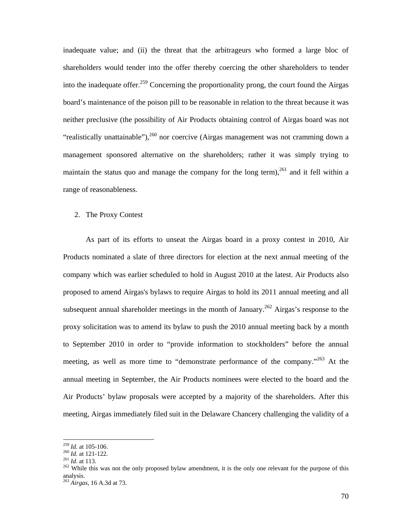inadequate value; and (ii) the threat that the arbitrageurs who formed a large bloc of shareholders would tender into the offer thereby coercing the other shareholders to tender into the inadequate offer.<sup>259</sup> Concerning the proportionality prong, the court found the Airgas board's maintenance of the poison pill to be reasonable in relation to the threat because it was neither preclusive (the possibility of Air Products obtaining control of Airgas board was not "realistically unattainable"),  $260$  nor coercive (Airgas management was not cramming down a management sponsored alternative on the shareholders; rather it was simply trying to maintain the status quo and manage the company for the long term),  $^{261}$  and it fell within a range of reasonableness.

### 2. The Proxy Contest

As part of its efforts to unseat the Airgas board in a proxy contest in 2010, Air Products nominated a slate of three directors for election at the next annual meeting of the company which was earlier scheduled to hold in August 2010 at the latest. Air Products also proposed to amend Airgas's bylaws to require Airgas to hold its 2011 annual meeting and all subsequent annual shareholder meetings in the month of January.<sup>262</sup> Airgas's response to the proxy solicitation was to amend its bylaw to push the 2010 annual meeting back by a month to September 2010 in order to "provide information to stockholders" before the annual meeting, as well as more time to "demonstrate performance of the company."<sup>263</sup> At the annual meeting in September, the Air Products nominees were elected to the board and the Air Products' bylaw proposals were accepted by a majority of the shareholders. After this meeting, Airgas immediately filed suit in the Delaware Chancery challenging the validity of a

 $^{259}$  *Id.* at 105-106.

<sup>&</sup>lt;sup>260</sup> *Id.* at 121-122.<br><sup>261</sup> *Id.* at 121-122.<br><sup>261</sup> *Id.* at 113.<br><sup>262</sup> While this was not the only proposed bylaw amendment, it is the only one relevant for the purpose of this analysis.

<sup>263</sup> *Airgas*, 16 A.3d at 73.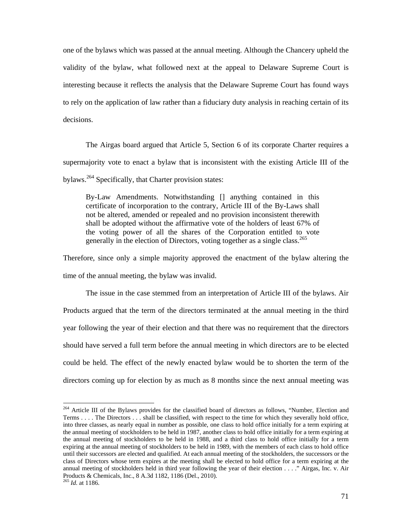one of the bylaws which was passed at the annual meeting. Although the Chancery upheld the validity of the bylaw, what followed next at the appeal to Delaware Supreme Court is interesting because it reflects the analysis that the Delaware Supreme Court has found ways to rely on the application of law rather than a fiduciary duty analysis in reaching certain of its decisions.

The Airgas board argued that Article 5, Section 6 of its corporate Charter requires a supermajority vote to enact a bylaw that is inconsistent with the existing Article III of the bylaws.<sup>264</sup> Specifically, that Charter provision states:

By-Law Amendments. Notwithstanding [] anything contained in this certificate of incorporation to the contrary, Article III of the By-Laws shall not be altered, amended or repealed and no provision inconsistent therewith shall be adopted without the affirmative vote of the holders of least 67% of the voting power of all the shares of the Corporation entitled to vote generally in the election of Directors, voting together as a single class.<sup>265</sup>

Therefore, since only a simple majority approved the enactment of the bylaw altering the time of the annual meeting, the bylaw was invalid.

The issue in the case stemmed from an interpretation of Article III of the bylaws. Air Products argued that the term of the directors terminated at the annual meeting in the third year following the year of their election and that there was no requirement that the directors should have served a full term before the annual meeting in which directors are to be elected could be held. The effect of the newly enacted bylaw would be to shorten the term of the directors coming up for election by as much as 8 months since the next annual meeting was

<sup>&</sup>lt;sup>264</sup> Article III of the Bylaws provides for the classified board of directors as follows, "Number, Election and Terms . . . . The Directors . . . shall be classified, with respect to the time for which they severally hold office, into three classes, as nearly equal in number as possible, one class to hold office initially for a term expiring at the annual meeting of stockholders to be held in 1987, another class to hold office initially for a term expiring at the annual meeting of stockholders to be held in 1988, and a third class to hold office initially for a term expiring at the annual meeting of stockholders to be held in 1989, with the members of each class to hold office until their successors are elected and qualified. At each annual meeting of the stockholders, the successors or the class of Directors whose term expires at the meeting shall be elected to hold office for a term expiring at the annual meeting of stockholders held in third year following the year of their election . . . ." Airgas, Inc. v. Air Products & Chemicals, Inc., 8 A.3d 1182, 1186 (Del., 2010).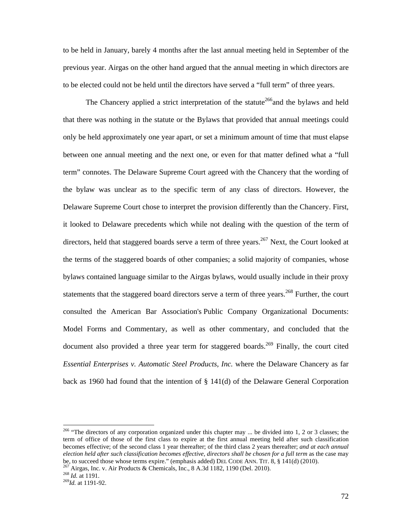to be held in January, barely 4 months after the last annual meeting held in September of the previous year. Airgas on the other hand argued that the annual meeting in which directors are to be elected could not be held until the directors have served a "full term" of three years.

The Chancery applied a strict interpretation of the statute<sup>266</sup> and the bylaws and held that there was nothing in the statute or the Bylaws that provided that annual meetings could only be held approximately one year apart, or set a minimum amount of time that must elapse between one annual meeting and the next one, or even for that matter defined what a "full term" connotes. The Delaware Supreme Court agreed with the Chancery that the wording of the bylaw was unclear as to the specific term of any class of directors. However, the Delaware Supreme Court chose to interpret the provision differently than the Chancery. First, it looked to Delaware precedents which while not dealing with the question of the term of directors, held that staggered boards serve a term of three years.<sup>267</sup> Next, the Court looked at the terms of the staggered boards of other companies; a solid majority of companies, whose bylaws contained language similar to the Airgas bylaws, would usually include in their proxy statements that the staggered board directors serve a term of three years.<sup>268</sup> Further, the court consulted the American Bar Association's Public Company Organizational Documents: Model Forms and Commentary, as well as other commentary, and concluded that the document also provided a three year term for staggered boards.<sup>269</sup> Finally, the court cited *Essential Enterprises v. Automatic Steel Products, Inc.* where the Delaware Chancery as far back as 1960 had found that the intention of § 141(d) of the Delaware General Corporation

<sup>&</sup>lt;sup>266</sup> "The directors of any corporation organized under this chapter may ... be divided into 1, 2 or 3 classes; the term of office of those of the first class to expire at the first annual meeting held after such classification becomes effective; of the second class 1 year thereafter; of the third class 2 years thereafter; *and at each annual election held after such classification becomes effective, directors shall be chosen for a full term* as the case may be, to succeed those whose terms expire." (emphasis added) DEL CODE ANN. TIT. 8, § 141(d) (2010).<br><sup>267</sup> Airgas, Inc. v. Air Products & Chemicals, Inc., 8 A.3d 1182, 1190 (Del. 2010).<br><sup>268</sup> Id. at 1191.<br><sup>269</sup>Id. at 1191-92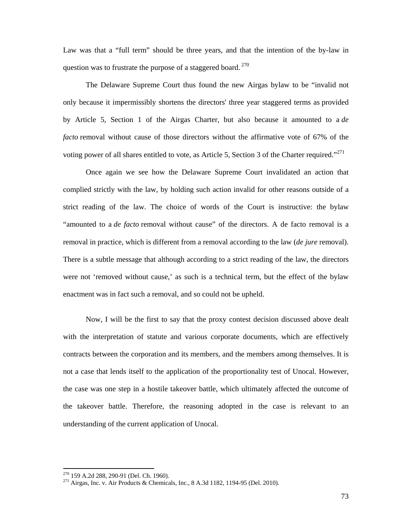Law was that a "full term" should be three years, and that the intention of the by-law in question was to frustrate the purpose of a staggered board.  $270$ 

The Delaware Supreme Court thus found the new Airgas bylaw to be "invalid not only because it impermissibly shortens the directors' three year staggered terms as provided by Article 5, Section 1 of the Airgas Charter, but also because it amounted to a *de facto* removal without cause of those directors without the affirmative vote of 67% of the voting power of all shares entitled to vote, as Article 5, Section 3 of the Charter required."<sup>271</sup>

Once again we see how the Delaware Supreme Court invalidated an action that complied strictly with the law, by holding such action invalid for other reasons outside of a strict reading of the law. The choice of words of the Court is instructive: the bylaw "amounted to a *de facto* removal without cause" of the directors. A de facto removal is a removal in practice, which is different from a removal according to the law (*de jure* removal). There is a subtle message that although according to a strict reading of the law, the directors were not 'removed without cause,' as such is a technical term, but the effect of the bylaw enactment was in fact such a removal, and so could not be upheld.

Now, I will be the first to say that the proxy contest decision discussed above dealt with the interpretation of statute and various corporate documents, which are effectively contracts between the corporation and its members, and the members among themselves. It is not a case that lends itself to the application of the proportionality test of Unocal. However, the case was one step in a hostile takeover battle, which ultimately affected the outcome of the takeover battle. Therefore, the reasoning adopted in the case is relevant to an understanding of the current application of Unocal.

<sup>&</sup>lt;sup>270</sup> 159 A.2d 288, 290-91 (Del. Ch. 1960).<br><sup>271</sup> Airgas, Inc. v. Air Products & Chemicals, Inc., 8 A.3d 1182, 1194-95 (Del. 2010).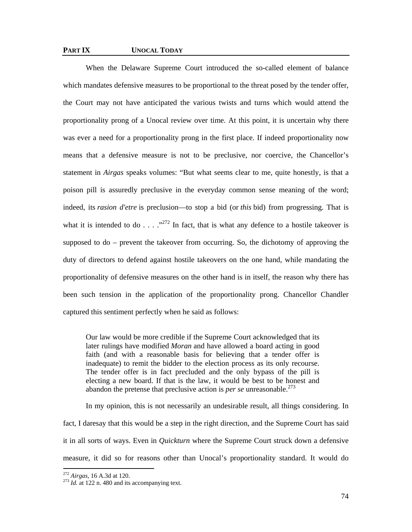## **PART IX UNOCAL TODAY**

When the Delaware Supreme Court introduced the so-called element of balance which mandates defensive measures to be proportional to the threat posed by the tender offer, the Court may not have anticipated the various twists and turns which would attend the proportionality prong of a Unocal review over time. At this point, it is uncertain why there was ever a need for a proportionality prong in the first place. If indeed proportionality now means that a defensive measure is not to be preclusive, nor coercive, the Chancellor's statement in *Airgas* speaks volumes: "But what seems clear to me, quite honestly, is that a poison pill is assuredly preclusive in the everyday common sense meaning of the word; indeed, its *rasion d'etre* is preclusion—to stop a bid (or *this* bid) from progressing. That is what it is intended to do . . . .<sup>272</sup> In fact, that is what any defence to a hostile takeover is supposed to do – prevent the takeover from occurring. So, the dichotomy of approving the duty of directors to defend against hostile takeovers on the one hand, while mandating the proportionality of defensive measures on the other hand is in itself, the reason why there has been such tension in the application of the proportionality prong. Chancellor Chandler captured this sentiment perfectly when he said as follows:

Our law would be more credible if the Supreme Court acknowledged that its later rulings have modified *Moran* and have allowed a board acting in good faith (and with a reasonable basis for believing that a tender offer is inadequate) to remit the bidder to the election process as its only recourse. The tender offer is in fact precluded and the only bypass of the pill is electing a new board. If that is the law, it would be best to be honest and abandon the pretense that preclusive action is *per se* unreasonable.<sup>273</sup>

In my opinion, this is not necessarily an undesirable result, all things considering. In fact, I daresay that this would be a step in the right direction, and the Supreme Court has said it in all sorts of ways. Even in *Quickturn* where the Supreme Court struck down a defensive measure, it did so for reasons other than Unocal's proportionality standard. It would do

<sup>&</sup>lt;sup>272</sup> *Airgas*, 16 A.3d at 120.<br><sup>273</sup> *Id.* at 122 n. 480 and its accompanying text.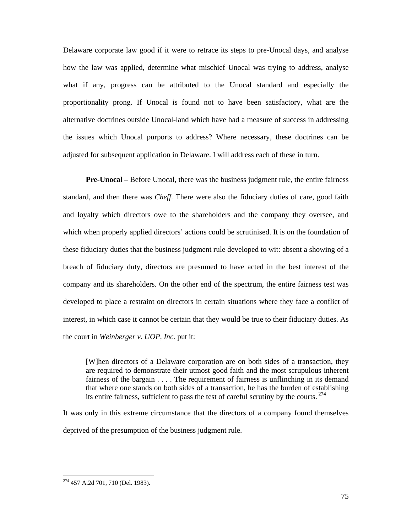Delaware corporate law good if it were to retrace its steps to pre-Unocal days, and analyse how the law was applied, determine what mischief Unocal was trying to address, analyse what if any, progress can be attributed to the Unocal standard and especially the proportionality prong. If Unocal is found not to have been satisfactory, what are the alternative doctrines outside Unocal-land which have had a measure of success in addressing the issues which Unocal purports to address? Where necessary, these doctrines can be adjusted for subsequent application in Delaware. I will address each of these in turn.

**Pre-Unocal** – Before Unocal, there was the business judgment rule, the entire fairness standard, and then there was *Cheff*. There were also the fiduciary duties of care, good faith and loyalty which directors owe to the shareholders and the company they oversee, and which when properly applied directors' actions could be scrutinised. It is on the foundation of these fiduciary duties that the business judgment rule developed to wit: absent a showing of a breach of fiduciary duty, directors are presumed to have acted in the best interest of the company and its shareholders. On the other end of the spectrum, the entire fairness test was developed to place a restraint on directors in certain situations where they face a conflict of interest, in which case it cannot be certain that they would be true to their fiduciary duties. As the court in *Weinberger v. UOP, Inc.* put it:

[W]hen directors of a Delaware corporation are on both sides of a transaction, they are required to demonstrate their utmost good faith and the most scrupulous inherent fairness of the bargain . . . . The requirement of fairness is unflinching in its demand that where one stands on both sides of a transaction, he has the burden of establishing its entire fairness, sufficient to pass the test of careful scrutiny by the courts.  $274$ 

It was only in this extreme circumstance that the directors of a company found themselves deprived of the presumption of the business judgment rule.

<sup>&</sup>lt;sup>274</sup> 457 A.2d 701, 710 (Del. 1983).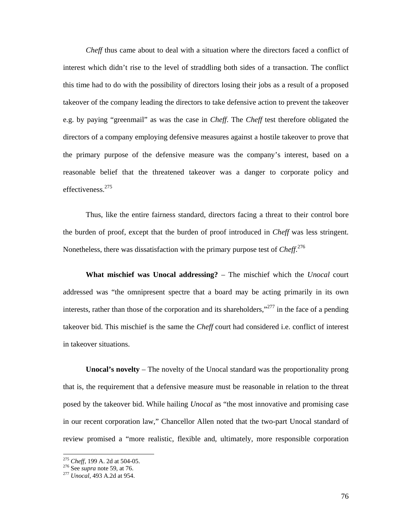*Cheff* thus came about to deal with a situation where the directors faced a conflict of interest which didn't rise to the level of straddling both sides of a transaction. The conflict this time had to do with the possibility of directors losing their jobs as a result of a proposed takeover of the company leading the directors to take defensive action to prevent the takeover e.g. by paying "greenmail" as was the case in *Cheff*. The *Cheff* test therefore obligated the directors of a company employing defensive measures against a hostile takeover to prove that the primary purpose of the defensive measure was the company's interest, based on a reasonable belief that the threatened takeover was a danger to corporate policy and effectiveness.<sup>275</sup>

Thus, like the entire fairness standard, directors facing a threat to their control bore the burden of proof, except that the burden of proof introduced in *Cheff* was less stringent. Nonetheless, there was dissatisfaction with the primary purpose test of *Cheff*. 276

**What mischief was Unocal addressing?** – The mischief which the *Unocal* court addressed was "the omnipresent spectre that a board may be acting primarily in its own interests, rather than those of the corporation and its shareholders," $277$  in the face of a pending takeover bid. This mischief is the same the *Cheff* court had considered i.e. conflict of interest in takeover situations.

**Unocal's novelty** – The novelty of the Unocal standard was the proportionality prong that is, the requirement that a defensive measure must be reasonable in relation to the threat posed by the takeover bid. While hailing *Unocal* as "the most innovative and promising case in our recent corporation law," Chancellor Allen noted that the two-part Unocal standard of review promised a "more realistic, flexible and, ultimately, more responsible corporation

<sup>275</sup> *Cheff*, 199 A. 2d at 504-05. 276 See *supra* note 59, at 76. 277 *Unocal*, 493 A.2d at 954.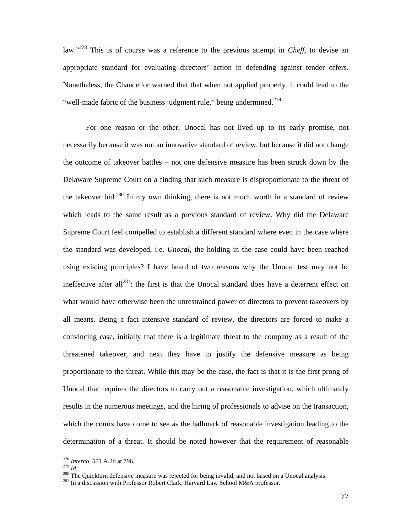law."278 This is of course was a reference to the previous attempt in *Cheff*, to devise an appropriate standard for evaluating directors' action in defending against tender offers. Nonetheless, the Chancellor warned that that when not applied properly, it could lead to the "well-made fabric of the business judgment rule," being undermined. $279$ 

For one reason or the other, Unocal has not lived up to its early promise, not necessarily because it was not an innovative standard of review, but because it did not change the outcome of takeover battles – not one defensive measure has been struck down by the Delaware Supreme Court on a finding that such measure is disproportionate to the threat of the takeover bid.<sup>280</sup> In my own thinking, there is not much worth in a standard of review which leads to the same result as a previous standard of review. Why did the Delaware Supreme Court feel compelled to establish a different standard where even in the case where the standard was developed, i.e. *Unocal*, the holding in the case could have been reached using existing principles? I have heard of two reasons why the Unocal test may not be ineffective after all<sup>281</sup>: the first is that the Unocal standard does have a deterrent effect on what would have otherwise been the unrestrained power of directors to prevent takeovers by all means. Being a fact intensive standard of review, the directors are forced to make a convincing case, initially that there is a legitimate threat to the company as a result of the threatened takeover, and next they have to justify the defensive measure as being proportionate to the threat. While this may be the case, the fact is that it is the first prong of Unocal that requires the directors to carry out a reasonable investigation, which ultimately results in the numerous meetings, and the hiring of professionals to advise on the transaction, which the courts have come to see as the hallmark of reasonable investigation leading to the determination of a threat. It should be noted however that the requirement of reasonable

 $278$  Interco, 551 A.2d at 796.

<sup>&</sup>lt;sup>280</sup> The Quickturn defensive measure was rejected for being invalid, and not based on a Unocal analysis.<br><sup>281</sup> In a discussion with Professor Robert Clark, Harvard Law School M&A professor.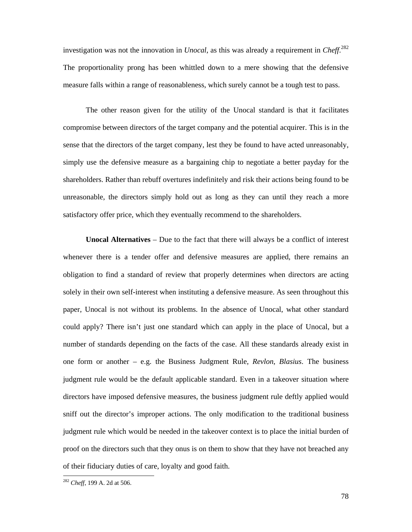investigation was not the innovation in *Unocal*, as this was already a requirement in *Cheff*. 282 The proportionality prong has been whittled down to a mere showing that the defensive measure falls within a range of reasonableness, which surely cannot be a tough test to pass.

The other reason given for the utility of the Unocal standard is that it facilitates compromise between directors of the target company and the potential acquirer. This is in the sense that the directors of the target company, lest they be found to have acted unreasonably, simply use the defensive measure as a bargaining chip to negotiate a better payday for the shareholders. Rather than rebuff overtures indefinitely and risk their actions being found to be unreasonable, the directors simply hold out as long as they can until they reach a more satisfactory offer price, which they eventually recommend to the shareholders.

**Unocal Alternatives** – Due to the fact that there will always be a conflict of interest whenever there is a tender offer and defensive measures are applied, there remains an obligation to find a standard of review that properly determines when directors are acting solely in their own self-interest when instituting a defensive measure. As seen throughout this paper, Unocal is not without its problems. In the absence of Unocal, what other standard could apply? There isn't just one standard which can apply in the place of Unocal, but a number of standards depending on the facts of the case. All these standards already exist in one form or another – e.g. the Business Judgment Rule, *Revlon*, *Blasius*. The business judgment rule would be the default applicable standard. Even in a takeover situation where directors have imposed defensive measures, the business judgment rule deftly applied would sniff out the director's improper actions. The only modification to the traditional business judgment rule which would be needed in the takeover context is to place the initial burden of proof on the directors such that they onus is on them to show that they have not breached any of their fiduciary duties of care, loyalty and good faith.

<sup>282</sup> *Cheff*, 199 A. 2d at 506.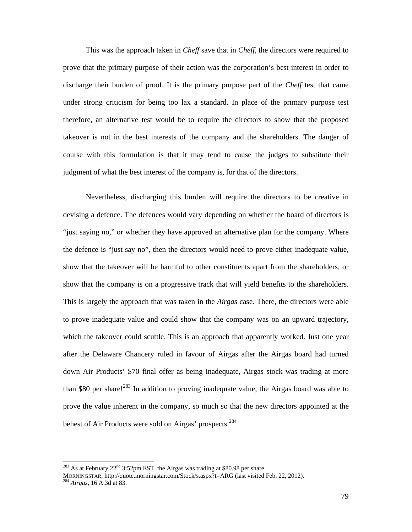This was the approach taken in *Cheff* save that in *Cheff*, the directors were required to prove that the primary purpose of their action was the corporation's best interest in order to discharge their burden of proof. It is the primary purpose part of the *Cheff* test that came under strong criticism for being too lax a standard. In place of the primary purpose test therefore, an alternative test would be to require the directors to show that the proposed takeover is not in the best interests of the company and the shareholders. The danger of course with this formulation is that it may tend to cause the judges to substitute their judgment of what the best interest of the company is, for that of the directors.

Nevertheless, discharging this burden will require the directors to be creative in devising a defence. The defences would vary depending on whether the board of directors is "just saying no," or whether they have approved an alternative plan for the company. Where the defence is "just say no", then the directors would need to prove either inadequate value, show that the takeover will be harmful to other constituents apart from the shareholders, or show that the company is on a progressive track that will yield benefits to the shareholders. This is largely the approach that was taken in the *Airgas* case. There, the directors were able to prove inadequate value and could show that the company was on an upward trajectory, which the takeover could scuttle. This is an approach that apparently worked. Just one year after the Delaware Chancery ruled in favour of Airgas after the Airgas board had turned down Air Products' \$70 final offer as being inadequate, Airgas stock was trading at more than \$80 per share!<sup>283</sup> In addition to proving inadequate value, the Airgas board was able to prove the value inherent in the company, so much so that the new directors appointed at the behest of Air Products were sold on Airgas' prospects.<sup>284</sup>

 $^{283}$  As at February 22<sup>nd</sup> 3:52pm EST, the Airgas was trading at \$80.98 per share.

MORNINGSTAR, http://quote.morningstar.com/Stock/s.aspx?t=ARG (last visited Feb. 22, 2012). 284 *Airgas*, 16 A.3d at 83.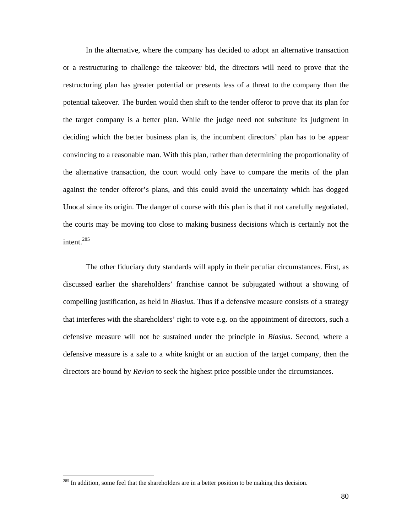In the alternative, where the company has decided to adopt an alternative transaction or a restructuring to challenge the takeover bid, the directors will need to prove that the restructuring plan has greater potential or presents less of a threat to the company than the potential takeover. The burden would then shift to the tender offeror to prove that its plan for the target company is a better plan. While the judge need not substitute its judgment in deciding which the better business plan is, the incumbent directors' plan has to be appear convincing to a reasonable man. With this plan, rather than determining the proportionality of the alternative transaction, the court would only have to compare the merits of the plan against the tender offeror's plans, and this could avoid the uncertainty which has dogged Unocal since its origin. The danger of course with this plan is that if not carefully negotiated, the courts may be moving too close to making business decisions which is certainly not the intent.<sup>285</sup>

The other fiduciary duty standards will apply in their peculiar circumstances. First, as discussed earlier the shareholders' franchise cannot be subjugated without a showing of compelling justification, as held in *Blasius*. Thus if a defensive measure consists of a strategy that interferes with the shareholders' right to vote e.g. on the appointment of directors, such a defensive measure will not be sustained under the principle in *Blasius*. Second, where a defensive measure is a sale to a white knight or an auction of the target company, then the directors are bound by *Revlon* to seek the highest price possible under the circumstances.

 $285$  In addition, some feel that the shareholders are in a better position to be making this decision.